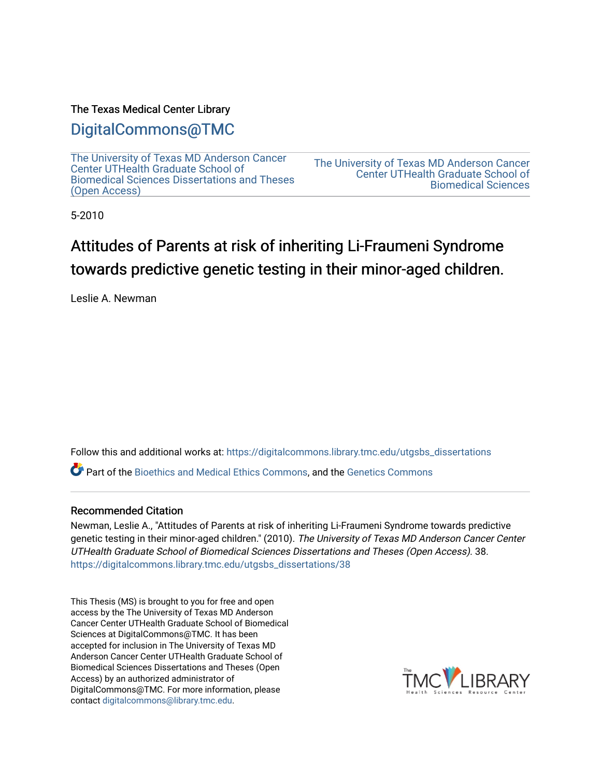### The Texas Medical Center Library

## [DigitalCommons@TMC](https://digitalcommons.library.tmc.edu/)

[The University of Texas MD Anderson Cancer](https://digitalcommons.library.tmc.edu/utgsbs_dissertations)  [Center UTHealth Graduate School of](https://digitalcommons.library.tmc.edu/utgsbs_dissertations)  [Biomedical Sciences Dissertations and Theses](https://digitalcommons.library.tmc.edu/utgsbs_dissertations) [\(Open Access\)](https://digitalcommons.library.tmc.edu/utgsbs_dissertations) 

[The University of Texas MD Anderson Cancer](https://digitalcommons.library.tmc.edu/uthgsbs)  [Center UTHealth Graduate School of](https://digitalcommons.library.tmc.edu/uthgsbs)  [Biomedical Sciences](https://digitalcommons.library.tmc.edu/uthgsbs) 

5-2010

# Attitudes of Parents at risk of inheriting Li-Fraumeni Syndrome towards predictive genetic testing in their minor-aged children.

Leslie A. Newman

Follow this and additional works at: [https://digitalcommons.library.tmc.edu/utgsbs\\_dissertations](https://digitalcommons.library.tmc.edu/utgsbs_dissertations?utm_source=digitalcommons.library.tmc.edu%2Futgsbs_dissertations%2F38&utm_medium=PDF&utm_campaign=PDFCoverPages) 

Part of the [Bioethics and Medical Ethics Commons,](http://network.bepress.com/hgg/discipline/650?utm_source=digitalcommons.library.tmc.edu%2Futgsbs_dissertations%2F38&utm_medium=PDF&utm_campaign=PDFCoverPages) and the [Genetics Commons](http://network.bepress.com/hgg/discipline/29?utm_source=digitalcommons.library.tmc.edu%2Futgsbs_dissertations%2F38&utm_medium=PDF&utm_campaign=PDFCoverPages)

### Recommended Citation

Newman, Leslie A., "Attitudes of Parents at risk of inheriting Li-Fraumeni Syndrome towards predictive genetic testing in their minor-aged children." (2010). The University of Texas MD Anderson Cancer Center UTHealth Graduate School of Biomedical Sciences Dissertations and Theses (Open Access). 38. [https://digitalcommons.library.tmc.edu/utgsbs\\_dissertations/38](https://digitalcommons.library.tmc.edu/utgsbs_dissertations/38?utm_source=digitalcommons.library.tmc.edu%2Futgsbs_dissertations%2F38&utm_medium=PDF&utm_campaign=PDFCoverPages)

This Thesis (MS) is brought to you for free and open access by the The University of Texas MD Anderson Cancer Center UTHealth Graduate School of Biomedical Sciences at DigitalCommons@TMC. It has been accepted for inclusion in The University of Texas MD Anderson Cancer Center UTHealth Graduate School of Biomedical Sciences Dissertations and Theses (Open Access) by an authorized administrator of DigitalCommons@TMC. For more information, please contact [digitalcommons@library.tmc.edu.](mailto:digitalcommons@library.tmc.edu)

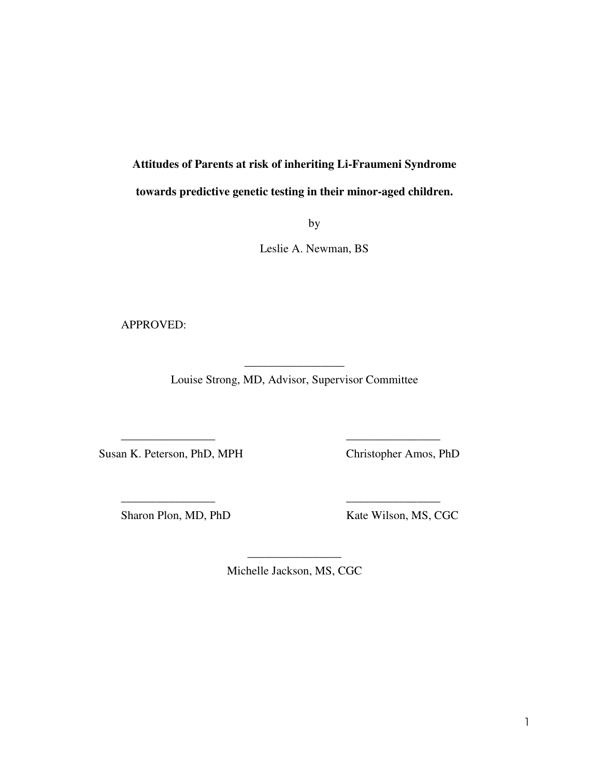# **Attitudes of Parents at risk of inheriting Li-Fraumeni Syndrome towards predictive genetic testing in their minor-aged children.**

by

Leslie A. Newman, BS

APPROVED:

 $\overline{\phantom{a}}$  , where  $\overline{\phantom{a}}$ Louise Strong, MD, Advisor, Supervisor Committee

\_\_\_\_\_\_\_\_\_\_\_\_\_\_\_\_ \_\_\_\_\_\_\_\_\_\_\_\_\_\_\_\_

\_\_\_\_\_\_\_\_\_\_\_\_\_\_\_\_ \_\_\_\_\_\_\_\_\_\_\_\_\_\_\_\_

Susan K. Peterson, PhD, MPH Christopher Amos, PhD

Sharon Plon, MD, PhD Kate Wilson, MS, CGC

\_\_\_\_\_\_\_\_\_\_\_\_\_\_\_\_ Michelle Jackson, MS, CGC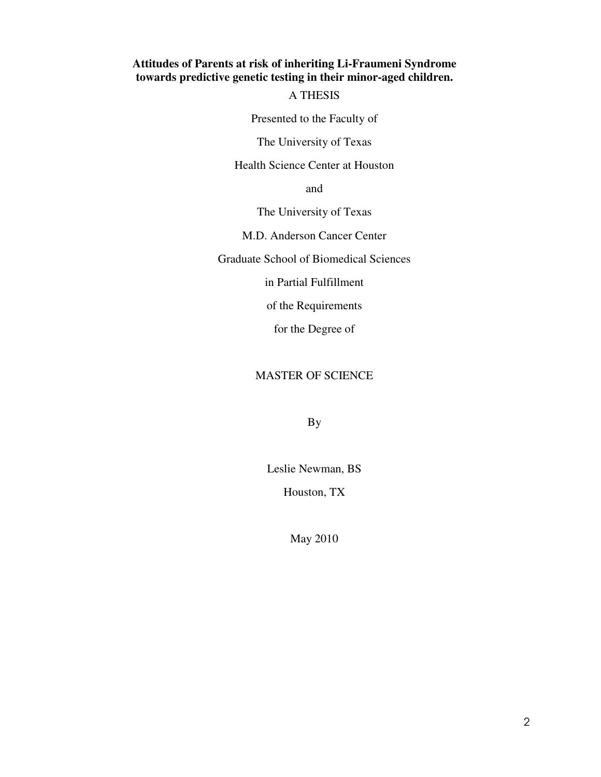### **Attitudes of Parents at risk of inheriting Li-Fraumeni Syndrome towards predictive genetic testing in their minor-aged children.**

### A THESIS

Presented to the Faculty of

The University of Texas

Health Science Center at Houston

and

The University of Texas

M.D. Anderson Cancer Center

Graduate School of Biomedical Sciences

in Partial Fulfillment

of the Requirements

for the Degree of

### MASTER OF SCIENCE

By

Leslie Newman, BS Houston, TX

May 2010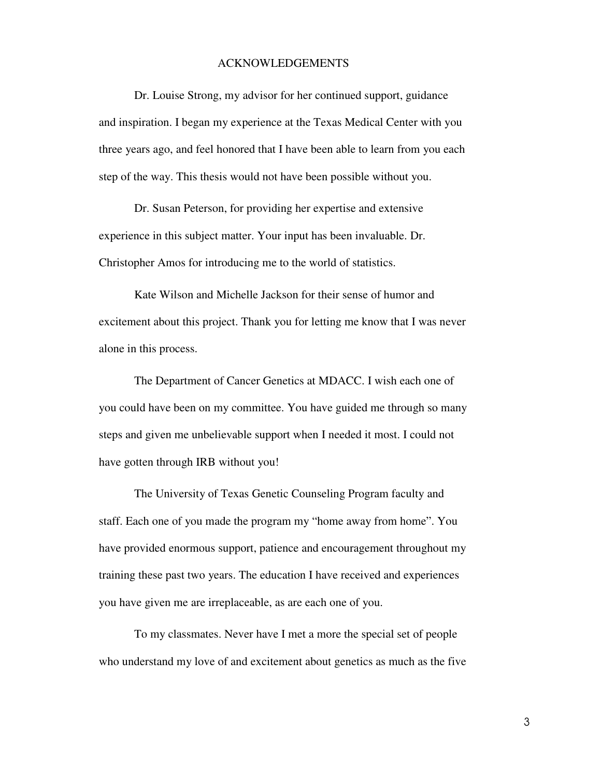#### ACKNOWLEDGEMENTS

 Dr. Louise Strong, my advisor for her continued support, guidance and inspiration. I began my experience at the Texas Medical Center with you three years ago, and feel honored that I have been able to learn from you each step of the way. This thesis would not have been possible without you.

 Dr. Susan Peterson, for providing her expertise and extensive experience in this subject matter. Your input has been invaluable. Dr. Christopher Amos for introducing me to the world of statistics.

 Kate Wilson and Michelle Jackson for their sense of humor and excitement about this project. Thank you for letting me know that I was never alone in this process.

 The Department of Cancer Genetics at MDACC. I wish each one of you could have been on my committee. You have guided me through so many steps and given me unbelievable support when I needed it most. I could not have gotten through IRB without you!

 The University of Texas Genetic Counseling Program faculty and staff. Each one of you made the program my "home away from home". You have provided enormous support, patience and encouragement throughout my training these past two years. The education I have received and experiences you have given me are irreplaceable, as are each one of you.

 To my classmates. Never have I met a more the special set of people who understand my love of and excitement about genetics as much as the five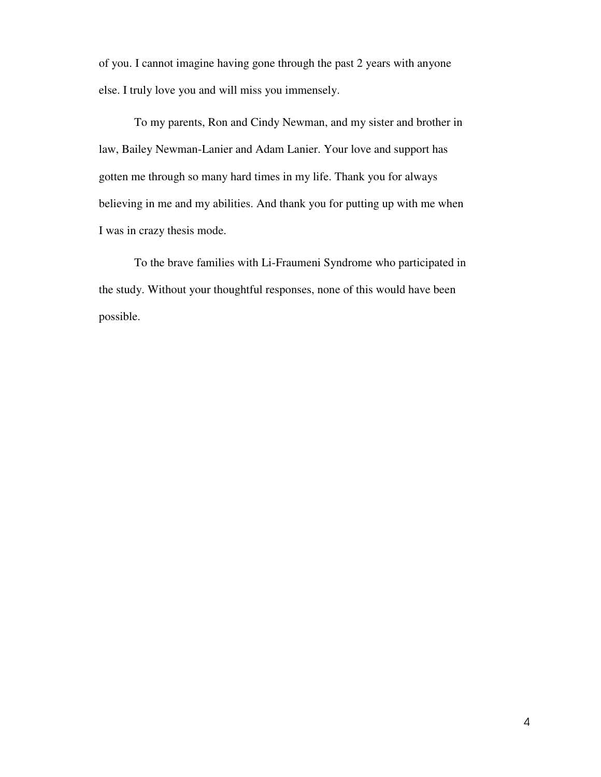of you. I cannot imagine having gone through the past 2 years with anyone else. I truly love you and will miss you immensely.

 To my parents, Ron and Cindy Newman, and my sister and brother in law, Bailey Newman-Lanier and Adam Lanier. Your love and support has gotten me through so many hard times in my life. Thank you for always believing in me and my abilities. And thank you for putting up with me when I was in crazy thesis mode.

 To the brave families with Li-Fraumeni Syndrome who participated in the study. Without your thoughtful responses, none of this would have been possible.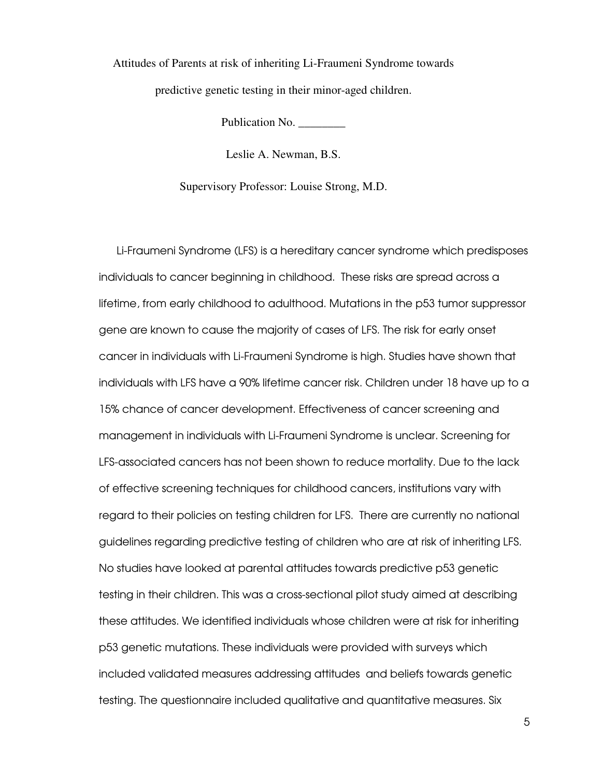Attitudes of Parents at risk of inheriting Li-Fraumeni Syndrome towards predictive genetic testing in their minor-aged children.

Publication No. \_\_\_\_\_\_\_\_

Leslie A. Newman, B.S.

Supervisory Professor: Louise Strong, M.D.

Li-Fraumeni Syndrome (LFS) is a hereditary cancer syndrome which predisposes individuals to cancer beginning in childhood. These risks are spread across a lifetime, from early childhood to adulthood. Mutations in the p53 tumor suppressor gene are known to cause the majority of cases of LFS. The risk for early onset cancer in individuals with Li-Fraumeni Syndrome is high. Studies have shown that individuals with LFS have a 90% lifetime cancer risk. Children under 18 have up to a 15% chance of cancer development. Effectiveness of cancer screening and management in individuals with Li-Fraumeni Syndrome is unclear. Screening for LFS-associated cancers has not been shown to reduce mortality. Due to the lack of effective screening techniques for childhood cancers, institutions vary with regard to their policies on testing children for LFS. There are currently no national guidelines regarding predictive testing of children who are at risk of inheriting LFS. No studies have looked at parental attitudes towards predictive p53 genetic testing in their children. This was a cross-sectional pilot study aimed at describing these attitudes. We identified individuals whose children were at risk for inheriting p53 genetic mutations. These individuals were provided with surveys which included validated measures addressing attitudes and beliefs towards genetic testing. The questionnaire included qualitative and quantitative measures. Six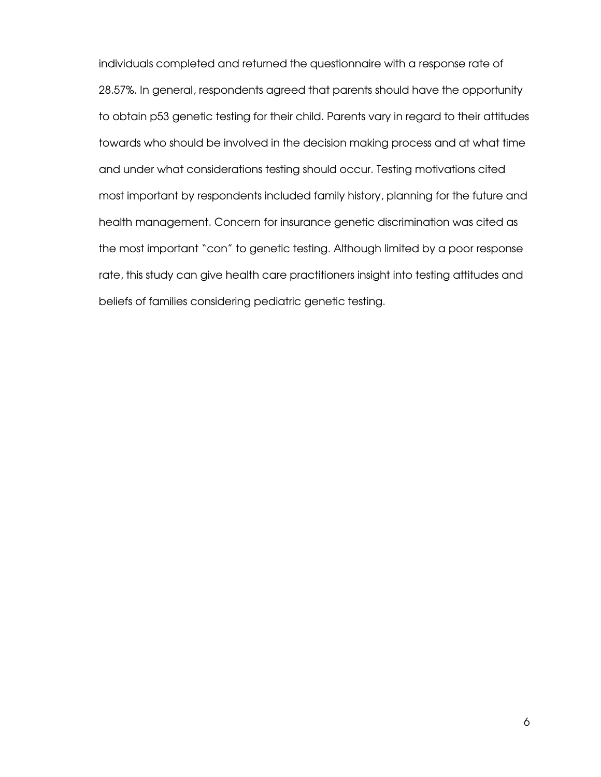individuals completed and returned the questionnaire with a response rate of 28.57%. In general, respondents agreed that parents should have the opportunity to obtain p53 genetic testing for their child. Parents vary in regard to their attitudes towards who should be involved in the decision making process and at what time and under what considerations testing should occur. Testing motivations cited most important by respondents included family history, planning for the future and health management. Concern for insurance genetic discrimination was cited as the most important "con" to genetic testing. Although limited by a poor response rate, this study can give health care practitioners insight into testing attitudes and beliefs of families considering pediatric genetic testing.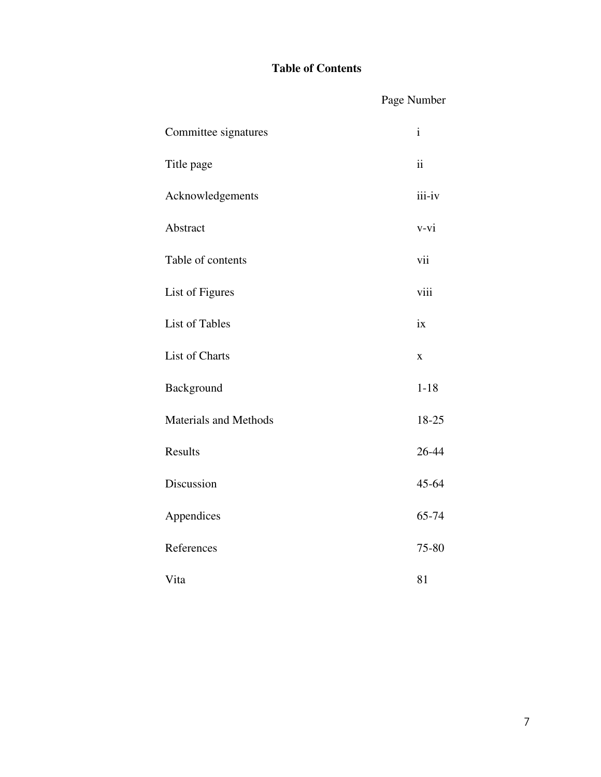### **Table of Contents**

|                              | Page Number  |
|------------------------------|--------------|
| Committee signatures         | $\mathbf{i}$ |
| Title page                   | ii           |
| Acknowledgements             | iii-iv       |
| Abstract                     | $v-vi$       |
| Table of contents            | vii          |
| List of Figures              | viii         |
| <b>List of Tables</b>        | ix           |
| List of Charts               | $\bf{X}$     |
| Background                   | $1 - 18$     |
| <b>Materials and Methods</b> | 18-25        |
| Results                      | 26-44        |
| Discussion                   | 45-64        |
| Appendices                   | 65-74        |
| References                   | 75-80        |
| Vita                         | 81           |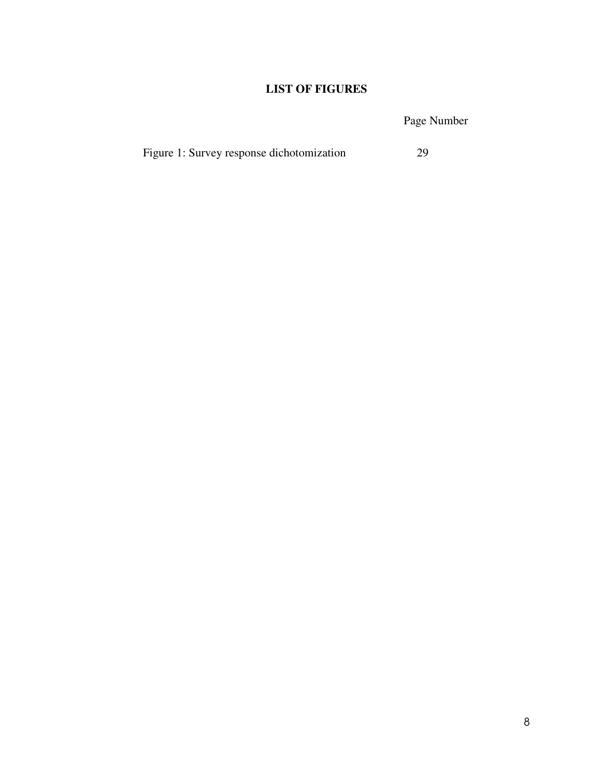### **LIST OF FIGURES**

Page Number

|  | Figure 1: Survey response dichotomization | 29 |
|--|-------------------------------------------|----|
|--|-------------------------------------------|----|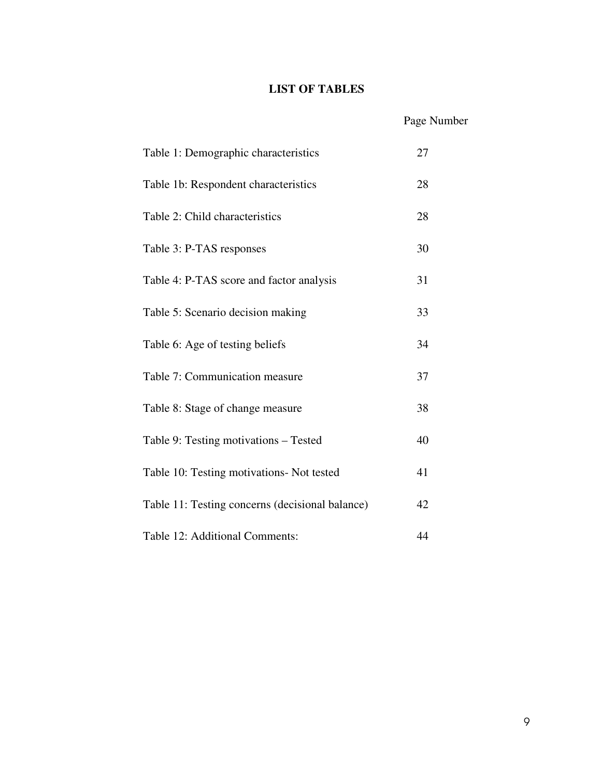### **LIST OF TABLES**

## Page Number

| Table 1: Demographic characteristics            | 27 |
|-------------------------------------------------|----|
| Table 1b: Respondent characteristics            | 28 |
| Table 2: Child characteristics                  | 28 |
| Table 3: P-TAS responses                        | 30 |
| Table 4: P-TAS score and factor analysis        | 31 |
| Table 5: Scenario decision making               | 33 |
| Table 6: Age of testing beliefs                 | 34 |
| Table 7: Communication measure                  | 37 |
| Table 8: Stage of change measure                | 38 |
| Table 9: Testing motivations – Tested           | 40 |
| Table 10: Testing motivations- Not tested       | 41 |
| Table 11: Testing concerns (decisional balance) | 42 |
| Table 12: Additional Comments:                  | 44 |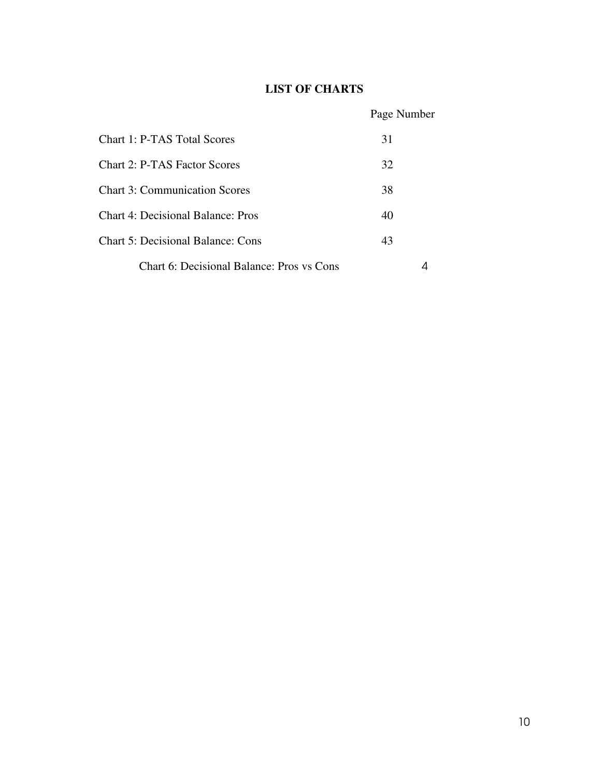### **LIST OF CHARTS**

### Page Number

| Chart 1: P-TAS Total Scores               | 31 |  |
|-------------------------------------------|----|--|
| <b>Chart 2: P-TAS Factor Scores</b>       | 32 |  |
| <b>Chart 3: Communication Scores</b>      | 38 |  |
| Chart 4: Decisional Balance: Pros         | 40 |  |
| <b>Chart 5: Decisional Balance: Cons</b>  | 43 |  |
| Chart 6: Decisional Balance: Pros vs Cons |    |  |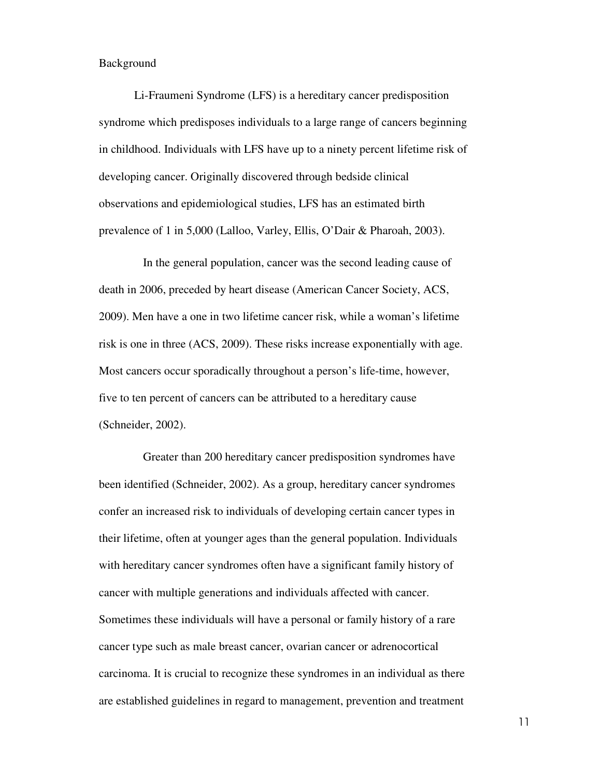### Background

 Li-Fraumeni Syndrome (LFS) is a hereditary cancer predisposition syndrome which predisposes individuals to a large range of cancers beginning in childhood. Individuals with LFS have up to a ninety percent lifetime risk of developing cancer. Originally discovered through bedside clinical observations and epidemiological studies, LFS has an estimated birth prevalence of 1 in 5,000 (Lalloo, Varley, Ellis, O'Dair & Pharoah, 2003).

In the general population, cancer was the second leading cause of death in 2006, preceded by heart disease (American Cancer Society, ACS, 2009). Men have a one in two lifetime cancer risk, while a woman's lifetime risk is one in three (ACS, 2009). These risks increase exponentially with age. Most cancers occur sporadically throughout a person's life-time, however, five to ten percent of cancers can be attributed to a hereditary cause (Schneider, 2002).

Greater than 200 hereditary cancer predisposition syndromes have been identified (Schneider, 2002). As a group, hereditary cancer syndromes confer an increased risk to individuals of developing certain cancer types in their lifetime, often at younger ages than the general population. Individuals with hereditary cancer syndromes often have a significant family history of cancer with multiple generations and individuals affected with cancer. Sometimes these individuals will have a personal or family history of a rare cancer type such as male breast cancer, ovarian cancer or adrenocortical carcinoma. It is crucial to recognize these syndromes in an individual as there are established guidelines in regard to management, prevention and treatment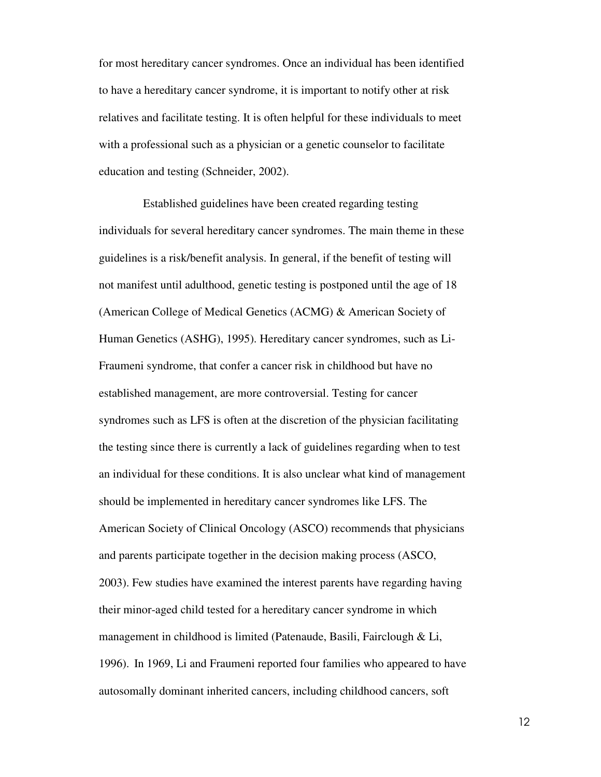for most hereditary cancer syndromes. Once an individual has been identified to have a hereditary cancer syndrome, it is important to notify other at risk relatives and facilitate testing. It is often helpful for these individuals to meet with a professional such as a physician or a genetic counselor to facilitate education and testing (Schneider, 2002).

Established guidelines have been created regarding testing individuals for several hereditary cancer syndromes. The main theme in these guidelines is a risk/benefit analysis. In general, if the benefit of testing will not manifest until adulthood, genetic testing is postponed until the age of 18 (American College of Medical Genetics (ACMG) & American Society of Human Genetics (ASHG), 1995). Hereditary cancer syndromes, such as Li-Fraumeni syndrome, that confer a cancer risk in childhood but have no established management, are more controversial. Testing for cancer syndromes such as LFS is often at the discretion of the physician facilitating the testing since there is currently a lack of guidelines regarding when to test an individual for these conditions. It is also unclear what kind of management should be implemented in hereditary cancer syndromes like LFS. The American Society of Clinical Oncology (ASCO) recommends that physicians and parents participate together in the decision making process (ASCO, 2003). Few studies have examined the interest parents have regarding having their minor-aged child tested for a hereditary cancer syndrome in which management in childhood is limited (Patenaude, Basili, Fairclough & Li, 1996). In 1969, Li and Fraumeni reported four families who appeared to have autosomally dominant inherited cancers, including childhood cancers, soft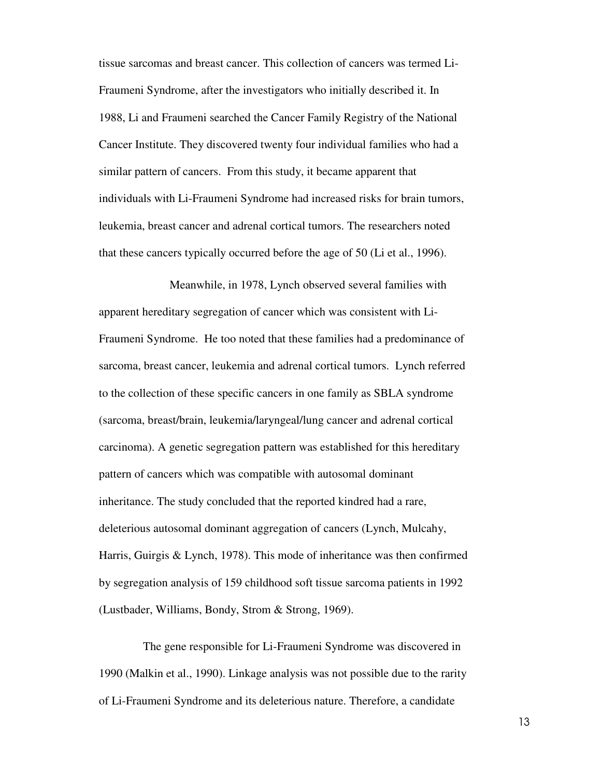tissue sarcomas and breast cancer. This collection of cancers was termed Li-Fraumeni Syndrome, after the investigators who initially described it. In 1988, Li and Fraumeni searched the Cancer Family Registry of the National Cancer Institute. They discovered twenty four individual families who had a similar pattern of cancers. From this study, it became apparent that individuals with Li-Fraumeni Syndrome had increased risks for brain tumors, leukemia, breast cancer and adrenal cortical tumors. The researchers noted that these cancers typically occurred before the age of 50 (Li et al., 1996).

 Meanwhile, in 1978, Lynch observed several families with apparent hereditary segregation of cancer which was consistent with Li-Fraumeni Syndrome. He too noted that these families had a predominance of sarcoma, breast cancer, leukemia and adrenal cortical tumors. Lynch referred to the collection of these specific cancers in one family as SBLA syndrome (sarcoma, breast/brain, leukemia/laryngeal/lung cancer and adrenal cortical carcinoma). A genetic segregation pattern was established for this hereditary pattern of cancers which was compatible with autosomal dominant inheritance. The study concluded that the reported kindred had a rare, deleterious autosomal dominant aggregation of cancers (Lynch, Mulcahy, Harris, Guirgis & Lynch, 1978). This mode of inheritance was then confirmed by segregation analysis of 159 childhood soft tissue sarcoma patients in 1992 (Lustbader, Williams, Bondy, Strom & Strong, 1969).

The gene responsible for Li-Fraumeni Syndrome was discovered in 1990 (Malkin et al., 1990). Linkage analysis was not possible due to the rarity of Li-Fraumeni Syndrome and its deleterious nature. Therefore, a candidate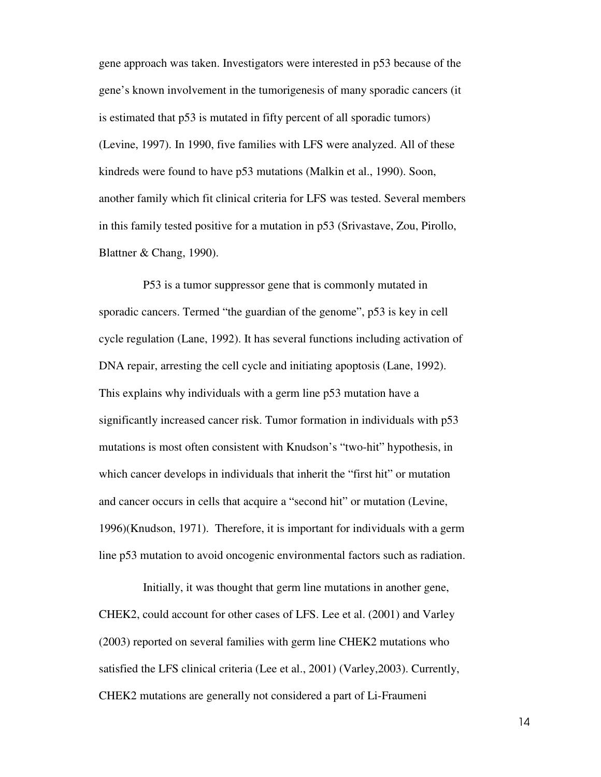gene approach was taken. Investigators were interested in p53 because of the gene's known involvement in the tumorigenesis of many sporadic cancers (it is estimated that p53 is mutated in fifty percent of all sporadic tumors) (Levine, 1997). In 1990, five families with LFS were analyzed. All of these kindreds were found to have p53 mutations (Malkin et al., 1990). Soon, another family which fit clinical criteria for LFS was tested. Several members in this family tested positive for a mutation in p53 (Srivastave, Zou, Pirollo, Blattner & Chang, 1990).

P53 is a tumor suppressor gene that is commonly mutated in sporadic cancers. Termed "the guardian of the genome", p53 is key in cell cycle regulation (Lane, 1992). It has several functions including activation of DNA repair, arresting the cell cycle and initiating apoptosis (Lane, 1992). This explains why individuals with a germ line p53 mutation have a significantly increased cancer risk. Tumor formation in individuals with p53 mutations is most often consistent with Knudson's "two-hit" hypothesis, in which cancer develops in individuals that inherit the "first hit" or mutation and cancer occurs in cells that acquire a "second hit" or mutation (Levine, 1996)(Knudson, 1971). Therefore, it is important for individuals with a germ line p53 mutation to avoid oncogenic environmental factors such as radiation.

Initially, it was thought that germ line mutations in another gene, CHEK2, could account for other cases of LFS. Lee et al. (2001) and Varley (2003) reported on several families with germ line CHEK2 mutations who satisfied the LFS clinical criteria (Lee et al., 2001) (Varley,2003). Currently, CHEK2 mutations are generally not considered a part of Li-Fraumeni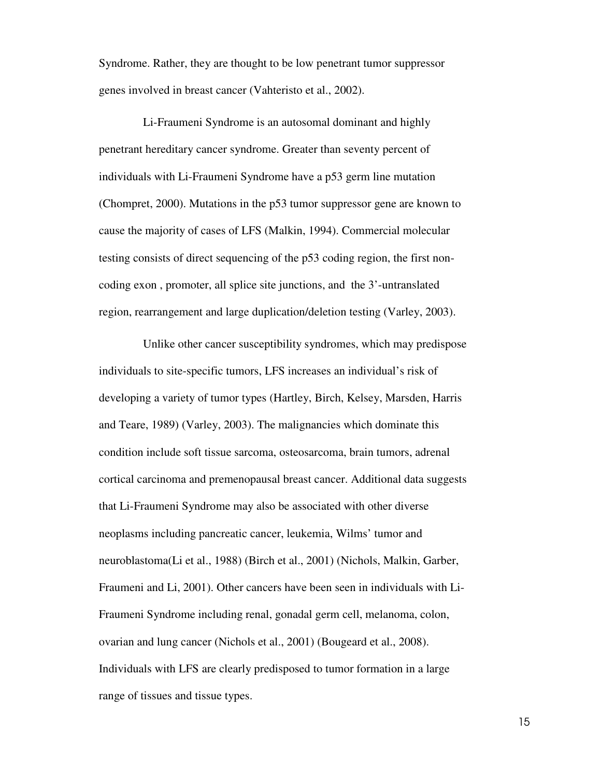Syndrome. Rather, they are thought to be low penetrant tumor suppressor genes involved in breast cancer (Vahteristo et al., 2002).

Li-Fraumeni Syndrome is an autosomal dominant and highly penetrant hereditary cancer syndrome. Greater than seventy percent of individuals with Li-Fraumeni Syndrome have a p53 germ line mutation (Chompret, 2000). Mutations in the p53 tumor suppressor gene are known to cause the majority of cases of LFS (Malkin, 1994). Commercial molecular testing consists of direct sequencing of the p53 coding region, the first noncoding exon , promoter, all splice site junctions, and the 3'-untranslated region, rearrangement and large duplication/deletion testing (Varley, 2003).

Unlike other cancer susceptibility syndromes, which may predispose individuals to site-specific tumors, LFS increases an individual's risk of developing a variety of tumor types (Hartley, Birch, Kelsey, Marsden, Harris and Teare, 1989) (Varley, 2003). The malignancies which dominate this condition include soft tissue sarcoma, osteosarcoma, brain tumors, adrenal cortical carcinoma and premenopausal breast cancer. Additional data suggests that Li-Fraumeni Syndrome may also be associated with other diverse neoplasms including pancreatic cancer, leukemia, Wilms' tumor and neuroblastoma(Li et al., 1988) (Birch et al., 2001) (Nichols, Malkin, Garber, Fraumeni and Li, 2001). Other cancers have been seen in individuals with Li-Fraumeni Syndrome including renal, gonadal germ cell, melanoma, colon, ovarian and lung cancer (Nichols et al., 2001) (Bougeard et al., 2008). Individuals with LFS are clearly predisposed to tumor formation in a large range of tissues and tissue types.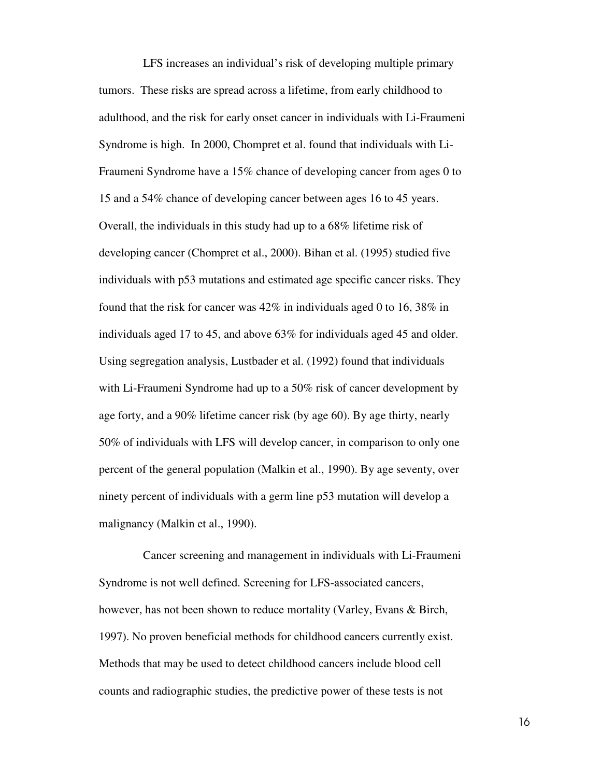LFS increases an individual's risk of developing multiple primary tumors. These risks are spread across a lifetime, from early childhood to adulthood, and the risk for early onset cancer in individuals with Li-Fraumeni Syndrome is high. In 2000, Chompret et al. found that individuals with Li-Fraumeni Syndrome have a 15% chance of developing cancer from ages 0 to 15 and a 54% chance of developing cancer between ages 16 to 45 years. Overall, the individuals in this study had up to a 68% lifetime risk of developing cancer (Chompret et al., 2000). Bihan et al. (1995) studied five individuals with p53 mutations and estimated age specific cancer risks. They found that the risk for cancer was 42% in individuals aged 0 to 16, 38% in individuals aged 17 to 45, and above 63% for individuals aged 45 and older. Using segregation analysis, Lustbader et al. (1992) found that individuals with Li-Fraumeni Syndrome had up to a 50% risk of cancer development by age forty, and a 90% lifetime cancer risk (by age 60). By age thirty, nearly 50% of individuals with LFS will develop cancer, in comparison to only one percent of the general population (Malkin et al., 1990). By age seventy, over ninety percent of individuals with a germ line p53 mutation will develop a malignancy (Malkin et al., 1990).

Cancer screening and management in individuals with Li-Fraumeni Syndrome is not well defined. Screening for LFS-associated cancers, however, has not been shown to reduce mortality (Varley, Evans & Birch, 1997). No proven beneficial methods for childhood cancers currently exist. Methods that may be used to detect childhood cancers include blood cell counts and radiographic studies, the predictive power of these tests is not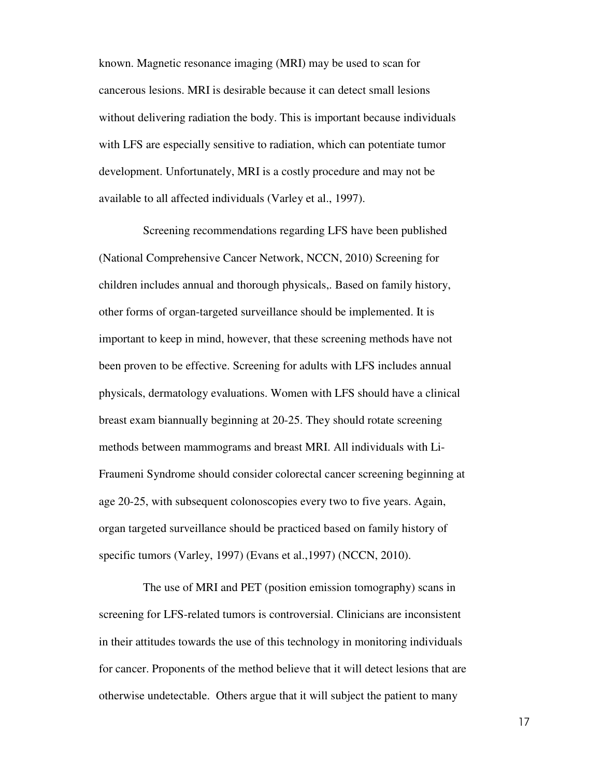known. Magnetic resonance imaging (MRI) may be used to scan for cancerous lesions. MRI is desirable because it can detect small lesions without delivering radiation the body. This is important because individuals with LFS are especially sensitive to radiation, which can potentiate tumor development. Unfortunately, MRI is a costly procedure and may not be available to all affected individuals (Varley et al., 1997).

Screening recommendations regarding LFS have been published (National Comprehensive Cancer Network, NCCN, 2010) Screening for children includes annual and thorough physicals,. Based on family history, other forms of organ-targeted surveillance should be implemented. It is important to keep in mind, however, that these screening methods have not been proven to be effective. Screening for adults with LFS includes annual physicals, dermatology evaluations. Women with LFS should have a clinical breast exam biannually beginning at 20-25. They should rotate screening methods between mammograms and breast MRI. All individuals with Li-Fraumeni Syndrome should consider colorectal cancer screening beginning at age 20-25, with subsequent colonoscopies every two to five years. Again, organ targeted surveillance should be practiced based on family history of specific tumors (Varley, 1997) (Evans et al.,1997) (NCCN, 2010).

The use of MRI and PET (position emission tomography) scans in screening for LFS-related tumors is controversial. Clinicians are inconsistent in their attitudes towards the use of this technology in monitoring individuals for cancer. Proponents of the method believe that it will detect lesions that are otherwise undetectable. Others argue that it will subject the patient to many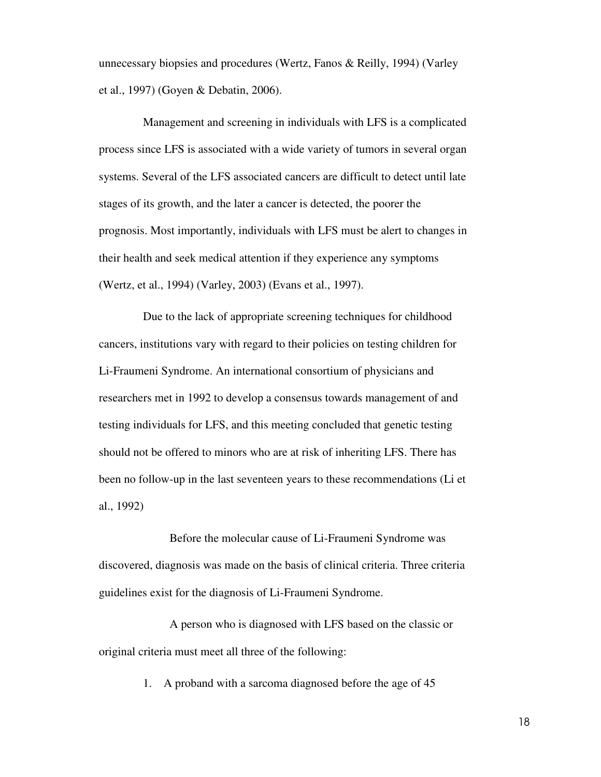unnecessary biopsies and procedures (Wertz, Fanos & Reilly, 1994) (Varley et al., 1997) (Goyen & Debatin, 2006).

Management and screening in individuals with LFS is a complicated process since LFS is associated with a wide variety of tumors in several organ systems. Several of the LFS associated cancers are difficult to detect until late stages of its growth, and the later a cancer is detected, the poorer the prognosis. Most importantly, individuals with LFS must be alert to changes in their health and seek medical attention if they experience any symptoms (Wertz, et al., 1994) (Varley, 2003) (Evans et al., 1997).

Due to the lack of appropriate screening techniques for childhood cancers, institutions vary with regard to their policies on testing children for Li-Fraumeni Syndrome. An international consortium of physicians and researchers met in 1992 to develop a consensus towards management of and testing individuals for LFS, and this meeting concluded that genetic testing should not be offered to minors who are at risk of inheriting LFS. There has been no follow-up in the last seventeen years to these recommendations (Li et al., 1992)

 Before the molecular cause of Li-Fraumeni Syndrome was discovered, diagnosis was made on the basis of clinical criteria. Three criteria guidelines exist for the diagnosis of Li-Fraumeni Syndrome.

 A person who is diagnosed with LFS based on the classic or original criteria must meet all three of the following:

1. A proband with a sarcoma diagnosed before the age of 45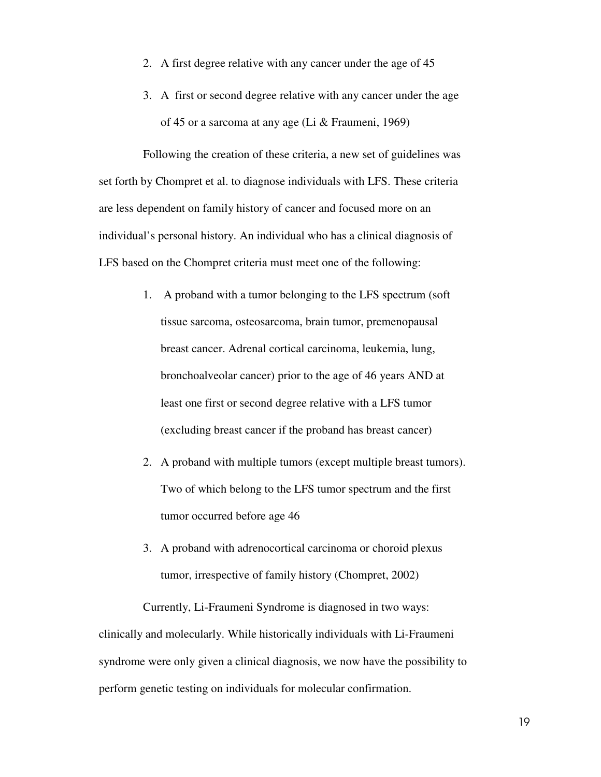- 2. A first degree relative with any cancer under the age of 45
- 3. A first or second degree relative with any cancer under the age of 45 or a sarcoma at any age (Li & Fraumeni, 1969)

Following the creation of these criteria, a new set of guidelines was set forth by Chompret et al. to diagnose individuals with LFS. These criteria are less dependent on family history of cancer and focused more on an individual's personal history. An individual who has a clinical diagnosis of LFS based on the Chompret criteria must meet one of the following:

- 1. A proband with a tumor belonging to the LFS spectrum (soft tissue sarcoma, osteosarcoma, brain tumor, premenopausal breast cancer. Adrenal cortical carcinoma, leukemia, lung, bronchoalveolar cancer) prior to the age of 46 years AND at least one first or second degree relative with a LFS tumor (excluding breast cancer if the proband has breast cancer)
- 2. A proband with multiple tumors (except multiple breast tumors). Two of which belong to the LFS tumor spectrum and the first tumor occurred before age 46
- 3. A proband with adrenocortical carcinoma or choroid plexus tumor, irrespective of family history (Chompret, 2002)

Currently, Li-Fraumeni Syndrome is diagnosed in two ways: clinically and molecularly. While historically individuals with Li-Fraumeni syndrome were only given a clinical diagnosis, we now have the possibility to perform genetic testing on individuals for molecular confirmation.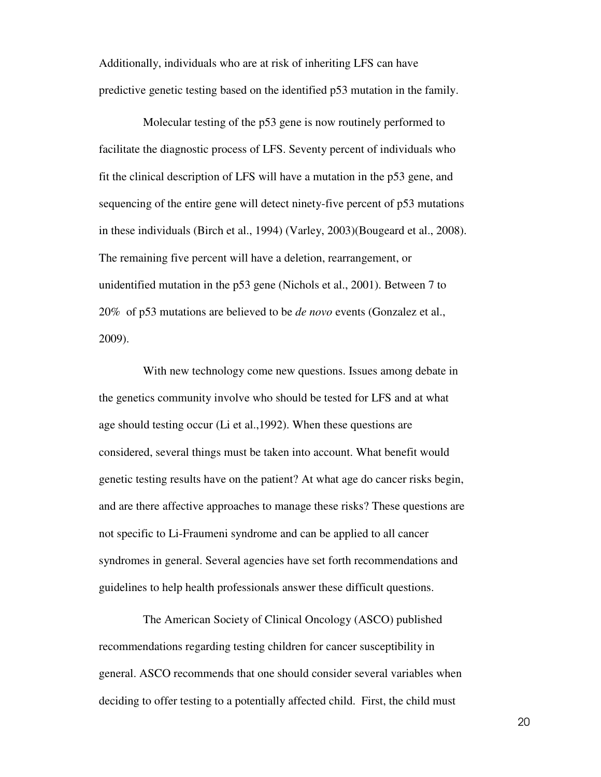Additionally, individuals who are at risk of inheriting LFS can have predictive genetic testing based on the identified p53 mutation in the family.

Molecular testing of the p53 gene is now routinely performed to facilitate the diagnostic process of LFS. Seventy percent of individuals who fit the clinical description of LFS will have a mutation in the p53 gene, and sequencing of the entire gene will detect ninety-five percent of p53 mutations in these individuals (Birch et al., 1994) (Varley, 2003)(Bougeard et al., 2008). The remaining five percent will have a deletion, rearrangement, or unidentified mutation in the p53 gene (Nichols et al., 2001). Between 7 to 20% of p53 mutations are believed to be *de novo* events (Gonzalez et al., 2009).

With new technology come new questions. Issues among debate in the genetics community involve who should be tested for LFS and at what age should testing occur (Li et al.,1992). When these questions are considered, several things must be taken into account. What benefit would genetic testing results have on the patient? At what age do cancer risks begin, and are there affective approaches to manage these risks? These questions are not specific to Li-Fraumeni syndrome and can be applied to all cancer syndromes in general. Several agencies have set forth recommendations and guidelines to help health professionals answer these difficult questions.

The American Society of Clinical Oncology (ASCO) published recommendations regarding testing children for cancer susceptibility in general. ASCO recommends that one should consider several variables when deciding to offer testing to a potentially affected child. First, the child must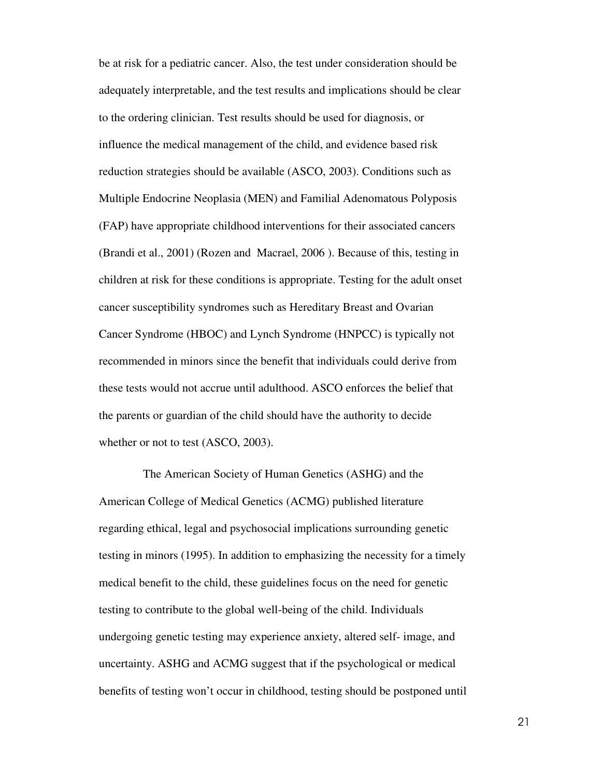be at risk for a pediatric cancer. Also, the test under consideration should be adequately interpretable, and the test results and implications should be clear to the ordering clinician. Test results should be used for diagnosis, or influence the medical management of the child, and evidence based risk reduction strategies should be available (ASCO, 2003). Conditions such as Multiple Endocrine Neoplasia (MEN) and Familial Adenomatous Polyposis (FAP) have appropriate childhood interventions for their associated cancers (Brandi et al., 2001) (Rozen and Macrael, 2006 ). Because of this, testing in children at risk for these conditions is appropriate. Testing for the adult onset cancer susceptibility syndromes such as Hereditary Breast and Ovarian Cancer Syndrome (HBOC) and Lynch Syndrome (HNPCC) is typically not recommended in minors since the benefit that individuals could derive from these tests would not accrue until adulthood. ASCO enforces the belief that the parents or guardian of the child should have the authority to decide whether or not to test (ASCO, 2003).

The American Society of Human Genetics (ASHG) and the American College of Medical Genetics (ACMG) published literature regarding ethical, legal and psychosocial implications surrounding genetic testing in minors (1995). In addition to emphasizing the necessity for a timely medical benefit to the child, these guidelines focus on the need for genetic testing to contribute to the global well-being of the child. Individuals undergoing genetic testing may experience anxiety, altered self- image, and uncertainty. ASHG and ACMG suggest that if the psychological or medical benefits of testing won't occur in childhood, testing should be postponed until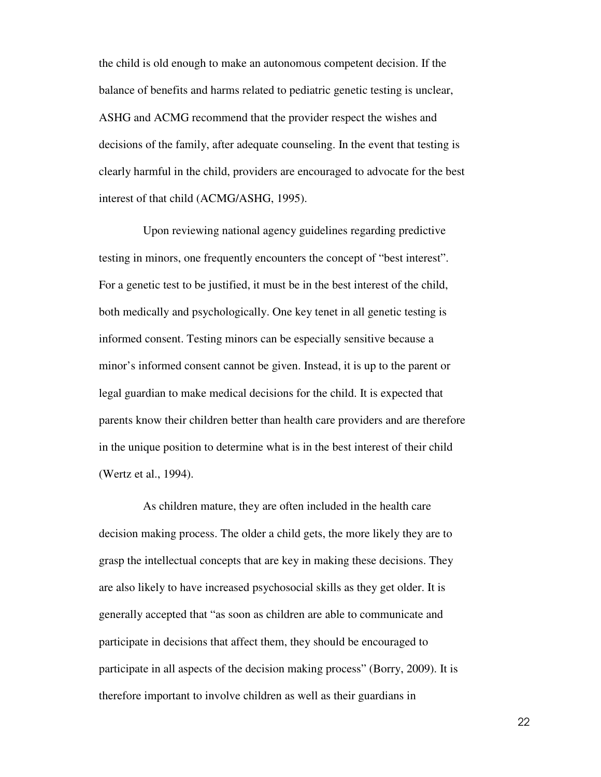the child is old enough to make an autonomous competent decision. If the balance of benefits and harms related to pediatric genetic testing is unclear, ASHG and ACMG recommend that the provider respect the wishes and decisions of the family, after adequate counseling. In the event that testing is clearly harmful in the child, providers are encouraged to advocate for the best interest of that child (ACMG/ASHG, 1995).

Upon reviewing national agency guidelines regarding predictive testing in minors, one frequently encounters the concept of "best interest". For a genetic test to be justified, it must be in the best interest of the child, both medically and psychologically. One key tenet in all genetic testing is informed consent. Testing minors can be especially sensitive because a minor's informed consent cannot be given. Instead, it is up to the parent or legal guardian to make medical decisions for the child. It is expected that parents know their children better than health care providers and are therefore in the unique position to determine what is in the best interest of their child (Wertz et al., 1994).

As children mature, they are often included in the health care decision making process. The older a child gets, the more likely they are to grasp the intellectual concepts that are key in making these decisions. They are also likely to have increased psychosocial skills as they get older. It is generally accepted that "as soon as children are able to communicate and participate in decisions that affect them, they should be encouraged to participate in all aspects of the decision making process" (Borry, 2009). It is therefore important to involve children as well as their guardians in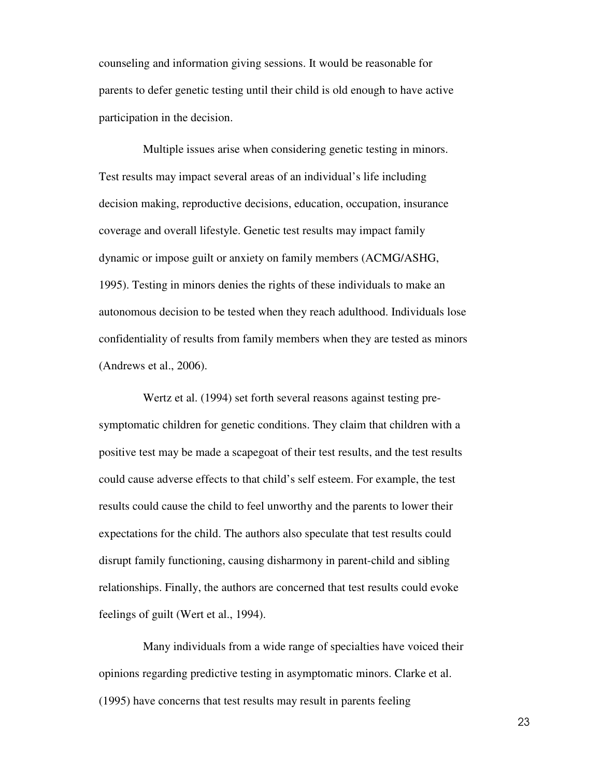counseling and information giving sessions. It would be reasonable for parents to defer genetic testing until their child is old enough to have active participation in the decision.

Multiple issues arise when considering genetic testing in minors. Test results may impact several areas of an individual's life including decision making, reproductive decisions, education, occupation, insurance coverage and overall lifestyle. Genetic test results may impact family dynamic or impose guilt or anxiety on family members (ACMG/ASHG, 1995). Testing in minors denies the rights of these individuals to make an autonomous decision to be tested when they reach adulthood. Individuals lose confidentiality of results from family members when they are tested as minors (Andrews et al., 2006).

Wertz et al. (1994) set forth several reasons against testing presymptomatic children for genetic conditions. They claim that children with a positive test may be made a scapegoat of their test results, and the test results could cause adverse effects to that child's self esteem. For example, the test results could cause the child to feel unworthy and the parents to lower their expectations for the child. The authors also speculate that test results could disrupt family functioning, causing disharmony in parent-child and sibling relationships. Finally, the authors are concerned that test results could evoke feelings of guilt (Wert et al., 1994).

Many individuals from a wide range of specialties have voiced their opinions regarding predictive testing in asymptomatic minors. Clarke et al. (1995) have concerns that test results may result in parents feeling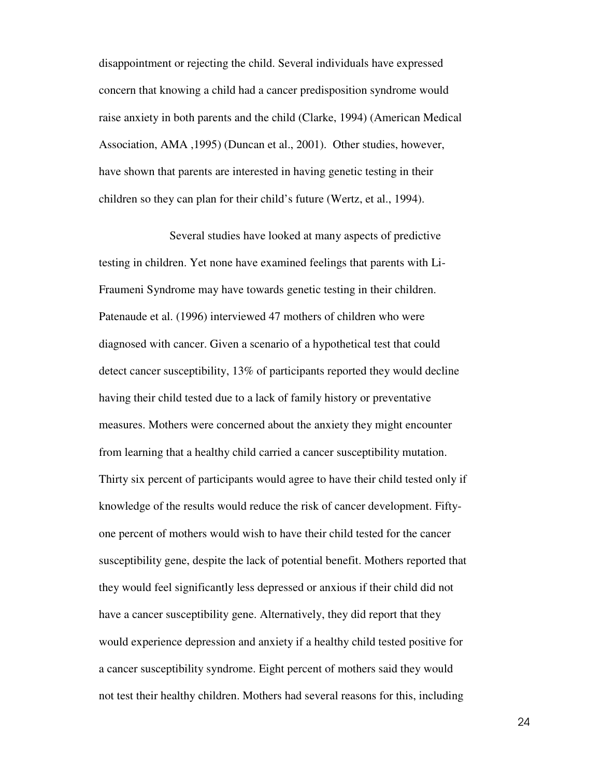disappointment or rejecting the child. Several individuals have expressed concern that knowing a child had a cancer predisposition syndrome would raise anxiety in both parents and the child (Clarke, 1994) (American Medical Association, AMA ,1995) (Duncan et al., 2001). Other studies, however, have shown that parents are interested in having genetic testing in their children so they can plan for their child's future (Wertz, et al., 1994).

 Several studies have looked at many aspects of predictive testing in children. Yet none have examined feelings that parents with Li-Fraumeni Syndrome may have towards genetic testing in their children. Patenaude et al. (1996) interviewed 47 mothers of children who were diagnosed with cancer. Given a scenario of a hypothetical test that could detect cancer susceptibility, 13% of participants reported they would decline having their child tested due to a lack of family history or preventative measures. Mothers were concerned about the anxiety they might encounter from learning that a healthy child carried a cancer susceptibility mutation. Thirty six percent of participants would agree to have their child tested only if knowledge of the results would reduce the risk of cancer development. Fiftyone percent of mothers would wish to have their child tested for the cancer susceptibility gene, despite the lack of potential benefit. Mothers reported that they would feel significantly less depressed or anxious if their child did not have a cancer susceptibility gene. Alternatively, they did report that they would experience depression and anxiety if a healthy child tested positive for a cancer susceptibility syndrome. Eight percent of mothers said they would not test their healthy children. Mothers had several reasons for this, including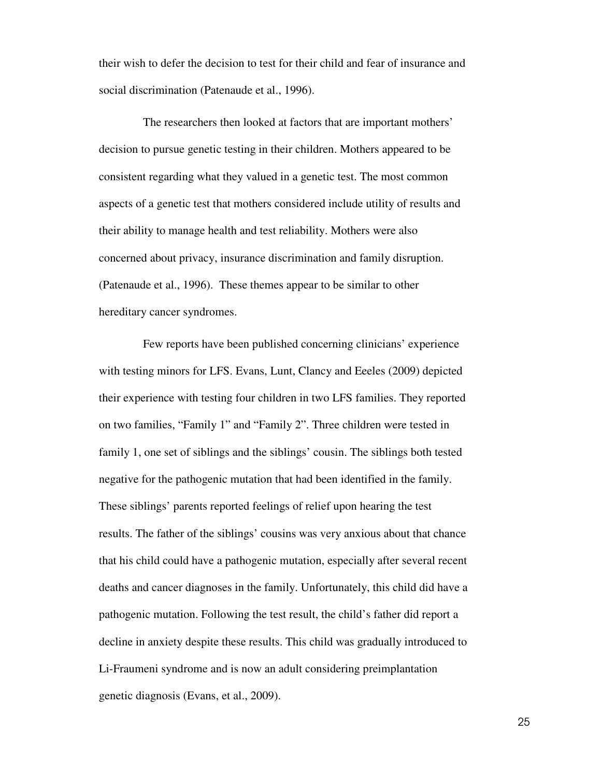their wish to defer the decision to test for their child and fear of insurance and social discrimination (Patenaude et al., 1996).

The researchers then looked at factors that are important mothers' decision to pursue genetic testing in their children. Mothers appeared to be consistent regarding what they valued in a genetic test. The most common aspects of a genetic test that mothers considered include utility of results and their ability to manage health and test reliability. Mothers were also concerned about privacy, insurance discrimination and family disruption. (Patenaude et al., 1996). These themes appear to be similar to other hereditary cancer syndromes.

Few reports have been published concerning clinicians' experience with testing minors for LFS. Evans, Lunt, Clancy and Eeeles (2009) depicted their experience with testing four children in two LFS families. They reported on two families, "Family 1" and "Family 2". Three children were tested in family 1, one set of siblings and the siblings' cousin. The siblings both tested negative for the pathogenic mutation that had been identified in the family. These siblings' parents reported feelings of relief upon hearing the test results. The father of the siblings' cousins was very anxious about that chance that his child could have a pathogenic mutation, especially after several recent deaths and cancer diagnoses in the family. Unfortunately, this child did have a pathogenic mutation. Following the test result, the child's father did report a decline in anxiety despite these results. This child was gradually introduced to Li-Fraumeni syndrome and is now an adult considering preimplantation genetic diagnosis (Evans, et al., 2009).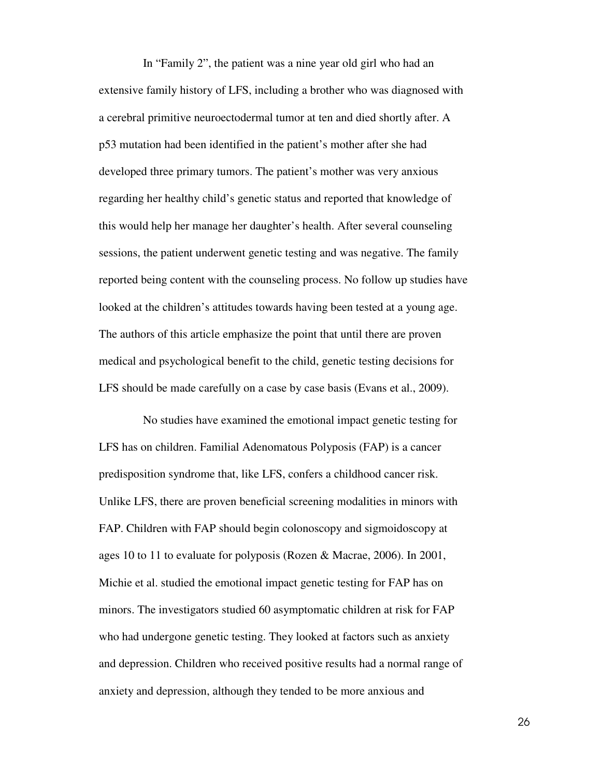In "Family 2", the patient was a nine year old girl who had an extensive family history of LFS, including a brother who was diagnosed with a cerebral primitive neuroectodermal tumor at ten and died shortly after. A p53 mutation had been identified in the patient's mother after she had developed three primary tumors. The patient's mother was very anxious regarding her healthy child's genetic status and reported that knowledge of this would help her manage her daughter's health. After several counseling sessions, the patient underwent genetic testing and was negative. The family reported being content with the counseling process. No follow up studies have looked at the children's attitudes towards having been tested at a young age. The authors of this article emphasize the point that until there are proven medical and psychological benefit to the child, genetic testing decisions for LFS should be made carefully on a case by case basis (Evans et al., 2009).

No studies have examined the emotional impact genetic testing for LFS has on children. Familial Adenomatous Polyposis (FAP) is a cancer predisposition syndrome that, like LFS, confers a childhood cancer risk. Unlike LFS, there are proven beneficial screening modalities in minors with FAP. Children with FAP should begin colonoscopy and sigmoidoscopy at ages 10 to 11 to evaluate for polyposis (Rozen & Macrae, 2006). In 2001, Michie et al. studied the emotional impact genetic testing for FAP has on minors. The investigators studied 60 asymptomatic children at risk for FAP who had undergone genetic testing. They looked at factors such as anxiety and depression. Children who received positive results had a normal range of anxiety and depression, although they tended to be more anxious and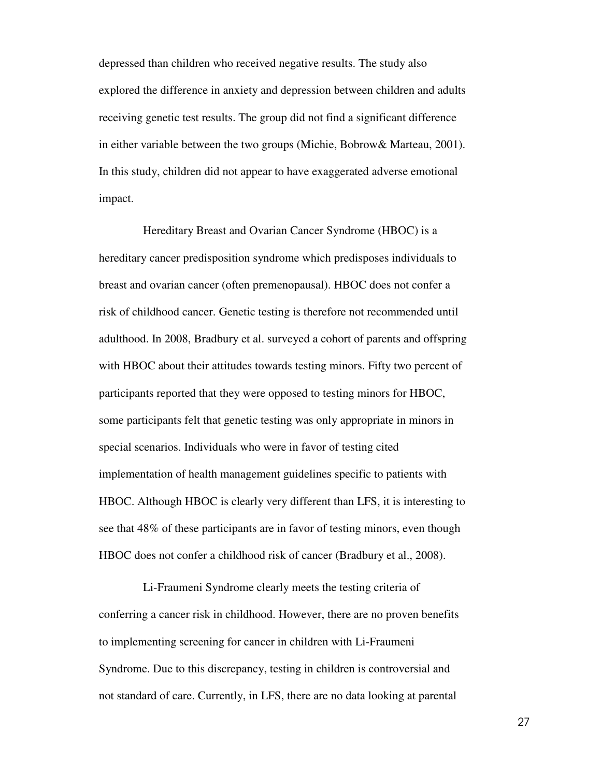depressed than children who received negative results. The study also explored the difference in anxiety and depression between children and adults receiving genetic test results. The group did not find a significant difference in either variable between the two groups (Michie, Bobrow& Marteau, 2001). In this study, children did not appear to have exaggerated adverse emotional impact.

Hereditary Breast and Ovarian Cancer Syndrome (HBOC) is a hereditary cancer predisposition syndrome which predisposes individuals to breast and ovarian cancer (often premenopausal). HBOC does not confer a risk of childhood cancer. Genetic testing is therefore not recommended until adulthood. In 2008, Bradbury et al. surveyed a cohort of parents and offspring with HBOC about their attitudes towards testing minors. Fifty two percent of participants reported that they were opposed to testing minors for HBOC, some participants felt that genetic testing was only appropriate in minors in special scenarios. Individuals who were in favor of testing cited implementation of health management guidelines specific to patients with HBOC. Although HBOC is clearly very different than LFS, it is interesting to see that 48% of these participants are in favor of testing minors, even though HBOC does not confer a childhood risk of cancer (Bradbury et al., 2008).

Li-Fraumeni Syndrome clearly meets the testing criteria of conferring a cancer risk in childhood. However, there are no proven benefits to implementing screening for cancer in children with Li-Fraumeni Syndrome. Due to this discrepancy, testing in children is controversial and not standard of care. Currently, in LFS, there are no data looking at parental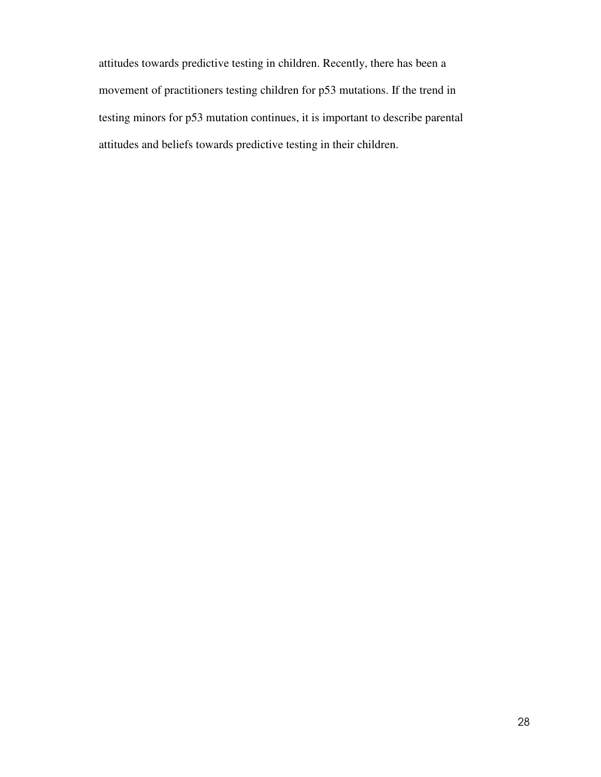attitudes towards predictive testing in children. Recently, there has been a movement of practitioners testing children for p53 mutations. If the trend in testing minors for p53 mutation continues, it is important to describe parental attitudes and beliefs towards predictive testing in their children.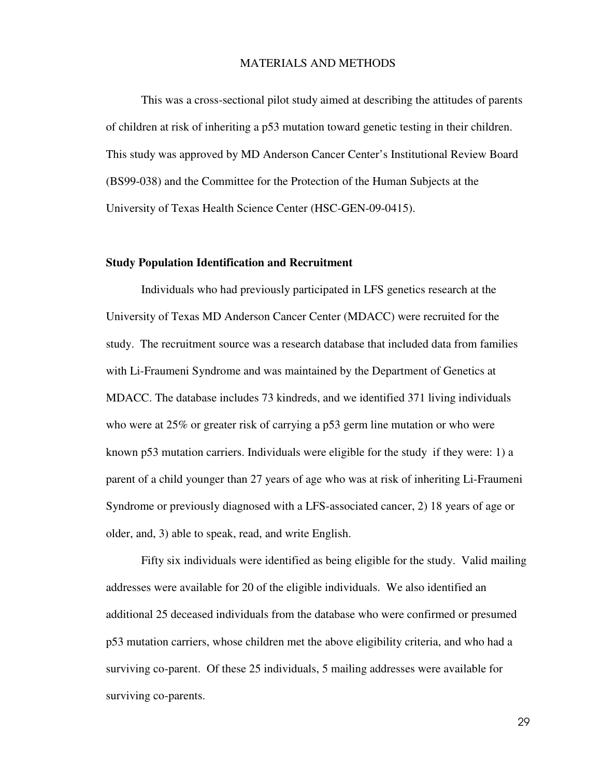#### MATERIALS AND METHODS

This was a cross-sectional pilot study aimed at describing the attitudes of parents of children at risk of inheriting a p53 mutation toward genetic testing in their children. This study was approved by MD Anderson Cancer Center's Institutional Review Board (BS99-038) and the Committee for the Protection of the Human Subjects at the University of Texas Health Science Center (HSC-GEN-09-0415).

#### **Study Population Identification and Recruitment**

Individuals who had previously participated in LFS genetics research at the University of Texas MD Anderson Cancer Center (MDACC) were recruited for the study. The recruitment source was a research database that included data from families with Li-Fraumeni Syndrome and was maintained by the Department of Genetics at MDACC. The database includes 73 kindreds, and we identified 371 living individuals who were at 25% or greater risk of carrying a p53 germ line mutation or who were known p53 mutation carriers. Individuals were eligible for the study if they were: 1) a parent of a child younger than 27 years of age who was at risk of inheriting Li-Fraumeni Syndrome or previously diagnosed with a LFS-associated cancer, 2) 18 years of age or older, and, 3) able to speak, read, and write English.

Fifty six individuals were identified as being eligible for the study. Valid mailing addresses were available for 20 of the eligible individuals. We also identified an additional 25 deceased individuals from the database who were confirmed or presumed p53 mutation carriers, whose children met the above eligibility criteria, and who had a surviving co-parent. Of these 25 individuals, 5 mailing addresses were available for surviving co-parents.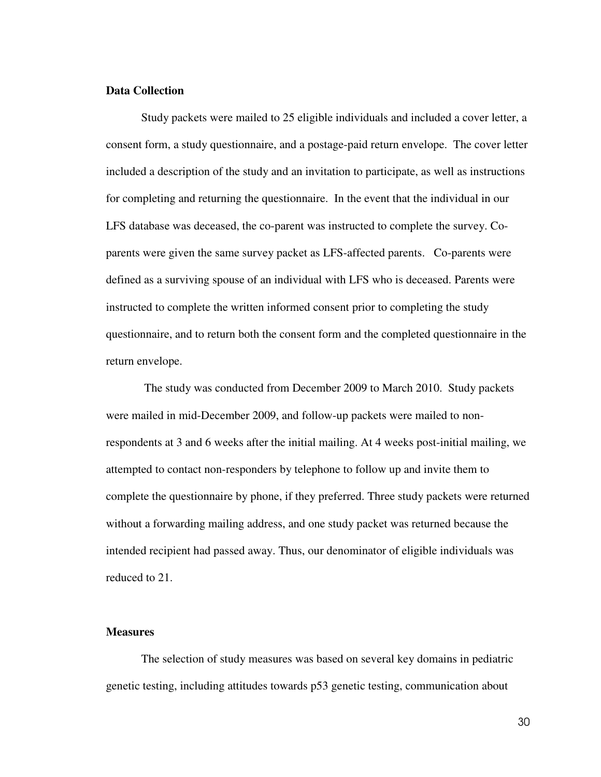### **Data Collection**

Study packets were mailed to 25 eligible individuals and included a cover letter, a consent form, a study questionnaire, and a postage-paid return envelope. The cover letter included a description of the study and an invitation to participate, as well as instructions for completing and returning the questionnaire. In the event that the individual in our LFS database was deceased, the co-parent was instructed to complete the survey. Coparents were given the same survey packet as LFS-affected parents. Co-parents were defined as a surviving spouse of an individual with LFS who is deceased. Parents were instructed to complete the written informed consent prior to completing the study questionnaire, and to return both the consent form and the completed questionnaire in the return envelope.

 The study was conducted from December 2009 to March 2010. Study packets were mailed in mid-December 2009, and follow-up packets were mailed to nonrespondents at 3 and 6 weeks after the initial mailing. At 4 weeks post-initial mailing, we attempted to contact non-responders by telephone to follow up and invite them to complete the questionnaire by phone, if they preferred. Three study packets were returned without a forwarding mailing address, and one study packet was returned because the intended recipient had passed away. Thus, our denominator of eligible individuals was reduced to 21.

### **Measures**

 The selection of study measures was based on several key domains in pediatric genetic testing, including attitudes towards p53 genetic testing, communication about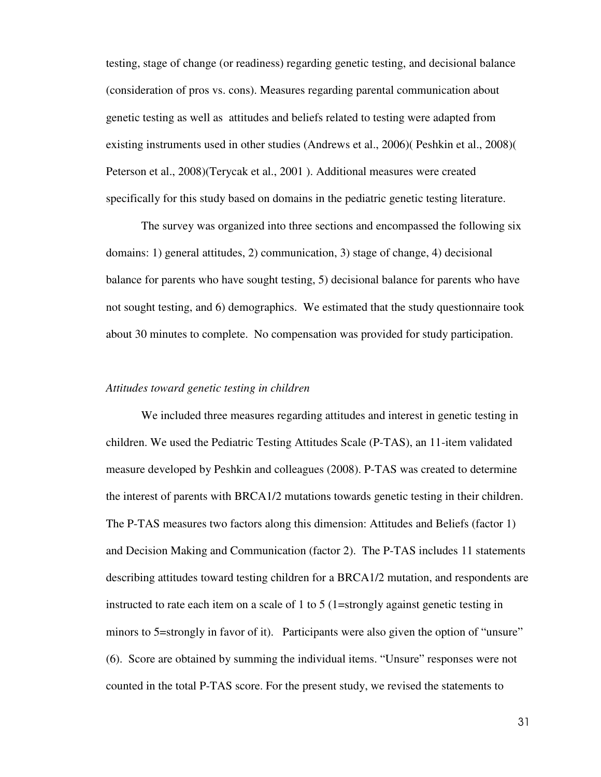testing, stage of change (or readiness) regarding genetic testing, and decisional balance (consideration of pros vs. cons). Measures regarding parental communication about genetic testing as well as attitudes and beliefs related to testing were adapted from existing instruments used in other studies (Andrews et al., 2006)( Peshkin et al., 2008)( Peterson et al., 2008)(Terycak et al., 2001 ). Additional measures were created specifically for this study based on domains in the pediatric genetic testing literature.

The survey was organized into three sections and encompassed the following six domains: 1) general attitudes, 2) communication, 3) stage of change, 4) decisional balance for parents who have sought testing, 5) decisional balance for parents who have not sought testing, and 6) demographics. We estimated that the study questionnaire took about 30 minutes to complete. No compensation was provided for study participation.

#### *Attitudes toward genetic testing in children*

We included three measures regarding attitudes and interest in genetic testing in children. We used the Pediatric Testing Attitudes Scale (P-TAS), an 11-item validated measure developed by Peshkin and colleagues (2008). P-TAS was created to determine the interest of parents with BRCA1/2 mutations towards genetic testing in their children. The P-TAS measures two factors along this dimension: Attitudes and Beliefs (factor 1) and Decision Making and Communication (factor 2). The P-TAS includes 11 statements describing attitudes toward testing children for a BRCA1/2 mutation, and respondents are instructed to rate each item on a scale of 1 to 5 (1=strongly against genetic testing in minors to 5=strongly in favor of it). Participants were also given the option of "unsure" (6). Score are obtained by summing the individual items. "Unsure" responses were not counted in the total P-TAS score. For the present study, we revised the statements to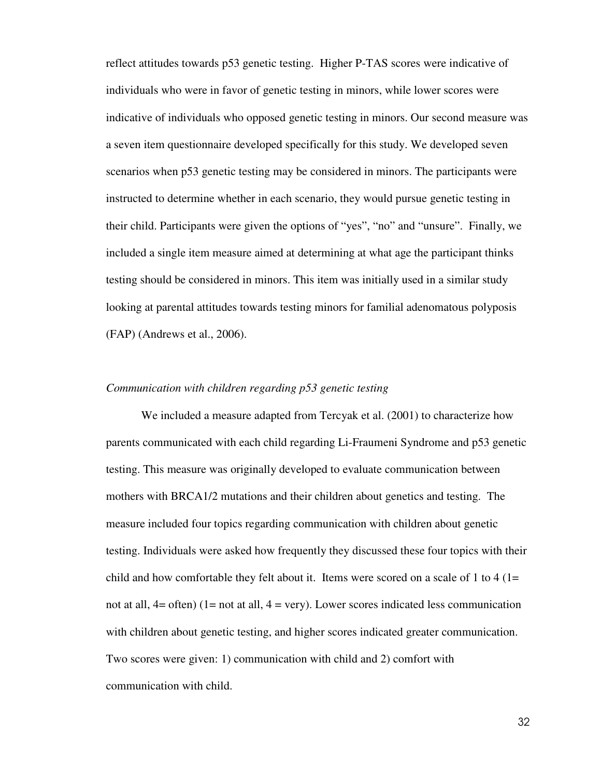reflect attitudes towards p53 genetic testing. Higher P-TAS scores were indicative of individuals who were in favor of genetic testing in minors, while lower scores were indicative of individuals who opposed genetic testing in minors. Our second measure was a seven item questionnaire developed specifically for this study. We developed seven scenarios when p53 genetic testing may be considered in minors. The participants were instructed to determine whether in each scenario, they would pursue genetic testing in their child. Participants were given the options of "yes", "no" and "unsure". Finally, we included a single item measure aimed at determining at what age the participant thinks testing should be considered in minors. This item was initially used in a similar study looking at parental attitudes towards testing minors for familial adenomatous polyposis (FAP) (Andrews et al., 2006).

### *Communication with children regarding p53 genetic testing*

 We included a measure adapted from Tercyak et al. (2001) to characterize how parents communicated with each child regarding Li-Fraumeni Syndrome and p53 genetic testing. This measure was originally developed to evaluate communication between mothers with BRCA1/2 mutations and their children about genetics and testing. The measure included four topics regarding communication with children about genetic testing. Individuals were asked how frequently they discussed these four topics with their child and how comfortable they felt about it. Items were scored on a scale of 1 to 4 ( $1=$ not at all,  $4=$  often) (1= not at all,  $4=$  very). Lower scores indicated less communication with children about genetic testing, and higher scores indicated greater communication. Two scores were given: 1) communication with child and 2) comfort with communication with child.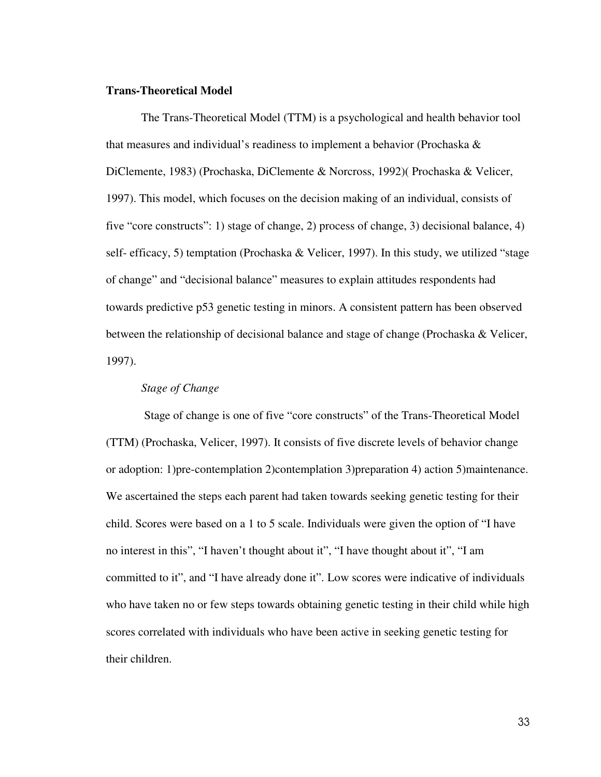#### **Trans-Theoretical Model**

The Trans-Theoretical Model (TTM) is a psychological and health behavior tool that measures and individual's readiness to implement a behavior (Prochaska  $\&$ DiClemente, 1983) (Prochaska, DiClemente & Norcross, 1992)( Prochaska & Velicer, 1997). This model, which focuses on the decision making of an individual, consists of five "core constructs": 1) stage of change, 2) process of change, 3) decisional balance, 4) self- efficacy, 5) temptation (Prochaska & Velicer, 1997). In this study, we utilized "stage of change" and "decisional balance" measures to explain attitudes respondents had towards predictive p53 genetic testing in minors. A consistent pattern has been observed between the relationship of decisional balance and stage of change (Prochaska & Velicer, 1997).

### *Stage of Change*

 Stage of change is one of five "core constructs" of the Trans-Theoretical Model (TTM) (Prochaska, Velicer, 1997). It consists of five discrete levels of behavior change or adoption: 1)pre-contemplation 2)contemplation 3)preparation 4) action 5)maintenance. We ascertained the steps each parent had taken towards seeking genetic testing for their child. Scores were based on a 1 to 5 scale. Individuals were given the option of "I have no interest in this", "I haven't thought about it", "I have thought about it", "I am committed to it", and "I have already done it". Low scores were indicative of individuals who have taken no or few steps towards obtaining genetic testing in their child while high scores correlated with individuals who have been active in seeking genetic testing for their children.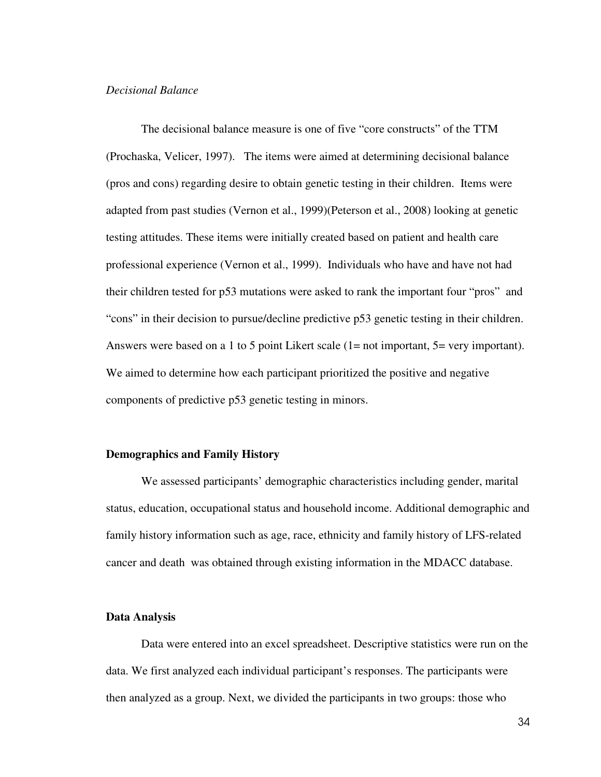### *Decisional Balance*

The decisional balance measure is one of five "core constructs" of the TTM (Prochaska, Velicer, 1997). The items were aimed at determining decisional balance (pros and cons) regarding desire to obtain genetic testing in their children. Items were adapted from past studies (Vernon et al., 1999)(Peterson et al., 2008) looking at genetic testing attitudes. These items were initially created based on patient and health care professional experience (Vernon et al., 1999). Individuals who have and have not had their children tested for p53 mutations were asked to rank the important four "pros" and "cons" in their decision to pursue/decline predictive p53 genetic testing in their children. Answers were based on a 1 to 5 point Likert scale (1= not important, 5= very important). We aimed to determine how each participant prioritized the positive and negative components of predictive p53 genetic testing in minors.

### **Demographics and Family History**

 We assessed participants' demographic characteristics including gender, marital status, education, occupational status and household income. Additional demographic and family history information such as age, race, ethnicity and family history of LFS-related cancer and death was obtained through existing information in the MDACC database.

#### **Data Analysis**

 Data were entered into an excel spreadsheet. Descriptive statistics were run on the data. We first analyzed each individual participant's responses. The participants were then analyzed as a group. Next, we divided the participants in two groups: those who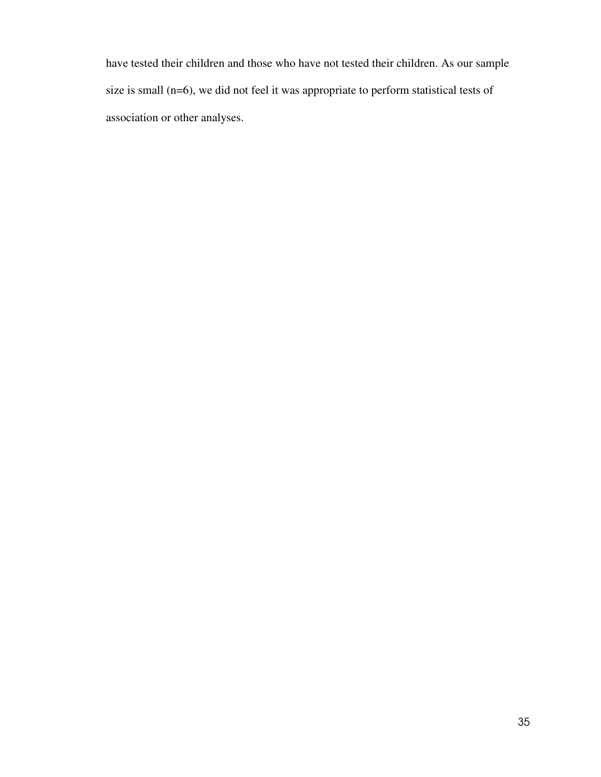have tested their children and those who have not tested their children. As our sample size is small (n=6), we did not feel it was appropriate to perform statistical tests of association or other analyses.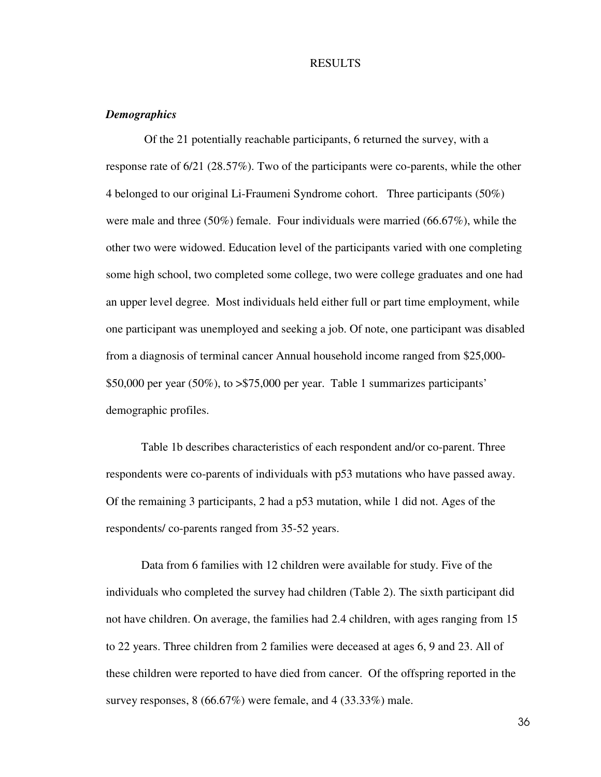#### RESULTS

## *Demographics*

 Of the 21 potentially reachable participants, 6 returned the survey, with a response rate of 6/21 (28.57%). Two of the participants were co-parents, while the other 4 belonged to our original Li-Fraumeni Syndrome cohort. Three participants (50%) were male and three (50%) female. Four individuals were married (66.67%), while the other two were widowed. Education level of the participants varied with one completing some high school, two completed some college, two were college graduates and one had an upper level degree. Most individuals held either full or part time employment, while one participant was unemployed and seeking a job. Of note, one participant was disabled from a diagnosis of terminal cancer Annual household income ranged from \$25,000- \$50,000 per year (50%), to >\$75,000 per year. Table 1 summarizes participants' demographic profiles.

 Table 1b describes characteristics of each respondent and/or co-parent. Three respondents were co-parents of individuals with p53 mutations who have passed away. Of the remaining 3 participants, 2 had a p53 mutation, while 1 did not. Ages of the respondents/ co-parents ranged from 35-52 years.

 Data from 6 families with 12 children were available for study. Five of the individuals who completed the survey had children (Table 2). The sixth participant did not have children. On average, the families had 2.4 children, with ages ranging from 15 to 22 years. Three children from 2 families were deceased at ages 6, 9 and 23. All of these children were reported to have died from cancer. Of the offspring reported in the survey responses, 8 (66.67%) were female, and 4 (33.33%) male.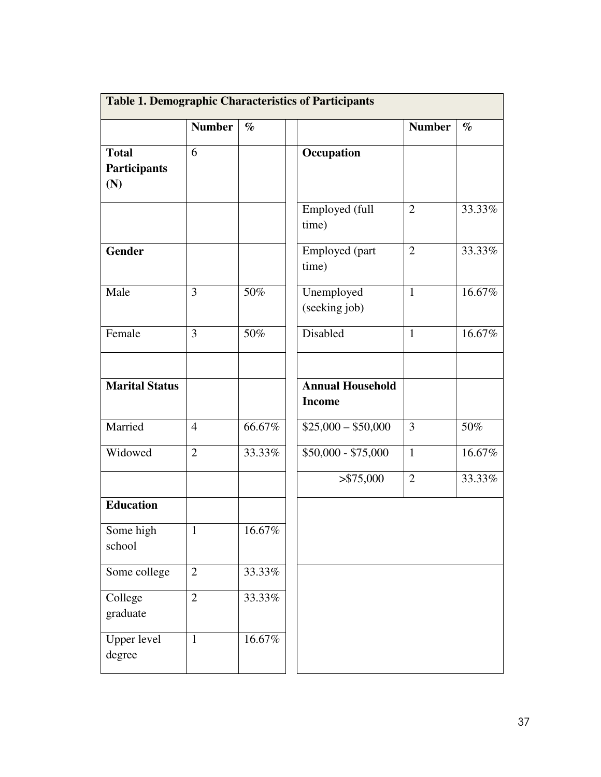|                                            |                |           | <b>Table 1. Demographic Characteristics of Participants</b> |                |        |
|--------------------------------------------|----------------|-----------|-------------------------------------------------------------|----------------|--------|
|                                            | <b>Number</b>  | $\%$      |                                                             | <b>Number</b>  | $\%$   |
| <b>Total</b><br><b>Participants</b><br>(N) | 6              |           | Occupation                                                  |                |        |
|                                            |                |           | Employed (full<br>time)                                     | $\overline{2}$ | 33.33% |
| <b>Gender</b>                              |                |           | Employed (part<br>time)                                     | $\overline{2}$ | 33.33% |
| Male                                       | 3              | 50%       | Unemployed<br>(seeking job)                                 | $\mathbf{1}$   | 16.67% |
| Female                                     | 3              | 50%       | Disabled                                                    | $\mathbf{1}$   | 16.67% |
| <b>Marital Status</b>                      |                |           | <b>Annual Household</b><br><b>Income</b>                    |                |        |
| Married                                    | $\overline{4}$ | 66.67%    | $$25,000 - $50,000$                                         | 3              | 50%    |
| Widowed                                    | $\overline{2}$ | 33.33%    | $$50,000 - $75,000$                                         | $\mathbf{1}$   | 16.67% |
|                                            |                |           | > \$75,000                                                  | $\overline{2}$ | 33.33% |
| <b>Education</b>                           |                |           |                                                             |                |        |
| Some high<br>school                        | $\overline{1}$ | $16.67\%$ |                                                             |                |        |
| Some college                               | $\mathbf{2}$   | 33.33%    |                                                             |                |        |
| College<br>graduate                        | $\overline{2}$ | 33.33%    |                                                             |                |        |
| <b>Upper level</b><br>degree               | $\mathbf{1}$   | 16.67%    |                                                             |                |        |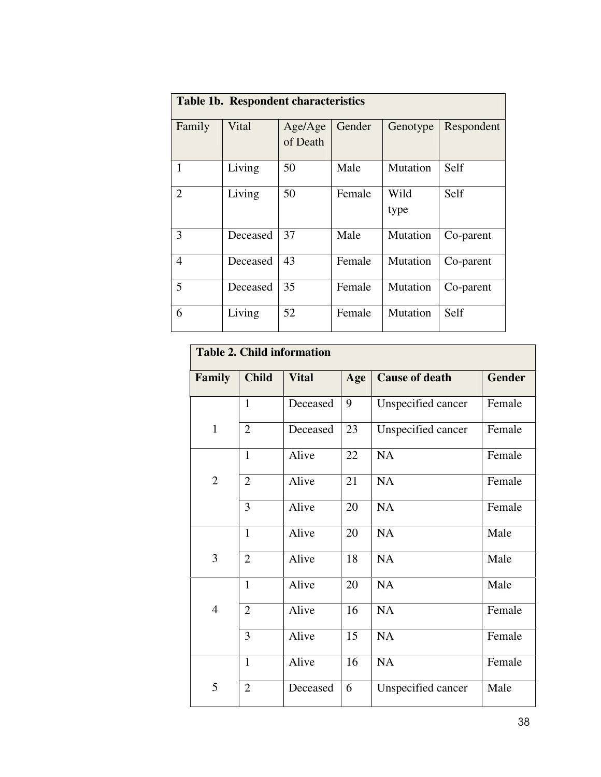|                | <b>Table 1b. Respondent characteristics</b> |                     |        |              |            |  |  |  |  |  |  |  |
|----------------|---------------------------------------------|---------------------|--------|--------------|------------|--|--|--|--|--|--|--|
| Family         | Vital                                       | Age/Age<br>of Death | Gender | Genotype     | Respondent |  |  |  |  |  |  |  |
| 1              | Living                                      | 50                  | Male   | Mutation     | Self       |  |  |  |  |  |  |  |
| $\overline{2}$ | Living                                      | 50                  | Female | Wild<br>type | Self       |  |  |  |  |  |  |  |
| 3              | Deceased                                    | 37                  | Male   | Mutation     | Co-parent  |  |  |  |  |  |  |  |
| 4              | Deceased                                    | 43                  | Female | Mutation     | Co-parent  |  |  |  |  |  |  |  |
| 5              | Deceased                                    | 35                  | Female | Mutation     | Co-parent  |  |  |  |  |  |  |  |
| 6              | Living                                      | 52                  | Female | Mutation     | Self       |  |  |  |  |  |  |  |

|                | <b>Table 2. Child information</b> |              |     |                       |               |  |  |  |  |  |  |
|----------------|-----------------------------------|--------------|-----|-----------------------|---------------|--|--|--|--|--|--|
| Family         | <b>Child</b>                      | <b>Vital</b> | Age | <b>Cause of death</b> | <b>Gender</b> |  |  |  |  |  |  |
|                | $\mathbf{1}$                      | Deceased     | 9   | Unspecified cancer    | Female        |  |  |  |  |  |  |
| $\mathbf{1}$   | $\overline{2}$                    | Deceased     | 23  | Unspecified cancer    | Female        |  |  |  |  |  |  |
|                | $\mathbf{1}$                      | Alive        | 22  | <b>NA</b>             | Female        |  |  |  |  |  |  |
| $\overline{2}$ | $\overline{2}$                    | Alive        | 21  | NA                    | Female        |  |  |  |  |  |  |
|                | 3                                 | Alive        | 20  | <b>NA</b>             | Female        |  |  |  |  |  |  |
|                | $\mathbf{1}$                      | Alive        | 20  | <b>NA</b>             | Male          |  |  |  |  |  |  |
| 3              | $\overline{2}$                    | Alive        | 18  | <b>NA</b>             | Male          |  |  |  |  |  |  |
|                | $\mathbf{1}$                      | Alive        | 20  | <b>NA</b>             | Male          |  |  |  |  |  |  |
| $\overline{4}$ | $\overline{2}$                    | Alive        | 16  | <b>NA</b>             | Female        |  |  |  |  |  |  |
|                | 3                                 | Alive        | 15  | NA                    | Female        |  |  |  |  |  |  |
|                | $\mathbf{1}$                      | Alive        | 16  | <b>NA</b>             | Female        |  |  |  |  |  |  |
| 5              | $\overline{2}$                    | Deceased     | 6   | Unspecified cancer    | Male          |  |  |  |  |  |  |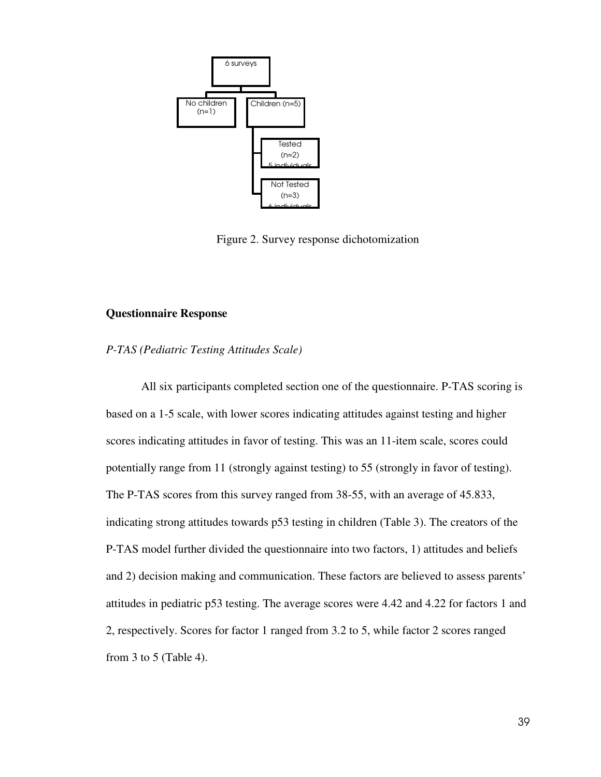

Figure 2. Survey response dichotomization

# **Questionnaire Response**

## *P-TAS (Pediatric Testing Attitudes Scale)*

All six participants completed section one of the questionnaire. P-TAS scoring is based on a 1-5 scale, with lower scores indicating attitudes against testing and higher scores indicating attitudes in favor of testing. This was an 11-item scale, scores could potentially range from 11 (strongly against testing) to 55 (strongly in favor of testing). The P-TAS scores from this survey ranged from 38-55, with an average of 45.833, indicating strong attitudes towards p53 testing in children (Table 3). The creators of the P-TAS model further divided the questionnaire into two factors, 1) attitudes and beliefs and 2) decision making and communication. These factors are believed to assess parents' attitudes in pediatric p53 testing. The average scores were 4.42 and 4.22 for factors 1 and 2, respectively. Scores for factor 1 ranged from 3.2 to 5, while factor 2 scores ranged from 3 to 5 (Table 4).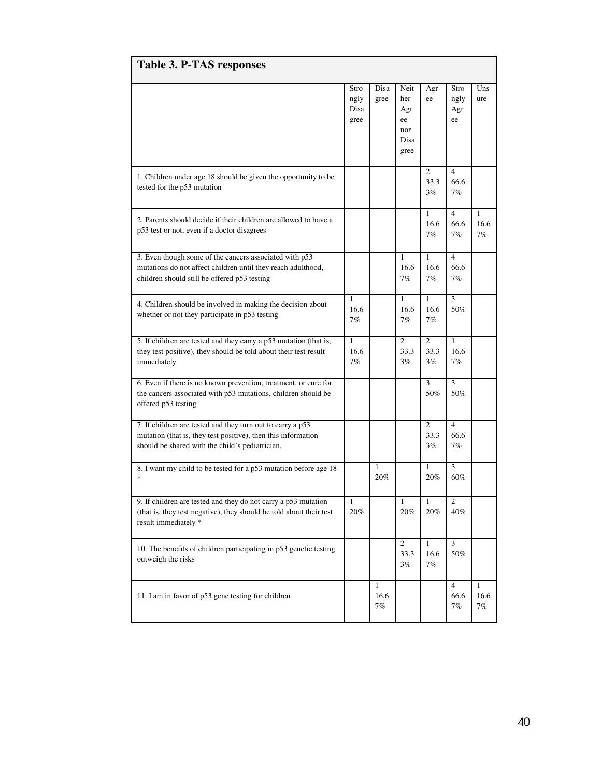| <b>Table 3. P-TAS responses</b>                                                                                                                                                |                              |                               |                                                 |                                              |                                 |                            |
|--------------------------------------------------------------------------------------------------------------------------------------------------------------------------------|------------------------------|-------------------------------|-------------------------------------------------|----------------------------------------------|---------------------------------|----------------------------|
|                                                                                                                                                                                | Stro<br>ngly<br>Disa<br>gree | Disa<br>gree                  | Neit<br>her<br>Agr<br>ee<br>nor<br>Disa<br>gree | Agr<br>ee                                    | Stro<br>ngly<br>Agr<br>ee       | Uns<br>ure                 |
| 1. Children under age 18 should be given the opportunity to be<br>tested for the p53 mutation                                                                                  |                              |                               |                                                 | 2<br>33.3<br>$3\%$                           | $\overline{4}$<br>66.6<br>7%    |                            |
| 2. Parents should decide if their children are allowed to have a<br>p53 test or not, even if a doctor disagrees                                                                |                              |                               |                                                 | $\mathbf{1}$<br>16.6<br>7%                   | $\overline{4}$<br>66.6<br>7%    | $\mathbf{1}$<br>16.6<br>7% |
| 3. Even though some of the cancers associated with p53<br>mutations do not affect children until they reach adulthood,<br>children should still be offered p53 testing         |                              |                               | 1<br>16.6<br>$7\%$                              | $\mathbf{1}$<br>16.6<br>7%                   | $\overline{4}$<br>66.6<br>7%    |                            |
| 4. Children should be involved in making the decision about<br>whether or not they participate in p53 testing                                                                  | 1<br>16.6<br>7%              |                               | $\mathbf{1}$<br>16.6<br>7%                      | $\mathbf{1}$<br>16.6<br>7%                   | 3<br>50%                        |                            |
| 5. If children are tested and they carry a p53 mutation (that is,<br>they test positive), they should be told about their test result<br>immediately                           | $\mathbf{1}$<br>16.6<br>7%   |                               | 2<br>33.3<br>$3\%$                              | 2<br>33.3<br>3%                              | $\mathbf{1}$<br>16.6<br>$7\%$   |                            |
| 6. Even if there is no known prevention, treatment, or cure for<br>the cancers associated with p53 mutations, children should be<br>offered p53 testing                        |                              |                               |                                                 | 3<br>50%                                     | 3<br>50%                        |                            |
| 7. If children are tested and they turn out to carry a p53<br>mutation (that is, they test positive), then this information<br>should be shared with the child's pediatrician. |                              |                               |                                                 | $\mathcal{D}_{\mathcal{L}}$<br>33.3<br>$3\%$ | $\overline{4}$<br>66.6<br>$7\%$ |                            |
| 8. I want my child to be tested for a p53 mutation before age 18<br>$\ast$                                                                                                     |                              | 1<br>20%                      |                                                 | $\mathbf{1}$<br>20%                          | 3<br>60%                        |                            |
| 9. If children are tested and they do not carry a p53 mutation<br>(that is, they test negative), they should be told about their test<br>result immediately *                  | 1<br>20%                     |                               | 1<br>20%                                        | 1<br>20%                                     | $\mathfrak{2}$<br>40%           |                            |
| 10. The benefits of children participating in p53 genetic testing<br>outweigh the risks                                                                                        |                              |                               | $\overline{c}$<br>33.3<br>3%                    | $\mathbf{1}$<br>16.6<br>$7\%$                | 3<br>$50\%$                     |                            |
| 11. I am in favor of p53 gene testing for children                                                                                                                             |                              | $\mathbf{1}$<br>16.6<br>$7\%$ |                                                 |                                              | $\overline{4}$<br>66.6<br>7%    | $\mathbf{1}$<br>16.6<br>7% |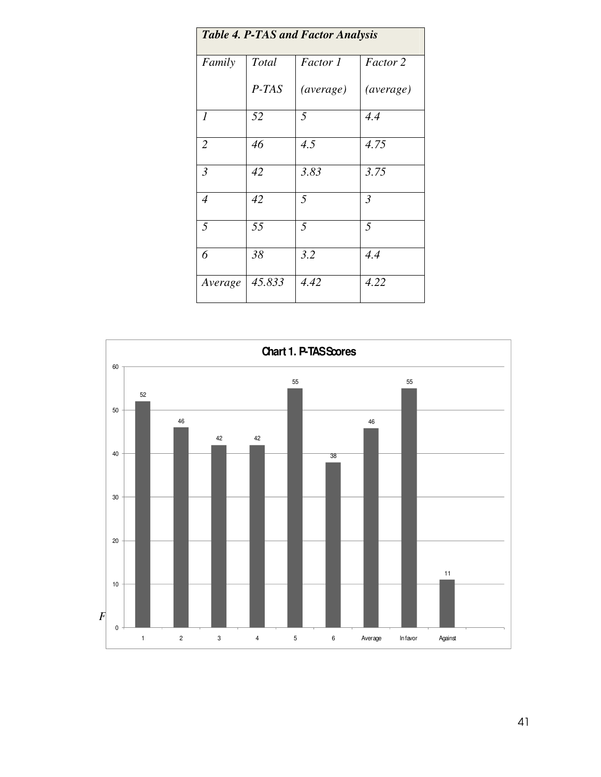| <b>Table 4. P-TAS and Factor Analysis</b> |         |                  |                |  |  |  |  |  |  |
|-------------------------------------------|---------|------------------|----------------|--|--|--|--|--|--|
| Family                                    | Total   | Factor 1         | Factor 2       |  |  |  |  |  |  |
|                                           | $P-TAS$ | <i>(average)</i> | (average)      |  |  |  |  |  |  |
| 1                                         | 52      | 5                | 4.4            |  |  |  |  |  |  |
| $\overline{2}$                            | 46      | 4.5              | 4.75           |  |  |  |  |  |  |
| $\mathfrak{Z}$                            | 42      | 3.83             | 3.75           |  |  |  |  |  |  |
| $\overline{4}$                            | 42      | 5                | $\mathfrak{Z}$ |  |  |  |  |  |  |
| 5                                         | 55      | 5                | 5              |  |  |  |  |  |  |
| 6                                         | 38      | 3.2              | 4.4            |  |  |  |  |  |  |
| Average                                   | 45.833  | 4.42             | 4.22           |  |  |  |  |  |  |

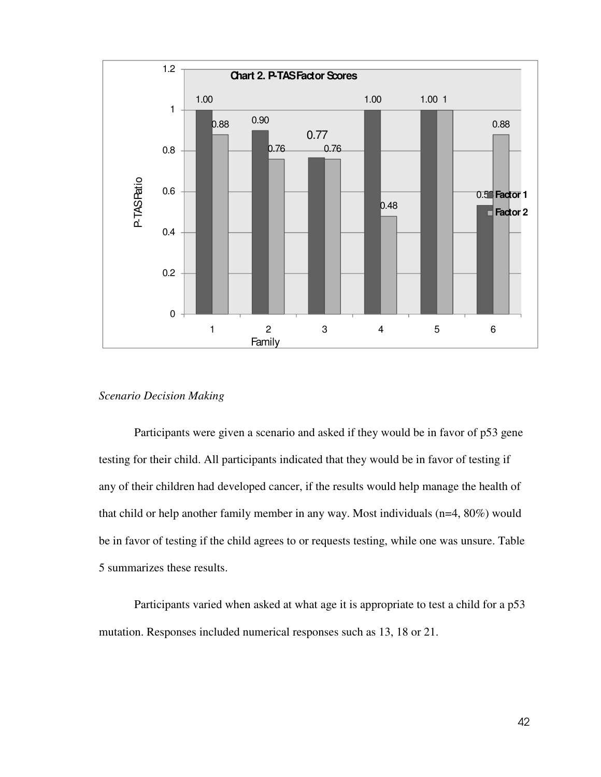

# *Scenario Decision Making*

Participants were given a scenario and asked if they would be in favor of p53 gene testing for their child. All participants indicated that they would be in favor of testing if any of their children had developed cancer, if the results would help manage the health of that child or help another family member in any way. Most individuals (n=4, 80%) would be in favor of testing if the child agrees to or requests testing, while one was unsure. Table 5 summarizes these results.

Participants varied when asked at what age it is appropriate to test a child for a p53 mutation. Responses included numerical responses such as 13, 18 or 21.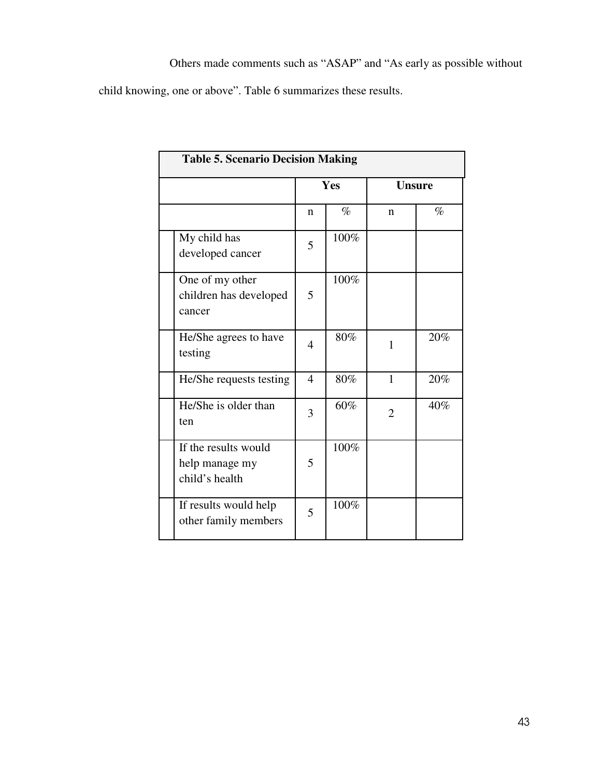child knowing, one or above". Table 6 summarizes these results.

| <b>Table 5. Scenario Decision Making</b>                 |                |      |                |      |  |  |  |  |  |
|----------------------------------------------------------|----------------|------|----------------|------|--|--|--|--|--|
|                                                          |                | Yes  | <b>Unsure</b>  |      |  |  |  |  |  |
|                                                          | n              | $\%$ | n              | $\%$ |  |  |  |  |  |
| My child has<br>developed cancer                         | 5              | 100% |                |      |  |  |  |  |  |
| One of my other<br>children has developed<br>cancer      | 5              | 100% |                |      |  |  |  |  |  |
| He/She agrees to have<br>testing                         | 4              | 80%  | $\mathbf{1}$   | 20%  |  |  |  |  |  |
| He/She requests testing                                  | $\overline{4}$ | 80%  | $\mathbf{1}$   | 20%  |  |  |  |  |  |
| He/She is older than<br>ten                              | 3              | 60%  | $\overline{2}$ | 40%  |  |  |  |  |  |
| If the results would<br>help manage my<br>child's health | 5              | 100% |                |      |  |  |  |  |  |
| If results would help<br>other family members            | 5              | 100% |                |      |  |  |  |  |  |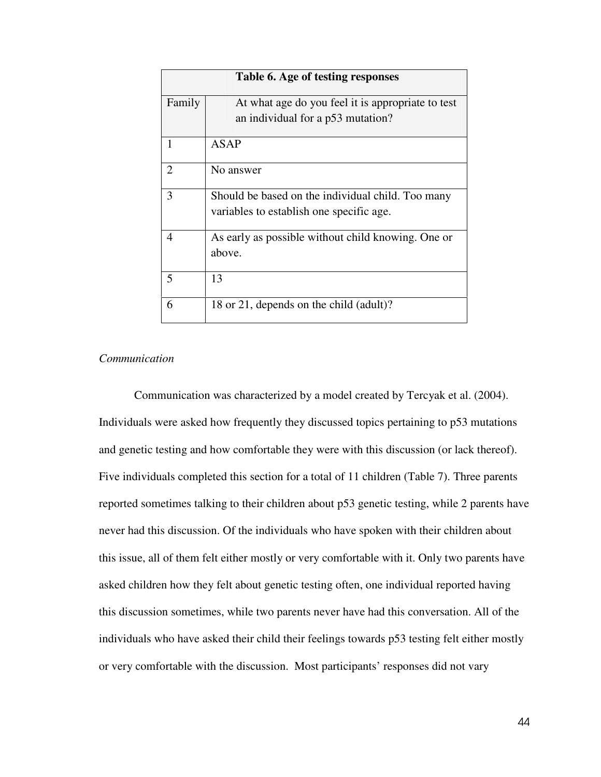|                | Table 6. Age of testing responses                  |
|----------------|----------------------------------------------------|
| Family         | At what age do you feel it is appropriate to test  |
|                | an individual for a p53 mutation?                  |
| 1              | <b>ASAP</b>                                        |
| $\overline{2}$ | No answer                                          |
| 3              | Should be based on the individual child. Too many  |
|                | variables to establish one specific age.           |
| 4              | As early as possible without child knowing. One or |
|                | above.                                             |
| 5              | 13                                                 |
| 6              | 18 or 21, depends on the child (adult)?            |

# *Communication*

Communication was characterized by a model created by Tercyak et al. (2004). Individuals were asked how frequently they discussed topics pertaining to p53 mutations and genetic testing and how comfortable they were with this discussion (or lack thereof). Five individuals completed this section for a total of 11 children (Table 7). Three parents reported sometimes talking to their children about p53 genetic testing, while 2 parents have never had this discussion. Of the individuals who have spoken with their children about this issue, all of them felt either mostly or very comfortable with it. Only two parents have asked children how they felt about genetic testing often, one individual reported having this discussion sometimes, while two parents never have had this conversation. All of the individuals who have asked their child their feelings towards p53 testing felt either mostly or very comfortable with the discussion. Most participants' responses did not vary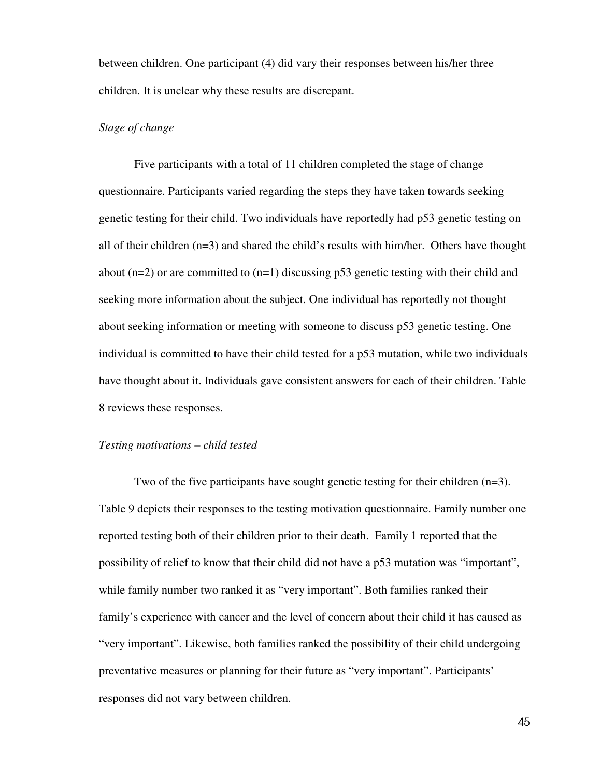between children. One participant (4) did vary their responses between his/her three children. It is unclear why these results are discrepant.

### *Stage of change*

Five participants with a total of 11 children completed the stage of change questionnaire. Participants varied regarding the steps they have taken towards seeking genetic testing for their child. Two individuals have reportedly had p53 genetic testing on all of their children (n=3) and shared the child's results with him/her. Others have thought about  $(n=2)$  or are committed to  $(n=1)$  discussing p53 genetic testing with their child and seeking more information about the subject. One individual has reportedly not thought about seeking information or meeting with someone to discuss p53 genetic testing. One individual is committed to have their child tested for a p53 mutation, while two individuals have thought about it. Individuals gave consistent answers for each of their children. Table 8 reviews these responses.

## *Testing motivations – child tested*

Two of the five participants have sought genetic testing for their children (n=3). Table 9 depicts their responses to the testing motivation questionnaire. Family number one reported testing both of their children prior to their death. Family 1 reported that the possibility of relief to know that their child did not have a p53 mutation was "important", while family number two ranked it as "very important". Both families ranked their family's experience with cancer and the level of concern about their child it has caused as "very important". Likewise, both families ranked the possibility of their child undergoing preventative measures or planning for their future as "very important". Participants' responses did not vary between children.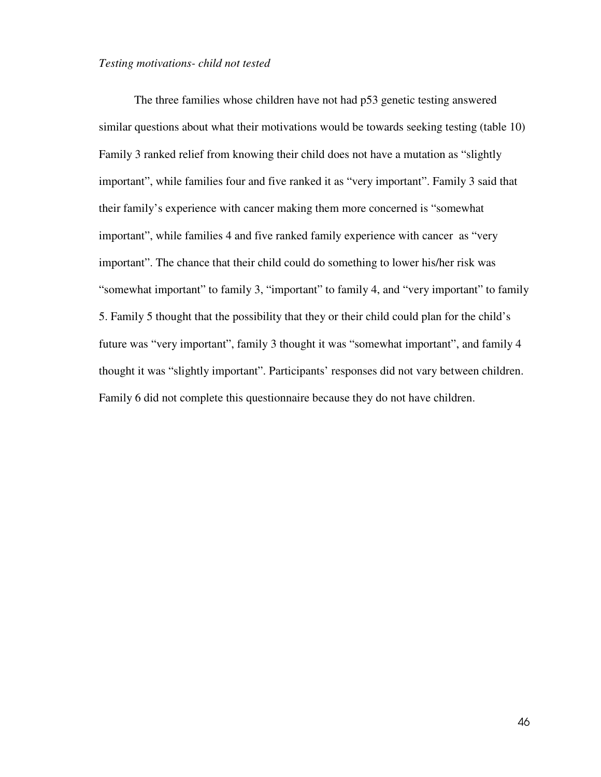#### *Testing motivations- child not tested*

The three families whose children have not had p53 genetic testing answered similar questions about what their motivations would be towards seeking testing (table 10) Family 3 ranked relief from knowing their child does not have a mutation as "slightly important", while families four and five ranked it as "very important". Family 3 said that their family's experience with cancer making them more concerned is "somewhat important", while families 4 and five ranked family experience with cancer as "very important". The chance that their child could do something to lower his/her risk was "somewhat important" to family 3, "important" to family 4, and "very important" to family 5. Family 5 thought that the possibility that they or their child could plan for the child's future was "very important", family 3 thought it was "somewhat important", and family 4 thought it was "slightly important". Participants' responses did not vary between children. Family 6 did not complete this questionnaire because they do not have children.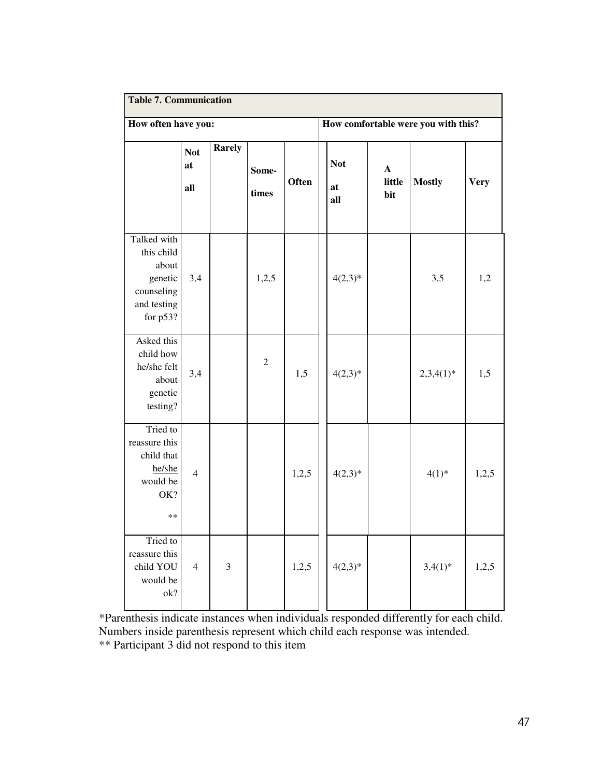| <b>Table 7. Communication</b>                                                          |                         |                                 |                |              |  |                                                          |  |                                     |             |  |
|----------------------------------------------------------------------------------------|-------------------------|---------------------------------|----------------|--------------|--|----------------------------------------------------------|--|-------------------------------------|-------------|--|
| How often have you:                                                                    |                         |                                 |                |              |  |                                                          |  | How comfortable were you with this? |             |  |
|                                                                                        | <b>Not</b><br>at<br>all | <b>Rarely</b><br>Some-<br>times |                | <b>Often</b> |  | <b>Not</b><br>$\mathbf{A}$<br>little<br>at<br>bit<br>all |  | <b>Mostly</b>                       | <b>Very</b> |  |
| Talked with<br>this child<br>about<br>genetic<br>counseling<br>and testing<br>for p53? | 3,4                     |                                 | 1,2,5          |              |  | $4(2,3)*$                                                |  | 3,5                                 | 1,2         |  |
| Asked this<br>child how<br>he/she felt<br>about<br>genetic<br>testing?                 | 3,4                     |                                 | $\overline{2}$ | 1,5          |  | $4(2,3)*$                                                |  | $2,3,4(1)*$                         | 1,5         |  |
| Tried to<br>reassure this<br>child that<br>he/she<br>would be<br>OK?<br>$***$          | $\overline{4}$          |                                 |                | 1,2,5        |  | $4(2,3)*$                                                |  | $4(1)^{*}$                          | 1,2,5       |  |
| Tried to<br>reassure this<br>child YOU<br>would be<br>ok?                              | $\overline{4}$          | 3                               |                | 1,2,5        |  | $4(2,3)*$                                                |  | $3,4(1)*$                           | 1,2,5       |  |

\*Parenthesis indicate instances when individuals responded differently for each child. Numbers inside parenthesis represent which child each response was intended. \*\* Participant 3 did not respond to this item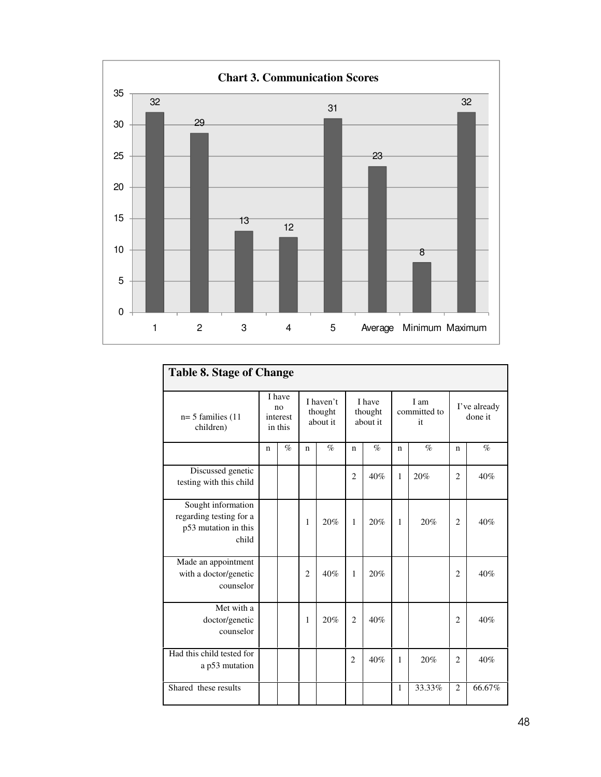

| <b>Table 8. Stage of Change</b>                                                |             |                                     |                |                                  |                |                               |             |                            |                         |        |  |
|--------------------------------------------------------------------------------|-------------|-------------------------------------|----------------|----------------------------------|----------------|-------------------------------|-------------|----------------------------|-------------------------|--------|--|
| $n=5$ families (11)<br>children)                                               |             | I have<br>no<br>interest<br>in this |                | I haven't<br>thought<br>about it |                | I have<br>thought<br>about it |             | I am<br>committed to<br>it | I've already<br>done it |        |  |
|                                                                                | $\mathbf n$ | $\%$                                | $\mathbf n$    | $\%$                             | $\mathbf n$    | $\%$                          | $\mathbf n$ | $\%$                       | $\mathbf n$             | $\%$   |  |
| Discussed genetic<br>testing with this child                                   |             |                                     |                |                                  | $\overline{2}$ | 40%                           | 1           | 20%                        | $\mathfrak{D}$          | 40%    |  |
| Sought information<br>regarding testing for a<br>p53 mutation in this<br>child |             |                                     | 1              | 20%                              | 1              | 20%                           | 1           | 20%                        | $\overline{2}$          | 40%    |  |
| Made an appointment<br>with a doctor/genetic<br>counselor                      |             |                                     | $\overline{c}$ | 40%                              | 1              | 20%                           |             |                            | $\overline{2}$          | 40%    |  |
| Met with a<br>doctor/genetic<br>counselor                                      |             |                                     | 1              | 20%                              | $\overline{2}$ | 40%                           |             |                            | $\overline{2}$          | 40%    |  |
| Had this child tested for<br>a p53 mutation                                    |             |                                     |                |                                  | $\overline{2}$ | 40%                           | 1           | 20%                        | $\overline{2}$          | 40%    |  |
| Shared these results                                                           |             |                                     |                |                                  |                |                               | 1           | 33.33%                     | 2                       | 66.67% |  |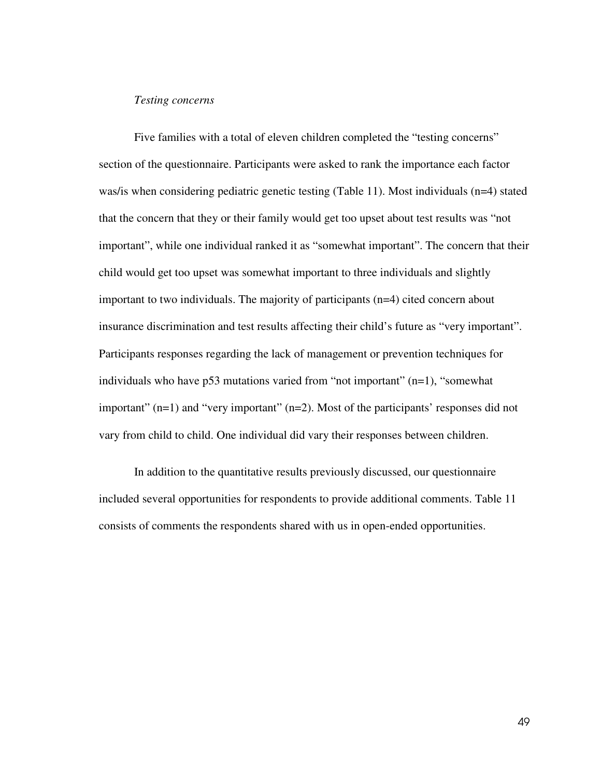### *Testing concerns*

Five families with a total of eleven children completed the "testing concerns" section of the questionnaire. Participants were asked to rank the importance each factor was/is when considering pediatric genetic testing (Table 11). Most individuals (n=4) stated that the concern that they or their family would get too upset about test results was "not important", while one individual ranked it as "somewhat important". The concern that their child would get too upset was somewhat important to three individuals and slightly important to two individuals. The majority of participants (n=4) cited concern about insurance discrimination and test results affecting their child's future as "very important". Participants responses regarding the lack of management or prevention techniques for individuals who have  $p53$  mutations varied from "not important"  $(n=1)$ , "somewhat important" (n=1) and "very important" (n=2). Most of the participants' responses did not vary from child to child. One individual did vary their responses between children.

In addition to the quantitative results previously discussed, our questionnaire included several opportunities for respondents to provide additional comments. Table 11 consists of comments the respondents shared with us in open-ended opportunities.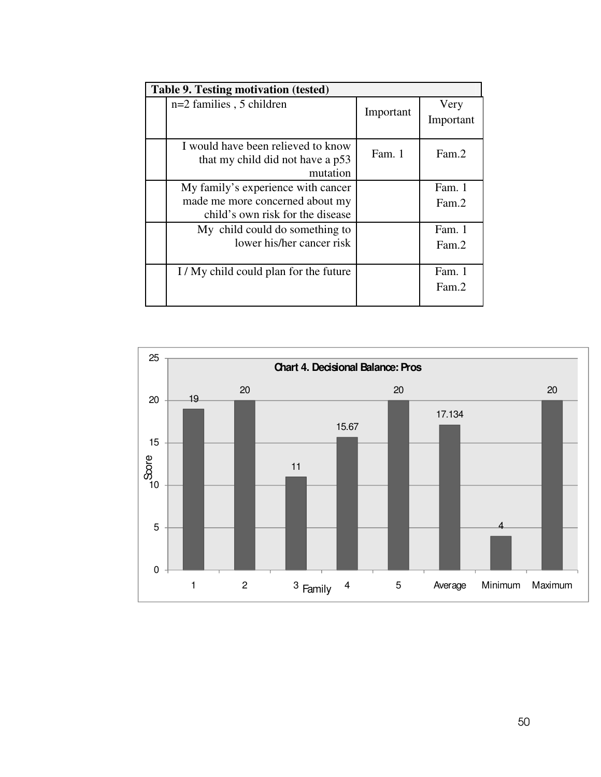| Table 9. Testing motivation (tested)                                                                      |           |                   |  |  |  |
|-----------------------------------------------------------------------------------------------------------|-----------|-------------------|--|--|--|
| $n=2$ families, 5 children                                                                                | Important | Very<br>Important |  |  |  |
| I would have been relieved to know<br>that my child did not have a p53<br>mutation                        | Fam. 1    | Fam.2             |  |  |  |
| My family's experience with cancer<br>made me more concerned about my<br>child's own risk for the disease |           | Fam. 1<br>Fam.2   |  |  |  |
| My child could do something to<br>lower his/her cancer risk                                               |           | Fam. 1<br>Fam.2   |  |  |  |
| I/My child could plan for the future                                                                      |           | Fam. 1<br>Fam.2   |  |  |  |

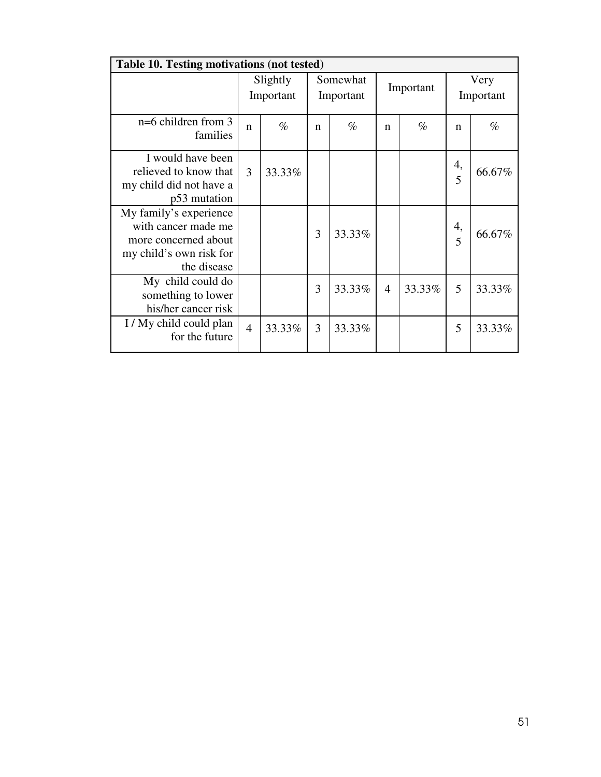| Table 10. Testing motivations (not tested)                                                                      |                       |        |   |                       |                |           |                   |        |  |
|-----------------------------------------------------------------------------------------------------------------|-----------------------|--------|---|-----------------------|----------------|-----------|-------------------|--------|--|
|                                                                                                                 | Slightly<br>Important |        |   | Somewhat<br>Important |                | Important | Very<br>Important |        |  |
| $n=6$ children from 3<br>families                                                                               | $\mathsf{n}$          | $\%$   | n | $\%$                  | $\mathbf n$    | $\%$      | n                 | $\%$   |  |
| I would have been<br>relieved to know that<br>my child did not have a<br>p53 mutation                           | 3                     | 33.33% |   |                       |                |           | 4,<br>5           | 66.67% |  |
| My family's experience<br>with cancer made me<br>more concerned about<br>my child's own risk for<br>the disease |                       |        | 3 | 33.33%                |                |           | 4,<br>5           | 66.67% |  |
| My child could do<br>something to lower<br>his/her cancer risk                                                  |                       |        | 3 | 33.33%                | $\overline{4}$ | 33.33%    | 5                 | 33.33% |  |
| I / My child could plan<br>for the future                                                                       | $\overline{4}$        | 33.33% | 3 | 33.33%                |                |           | 5                 | 33.33% |  |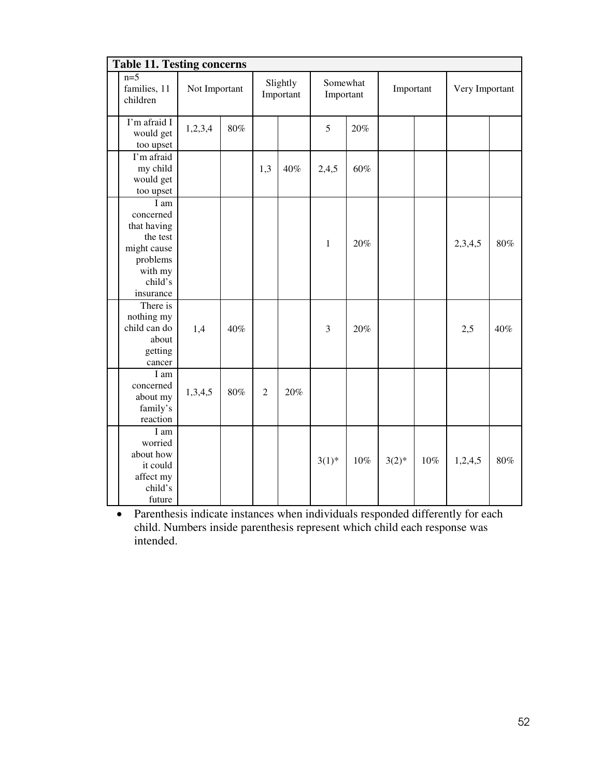| <b>Table 11. Testing concerns</b>                                                                          |               |     |                       |     |                       |        |           |     |                |     |
|------------------------------------------------------------------------------------------------------------|---------------|-----|-----------------------|-----|-----------------------|--------|-----------|-----|----------------|-----|
| $n=5$<br>families, 11<br>children                                                                          | Not Important |     | Slightly<br>Important |     | Somewhat<br>Important |        | Important |     | Very Important |     |
| I'm afraid I<br>would get<br>too upset                                                                     | 1,2,3,4       | 80% |                       |     | 5                     | 20%    |           |     |                |     |
| I'm afraid<br>my child<br>would get<br>too upset                                                           |               |     | 1,3                   | 40% | 2,4,5                 | 60%    |           |     |                |     |
| I am<br>concerned<br>that having<br>the test<br>might cause<br>problems<br>with my<br>child's<br>insurance |               |     |                       |     | $\mathbf{1}$          | 20%    |           |     | 2,3,4,5        | 80% |
| There is<br>nothing my<br>child can do<br>about<br>getting<br>cancer                                       | 1,4           | 40% |                       |     | 3                     | 20%    |           |     | 2,5            | 40% |
| I am<br>concerned<br>about my<br>family's<br>reaction                                                      | 1,3,4,5       | 80% | $\overline{2}$        | 20% |                       |        |           |     |                |     |
| I am<br>worried<br>about how<br>it could<br>affect my<br>child's<br>future                                 |               |     |                       |     | $3(1)^{*}$            | $10\%$ | $3(2)$ *  | 10% | 1,2,4,5        | 80% |

• Parenthesis indicate instances when individuals responded differently for each child. Numbers inside parenthesis represent which child each response was intended.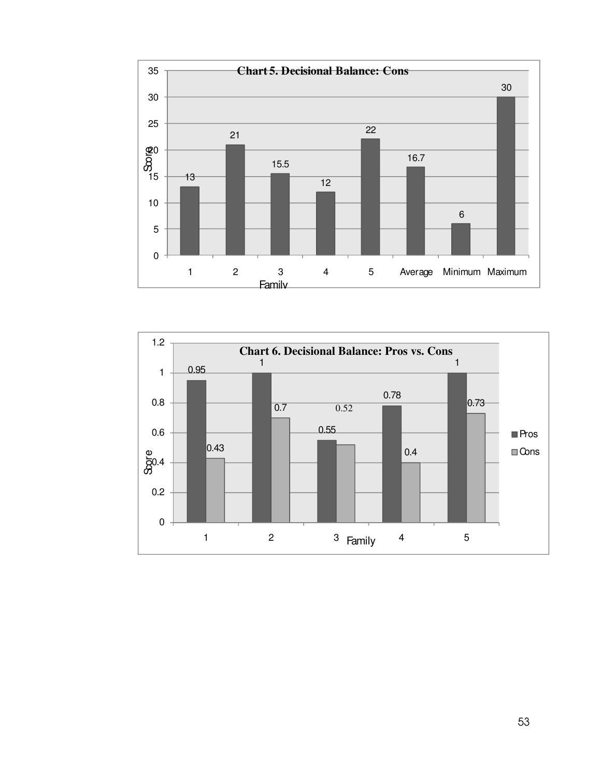

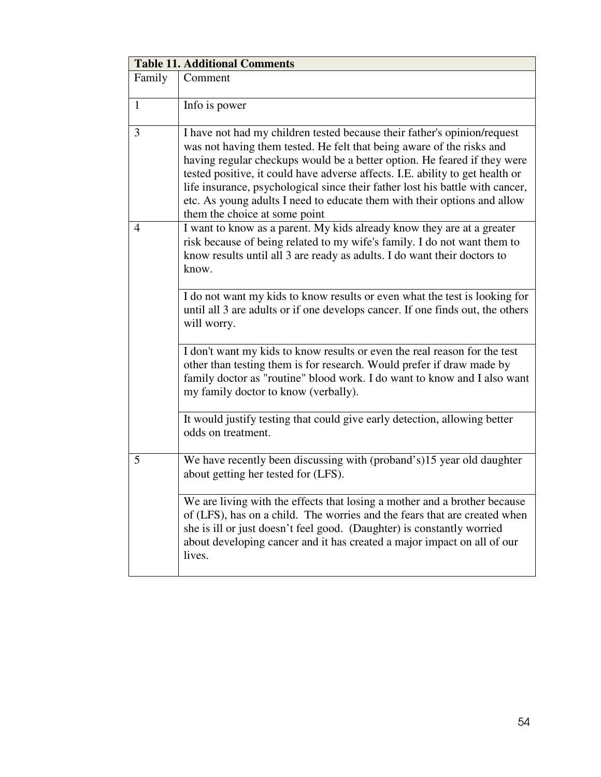| <b>Table 11. Additional Comments</b> |                                                                                                                                                                                                                                                                                                                                                                                                                                                                                                              |
|--------------------------------------|--------------------------------------------------------------------------------------------------------------------------------------------------------------------------------------------------------------------------------------------------------------------------------------------------------------------------------------------------------------------------------------------------------------------------------------------------------------------------------------------------------------|
| Family                               | Comment                                                                                                                                                                                                                                                                                                                                                                                                                                                                                                      |
| $\mathbf{1}$                         | Info is power                                                                                                                                                                                                                                                                                                                                                                                                                                                                                                |
| 3                                    | I have not had my children tested because their father's opinion/request<br>was not having them tested. He felt that being aware of the risks and<br>having regular checkups would be a better option. He feared if they were<br>tested positive, it could have adverse affects. I.E. ability to get health or<br>life insurance, psychological since their father lost his battle with cancer,<br>etc. As young adults I need to educate them with their options and allow<br>them the choice at some point |
| 4                                    | I want to know as a parent. My kids already know they are at a greater<br>risk because of being related to my wife's family. I do not want them to<br>know results until all 3 are ready as adults. I do want their doctors to<br>know.                                                                                                                                                                                                                                                                      |
|                                      | I do not want my kids to know results or even what the test is looking for<br>until all 3 are adults or if one develops cancer. If one finds out, the others<br>will worry.                                                                                                                                                                                                                                                                                                                                  |
|                                      | I don't want my kids to know results or even the real reason for the test<br>other than testing them is for research. Would prefer if draw made by<br>family doctor as "routine" blood work. I do want to know and I also want<br>my family doctor to know (verbally).                                                                                                                                                                                                                                       |
|                                      | It would justify testing that could give early detection, allowing better<br>odds on treatment.                                                                                                                                                                                                                                                                                                                                                                                                              |
| 5                                    | We have recently been discussing with (proband's)15 year old daughter<br>about getting her tested for (LFS).                                                                                                                                                                                                                                                                                                                                                                                                 |
|                                      | We are living with the effects that losing a mother and a brother because<br>of (LFS), has on a child. The worries and the fears that are created when<br>she is ill or just doesn't feel good. (Daughter) is constantly worried<br>about developing cancer and it has created a major impact on all of our<br>lives.                                                                                                                                                                                        |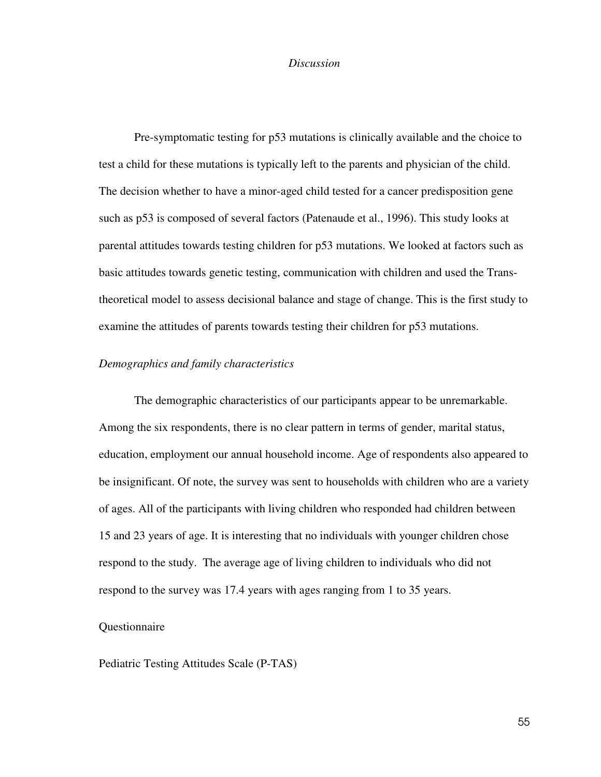#### *Discussion*

Pre-symptomatic testing for p53 mutations is clinically available and the choice to test a child for these mutations is typically left to the parents and physician of the child. The decision whether to have a minor-aged child tested for a cancer predisposition gene such as p53 is composed of several factors (Patenaude et al., 1996). This study looks at parental attitudes towards testing children for p53 mutations. We looked at factors such as basic attitudes towards genetic testing, communication with children and used the Transtheoretical model to assess decisional balance and stage of change. This is the first study to examine the attitudes of parents towards testing their children for p53 mutations.

# *Demographics and family characteristics*

 The demographic characteristics of our participants appear to be unremarkable. Among the six respondents, there is no clear pattern in terms of gender, marital status, education, employment our annual household income. Age of respondents also appeared to be insignificant. Of note, the survey was sent to households with children who are a variety of ages. All of the participants with living children who responded had children between 15 and 23 years of age. It is interesting that no individuals with younger children chose respond to the study. The average age of living children to individuals who did not respond to the survey was 17.4 years with ages ranging from 1 to 35 years.

## Questionnaire

Pediatric Testing Attitudes Scale (P-TAS)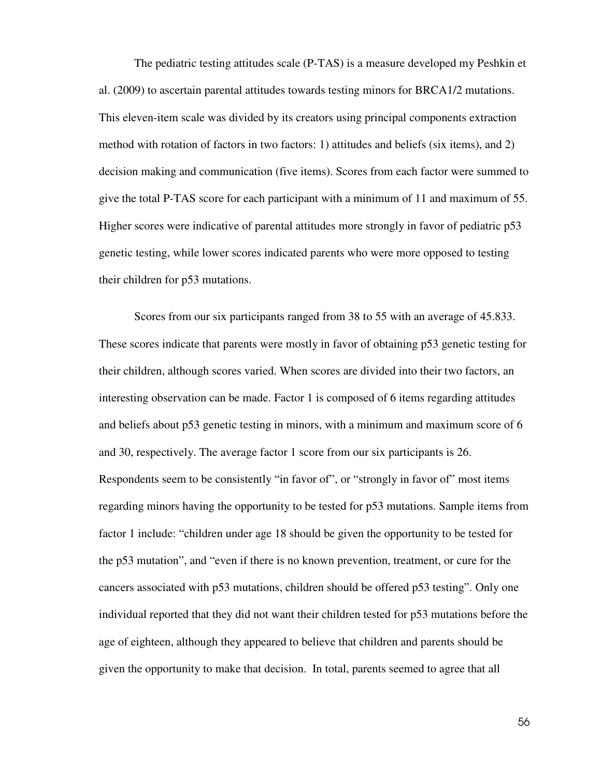The pediatric testing attitudes scale (P-TAS) is a measure developed my Peshkin et al. (2009) to ascertain parental attitudes towards testing minors for BRCA1/2 mutations. This eleven-item scale was divided by its creators using principal components extraction method with rotation of factors in two factors: 1) attitudes and beliefs (six items), and 2) decision making and communication (five items). Scores from each factor were summed to give the total P-TAS score for each participant with a minimum of 11 and maximum of 55. Higher scores were indicative of parental attitudes more strongly in favor of pediatric p53 genetic testing, while lower scores indicated parents who were more opposed to testing their children for p53 mutations.

Scores from our six participants ranged from 38 to 55 with an average of 45.833. These scores indicate that parents were mostly in favor of obtaining p53 genetic testing for their children, although scores varied. When scores are divided into their two factors, an interesting observation can be made. Factor 1 is composed of 6 items regarding attitudes and beliefs about p53 genetic testing in minors, with a minimum and maximum score of 6 and 30, respectively. The average factor 1 score from our six participants is 26. Respondents seem to be consistently "in favor of", or "strongly in favor of" most items regarding minors having the opportunity to be tested for p53 mutations. Sample items from factor 1 include: "children under age 18 should be given the opportunity to be tested for the p53 mutation", and "even if there is no known prevention, treatment, or cure for the cancers associated with p53 mutations, children should be offered p53 testing". Only one individual reported that they did not want their children tested for p53 mutations before the age of eighteen, although they appeared to believe that children and parents should be given the opportunity to make that decision. In total, parents seemed to agree that all

56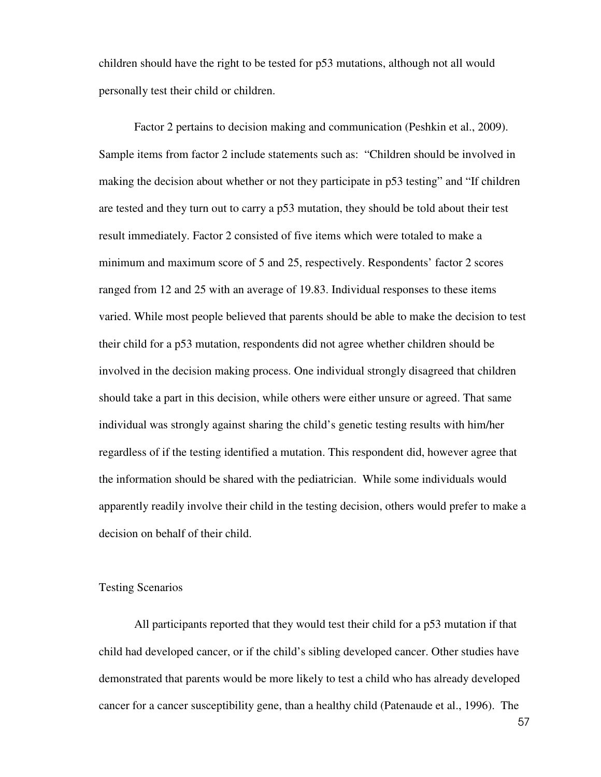children should have the right to be tested for p53 mutations, although not all would personally test their child or children.

Factor 2 pertains to decision making and communication (Peshkin et al., 2009). Sample items from factor 2 include statements such as: "Children should be involved in making the decision about whether or not they participate in p53 testing" and "If children are tested and they turn out to carry a p53 mutation, they should be told about their test result immediately. Factor 2 consisted of five items which were totaled to make a minimum and maximum score of 5 and 25, respectively. Respondents' factor 2 scores ranged from 12 and 25 with an average of 19.83. Individual responses to these items varied. While most people believed that parents should be able to make the decision to test their child for a p53 mutation, respondents did not agree whether children should be involved in the decision making process. One individual strongly disagreed that children should take a part in this decision, while others were either unsure or agreed. That same individual was strongly against sharing the child's genetic testing results with him/her regardless of if the testing identified a mutation. This respondent did, however agree that the information should be shared with the pediatrician. While some individuals would apparently readily involve their child in the testing decision, others would prefer to make a decision on behalf of their child.

## Testing Scenarios

All participants reported that they would test their child for a p53 mutation if that child had developed cancer, or if the child's sibling developed cancer. Other studies have demonstrated that parents would be more likely to test a child who has already developed cancer for a cancer susceptibility gene, than a healthy child (Patenaude et al., 1996). The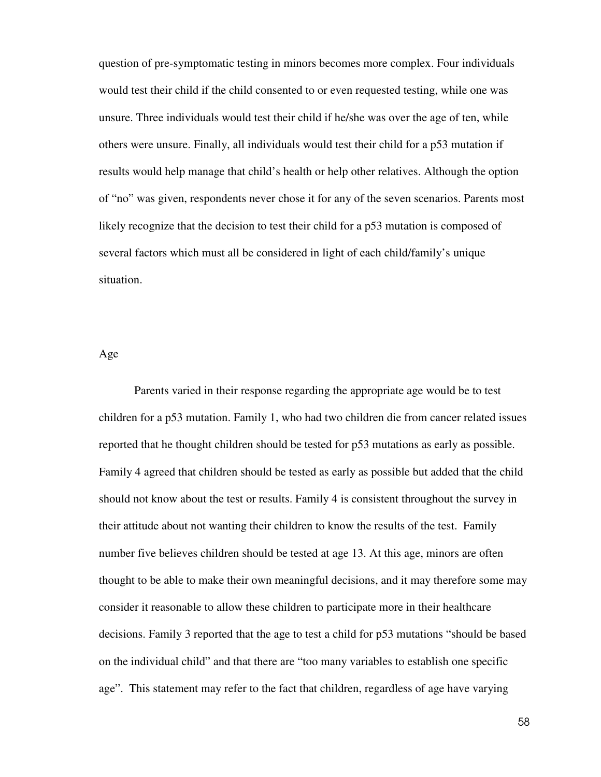question of pre-symptomatic testing in minors becomes more complex. Four individuals would test their child if the child consented to or even requested testing, while one was unsure. Three individuals would test their child if he/she was over the age of ten, while others were unsure. Finally, all individuals would test their child for a p53 mutation if results would help manage that child's health or help other relatives. Although the option of "no" was given, respondents never chose it for any of the seven scenarios. Parents most likely recognize that the decision to test their child for a p53 mutation is composed of several factors which must all be considered in light of each child/family's unique situation.

Age

Parents varied in their response regarding the appropriate age would be to test children for a p53 mutation. Family 1, who had two children die from cancer related issues reported that he thought children should be tested for p53 mutations as early as possible. Family 4 agreed that children should be tested as early as possible but added that the child should not know about the test or results. Family 4 is consistent throughout the survey in their attitude about not wanting their children to know the results of the test. Family number five believes children should be tested at age 13. At this age, minors are often thought to be able to make their own meaningful decisions, and it may therefore some may consider it reasonable to allow these children to participate more in their healthcare decisions. Family 3 reported that the age to test a child for p53 mutations "should be based on the individual child" and that there are "too many variables to establish one specific age". This statement may refer to the fact that children, regardless of age have varying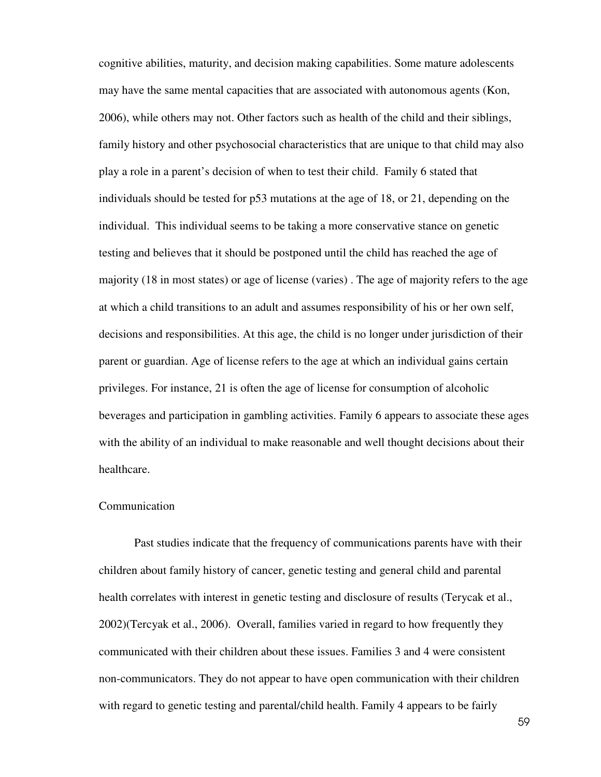cognitive abilities, maturity, and decision making capabilities. Some mature adolescents may have the same mental capacities that are associated with autonomous agents (Kon, 2006), while others may not. Other factors such as health of the child and their siblings, family history and other psychosocial characteristics that are unique to that child may also play a role in a parent's decision of when to test their child. Family 6 stated that individuals should be tested for p53 mutations at the age of 18, or 21, depending on the individual. This individual seems to be taking a more conservative stance on genetic testing and believes that it should be postponed until the child has reached the age of majority (18 in most states) or age of license (varies) . The age of majority refers to the age at which a child transitions to an adult and assumes responsibility of his or her own self, decisions and responsibilities. At this age, the child is no longer under jurisdiction of their parent or guardian. Age of license refers to the age at which an individual gains certain privileges. For instance, 21 is often the age of license for consumption of alcoholic beverages and participation in gambling activities. Family 6 appears to associate these ages with the ability of an individual to make reasonable and well thought decisions about their healthcare.

#### **Communication**

 Past studies indicate that the frequency of communications parents have with their children about family history of cancer, genetic testing and general child and parental health correlates with interest in genetic testing and disclosure of results (Terycak et al., 2002)(Tercyak et al., 2006). Overall, families varied in regard to how frequently they communicated with their children about these issues. Families 3 and 4 were consistent non-communicators. They do not appear to have open communication with their children with regard to genetic testing and parental/child health. Family 4 appears to be fairly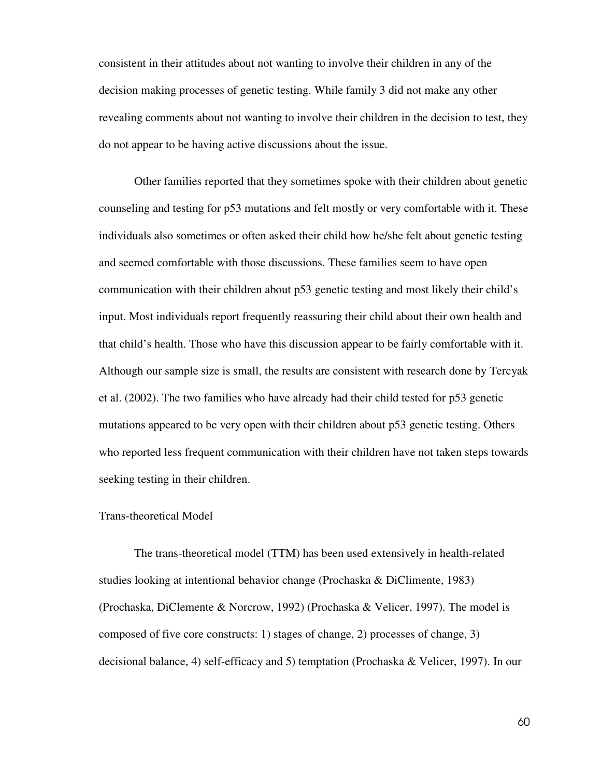consistent in their attitudes about not wanting to involve their children in any of the decision making processes of genetic testing. While family 3 did not make any other revealing comments about not wanting to involve their children in the decision to test, they do not appear to be having active discussions about the issue.

 Other families reported that they sometimes spoke with their children about genetic counseling and testing for p53 mutations and felt mostly or very comfortable with it. These individuals also sometimes or often asked their child how he/she felt about genetic testing and seemed comfortable with those discussions. These families seem to have open communication with their children about p53 genetic testing and most likely their child's input. Most individuals report frequently reassuring their child about their own health and that child's health. Those who have this discussion appear to be fairly comfortable with it. Although our sample size is small, the results are consistent with research done by Tercyak et al. (2002). The two families who have already had their child tested for p53 genetic mutations appeared to be very open with their children about p53 genetic testing. Others who reported less frequent communication with their children have not taken steps towards seeking testing in their children.

#### Trans-theoretical Model

The trans-theoretical model (TTM) has been used extensively in health-related studies looking at intentional behavior change (Prochaska & DiClimente, 1983) (Prochaska, DiClemente & Norcrow, 1992) (Prochaska & Velicer, 1997). The model is composed of five core constructs: 1) stages of change, 2) processes of change, 3) decisional balance, 4) self-efficacy and 5) temptation (Prochaska & Velicer, 1997). In our

60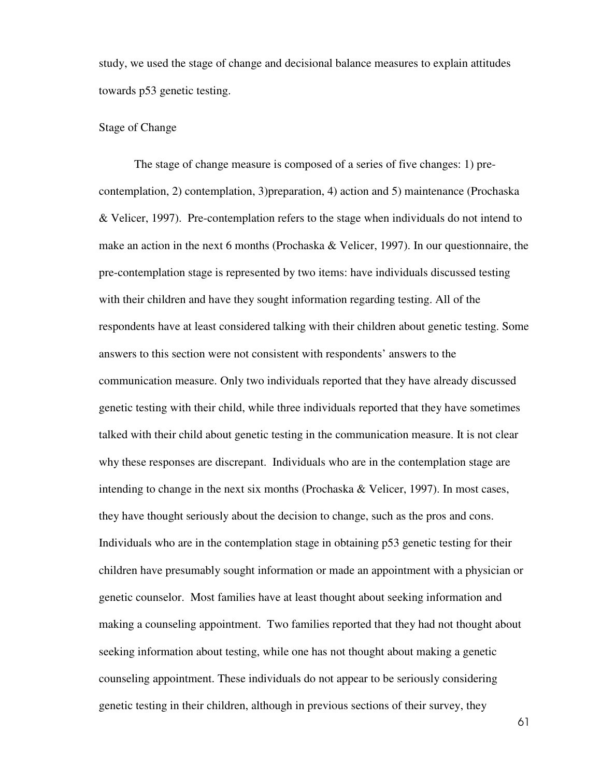study, we used the stage of change and decisional balance measures to explain attitudes towards p53 genetic testing.

## Stage of Change

The stage of change measure is composed of a series of five changes: 1) precontemplation, 2) contemplation, 3)preparation, 4) action and 5) maintenance (Prochaska & Velicer, 1997). Pre-contemplation refers to the stage when individuals do not intend to make an action in the next 6 months (Prochaska & Velicer, 1997). In our questionnaire, the pre-contemplation stage is represented by two items: have individuals discussed testing with their children and have they sought information regarding testing. All of the respondents have at least considered talking with their children about genetic testing. Some answers to this section were not consistent with respondents' answers to the communication measure. Only two individuals reported that they have already discussed genetic testing with their child, while three individuals reported that they have sometimes talked with their child about genetic testing in the communication measure. It is not clear why these responses are discrepant. Individuals who are in the contemplation stage are intending to change in the next six months (Prochaska & Velicer, 1997). In most cases, they have thought seriously about the decision to change, such as the pros and cons. Individuals who are in the contemplation stage in obtaining p53 genetic testing for their children have presumably sought information or made an appointment with a physician or genetic counselor. Most families have at least thought about seeking information and making a counseling appointment. Two families reported that they had not thought about seeking information about testing, while one has not thought about making a genetic counseling appointment. These individuals do not appear to be seriously considering genetic testing in their children, although in previous sections of their survey, they

61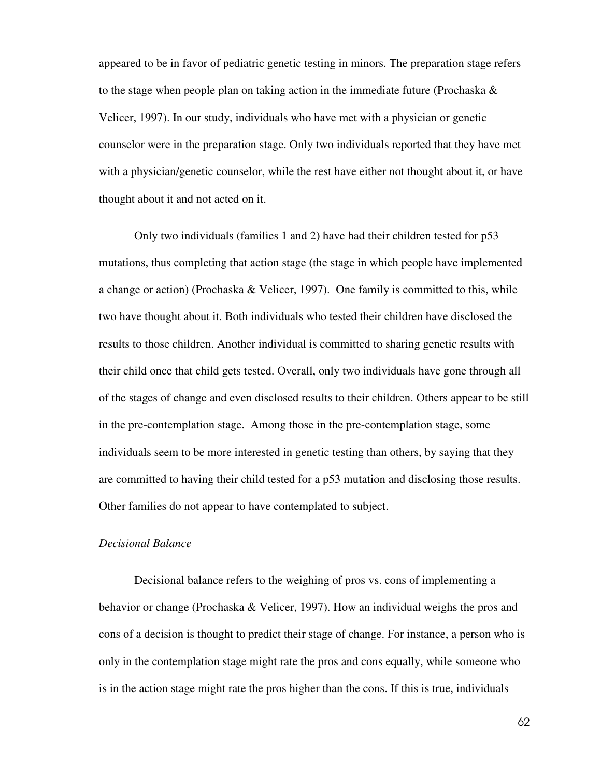appeared to be in favor of pediatric genetic testing in minors. The preparation stage refers to the stage when people plan on taking action in the immediate future (Prochaska  $\&$ Velicer, 1997). In our study, individuals who have met with a physician or genetic counselor were in the preparation stage. Only two individuals reported that they have met with a physician/genetic counselor, while the rest have either not thought about it, or have thought about it and not acted on it.

Only two individuals (families 1 and 2) have had their children tested for p53 mutations, thus completing that action stage (the stage in which people have implemented a change or action) (Prochaska & Velicer, 1997). One family is committed to this, while two have thought about it. Both individuals who tested their children have disclosed the results to those children. Another individual is committed to sharing genetic results with their child once that child gets tested. Overall, only two individuals have gone through all of the stages of change and even disclosed results to their children. Others appear to be still in the pre-contemplation stage. Among those in the pre-contemplation stage, some individuals seem to be more interested in genetic testing than others, by saying that they are committed to having their child tested for a p53 mutation and disclosing those results. Other families do not appear to have contemplated to subject.

## *Decisional Balance*

Decisional balance refers to the weighing of pros vs. cons of implementing a behavior or change (Prochaska & Velicer, 1997). How an individual weighs the pros and cons of a decision is thought to predict their stage of change. For instance, a person who is only in the contemplation stage might rate the pros and cons equally, while someone who is in the action stage might rate the pros higher than the cons. If this is true, individuals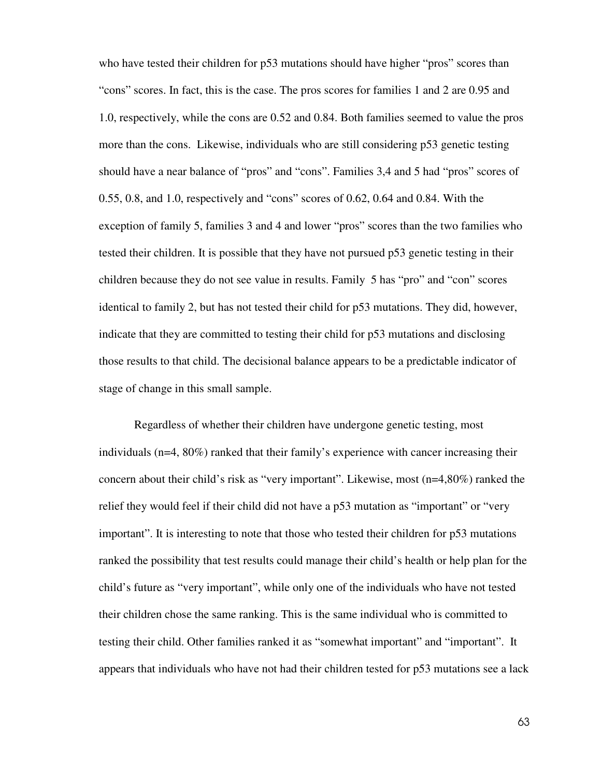who have tested their children for p53 mutations should have higher "pros" scores than "cons" scores. In fact, this is the case. The pros scores for families 1 and 2 are 0.95 and 1.0, respectively, while the cons are 0.52 and 0.84. Both families seemed to value the pros more than the cons. Likewise, individuals who are still considering p53 genetic testing should have a near balance of "pros" and "cons". Families 3,4 and 5 had "pros" scores of 0.55, 0.8, and 1.0, respectively and "cons" scores of 0.62, 0.64 and 0.84. With the exception of family 5, families 3 and 4 and lower "pros" scores than the two families who tested their children. It is possible that they have not pursued p53 genetic testing in their children because they do not see value in results. Family 5 has "pro" and "con" scores identical to family 2, but has not tested their child for p53 mutations. They did, however, indicate that they are committed to testing their child for p53 mutations and disclosing those results to that child. The decisional balance appears to be a predictable indicator of stage of change in this small sample.

Regardless of whether their children have undergone genetic testing, most individuals (n=4, 80%) ranked that their family's experience with cancer increasing their concern about their child's risk as "very important". Likewise, most (n=4,80%) ranked the relief they would feel if their child did not have a p53 mutation as "important" or "very important". It is interesting to note that those who tested their children for p53 mutations ranked the possibility that test results could manage their child's health or help plan for the child's future as "very important", while only one of the individuals who have not tested their children chose the same ranking. This is the same individual who is committed to testing their child. Other families ranked it as "somewhat important" and "important". It appears that individuals who have not had their children tested for p53 mutations see a lack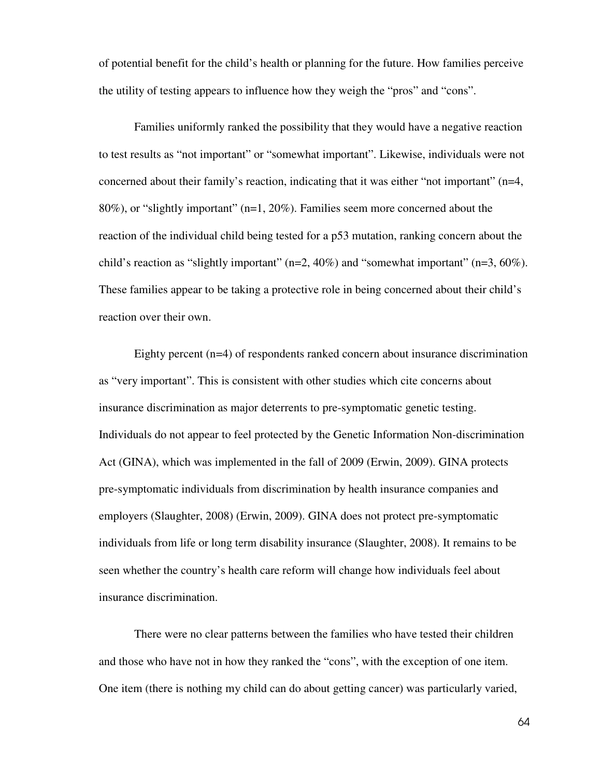of potential benefit for the child's health or planning for the future. How families perceive the utility of testing appears to influence how they weigh the "pros" and "cons".

Families uniformly ranked the possibility that they would have a negative reaction to test results as "not important" or "somewhat important". Likewise, individuals were not concerned about their family's reaction, indicating that it was either "not important" (n=4, 80%), or "slightly important" (n=1, 20%). Families seem more concerned about the reaction of the individual child being tested for a p53 mutation, ranking concern about the child's reaction as "slightly important" ( $n=2$ , 40%) and "somewhat important" ( $n=3$ , 60%). These families appear to be taking a protective role in being concerned about their child's reaction over their own.

Eighty percent (n=4) of respondents ranked concern about insurance discrimination as "very important". This is consistent with other studies which cite concerns about insurance discrimination as major deterrents to pre-symptomatic genetic testing. Individuals do not appear to feel protected by the Genetic Information Non-discrimination Act (GINA), which was implemented in the fall of 2009 (Erwin, 2009). GINA protects pre-symptomatic individuals from discrimination by health insurance companies and employers (Slaughter, 2008) (Erwin, 2009). GINA does not protect pre-symptomatic individuals from life or long term disability insurance (Slaughter, 2008). It remains to be seen whether the country's health care reform will change how individuals feel about insurance discrimination.

There were no clear patterns between the families who have tested their children and those who have not in how they ranked the "cons", with the exception of one item. One item (there is nothing my child can do about getting cancer) was particularly varied,

64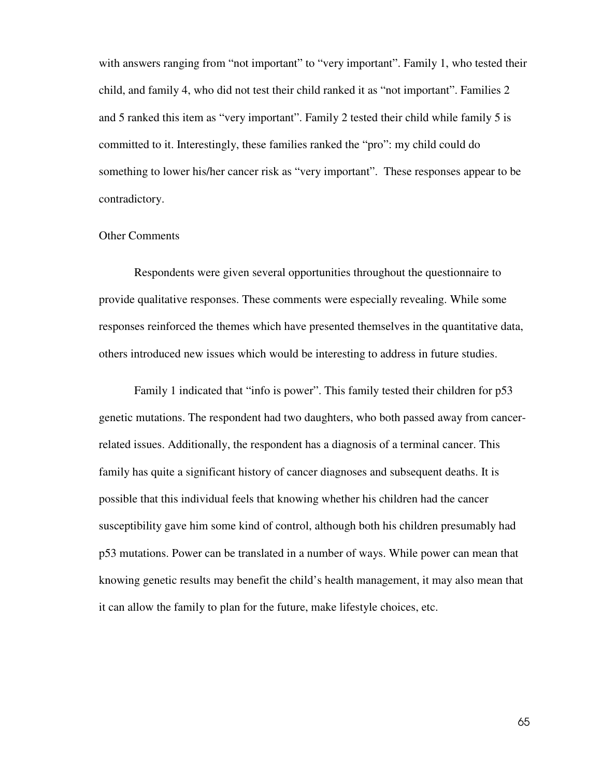with answers ranging from "not important" to "very important". Family 1, who tested their child, and family 4, who did not test their child ranked it as "not important". Families 2 and 5 ranked this item as "very important". Family 2 tested their child while family 5 is committed to it. Interestingly, these families ranked the "pro": my child could do something to lower his/her cancer risk as "very important". These responses appear to be contradictory.

## Other Comments

 Respondents were given several opportunities throughout the questionnaire to provide qualitative responses. These comments were especially revealing. While some responses reinforced the themes which have presented themselves in the quantitative data, others introduced new issues which would be interesting to address in future studies.

Family 1 indicated that "info is power". This family tested their children for p53 genetic mutations. The respondent had two daughters, who both passed away from cancerrelated issues. Additionally, the respondent has a diagnosis of a terminal cancer. This family has quite a significant history of cancer diagnoses and subsequent deaths. It is possible that this individual feels that knowing whether his children had the cancer susceptibility gave him some kind of control, although both his children presumably had p53 mutations. Power can be translated in a number of ways. While power can mean that knowing genetic results may benefit the child's health management, it may also mean that it can allow the family to plan for the future, make lifestyle choices, etc.

65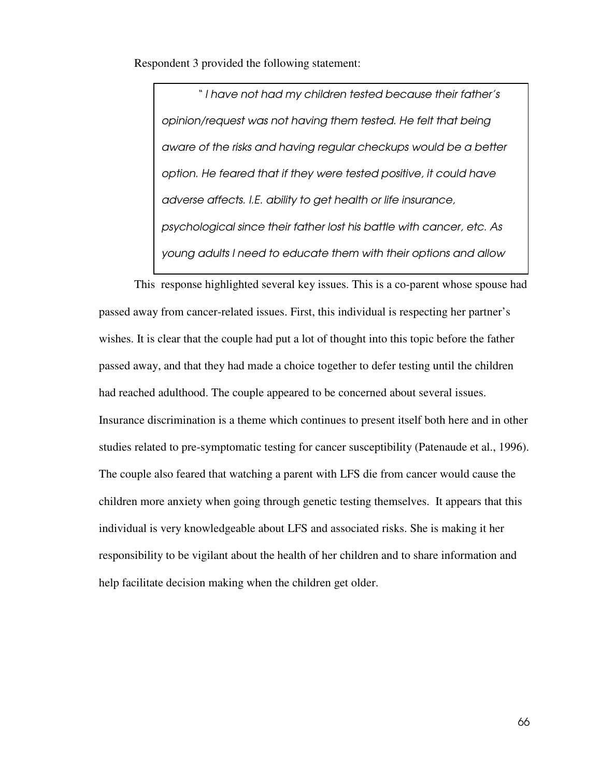Respondent 3 provided the following statement:

" I have not had my children tested because their father's opinion/request was not having them tested. He felt that being aware of the risks and having regular checkups would be a better option. He feared that if they were tested positive, it could have adverse affects. I.E. ability to get health or life insurance, psychological since their father lost his battle with cancer, etc. As young adults I need to educate them with their options and allow

This response highlighted several key issues. This is a co-parent whose spouse had passed away from cancer-related issues. First, this individual is respecting her partner's wishes. It is clear that the couple had put a lot of thought into this topic before the father passed away, and that they had made a choice together to defer testing until the children had reached adulthood. The couple appeared to be concerned about several issues. Insurance discrimination is a theme which continues to present itself both here and in other studies related to pre-symptomatic testing for cancer susceptibility (Patenaude et al., 1996). The couple also feared that watching a parent with LFS die from cancer would cause the children more anxiety when going through genetic testing themselves. It appears that this individual is very knowledgeable about LFS and associated risks. She is making it her responsibility to be vigilant about the health of her children and to share information and help facilitate decision making when the children get older.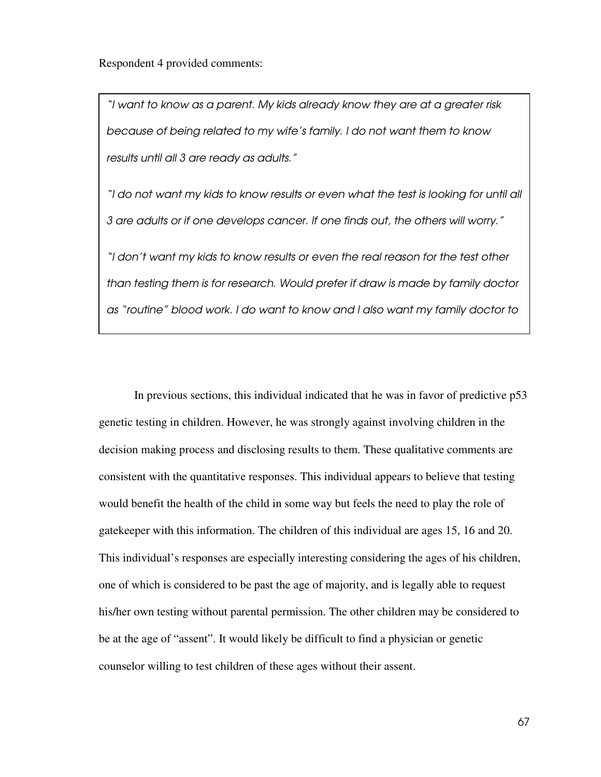Respondent 4 provided comments:

know (verbally). "The control of the control of the control of the control of the control of the control of th<br>"The control of the control of the control of the control of the control of the control of the control of the

"I want to know as a parent. My kids already know they are at a greater risk because of being related to my wife's family. I do not want them to know results until all 3 are ready as adults."

"I do not want my kids to know results or even what the test is looking for until all 3 are adults or if one develops cancer. If one finds out, the others will worry."

"I don't want my kids to know results or even the real reason for the test other than testing them is for research. Would prefer if draw is made by family doctor as "routine" blood work. I do want to know and I also want my family doctor to

In previous sections, this individual indicated that he was in favor of predictive p53 genetic testing in children. However, he was strongly against involving children in the decision making process and disclosing results to them. These qualitative comments are consistent with the quantitative responses. This individual appears to believe that testing would benefit the health of the child in some way but feels the need to play the role of gatekeeper with this information. The children of this individual are ages 15, 16 and 20. This individual's responses are especially interesting considering the ages of his children, one of which is considered to be past the age of majority, and is legally able to request his/her own testing without parental permission. The other children may be considered to be at the age of "assent". It would likely be difficult to find a physician or genetic counselor willing to test children of these ages without their assent.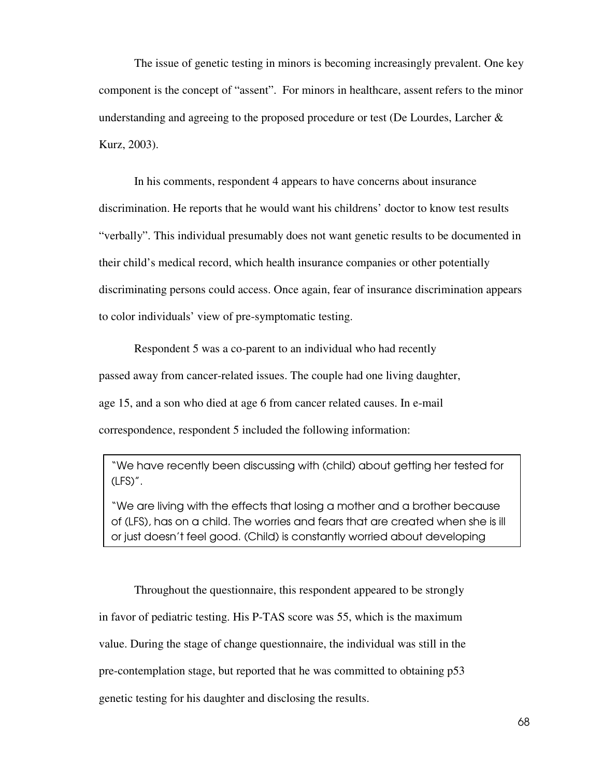The issue of genetic testing in minors is becoming increasingly prevalent. One key component is the concept of "assent". For minors in healthcare, assent refers to the minor understanding and agreeing to the proposed procedure or test (De Lourdes, Larcher & Kurz, 2003).

 In his comments, respondent 4 appears to have concerns about insurance discrimination. He reports that he would want his childrens' doctor to know test results "verbally". This individual presumably does not want genetic results to be documented in their child's medical record, which health insurance companies or other potentially discriminating persons could access. Once again, fear of insurance discrimination appears to color individuals' view of pre-symptomatic testing.

Respondent 5 was a co-parent to an individual who had recently passed away from cancer-related issues. The couple had one living daughter, age 15, and a son who died at age 6 from cancer related causes. In e-mail correspondence, respondent 5 included the following information:

"We have recently been discussing with (child) about getting her tested for (LFS)".

"We are living with the effects that losing a mother and a brother because of (LFS), has on a child. The worries and fears that are created when she is ill or just doesn't feel good. (Child) is constantly worried about developing

 Throughout the questionnaire, this respondent appeared to be strongly in favor of pediatric testing. His P-TAS score was 55, which is the maximum value. During the stage of change questionnaire, the individual was still in the pre-contemplation stage, but reported that he was committed to obtaining p53 genetic testing for his daughter and disclosing the results.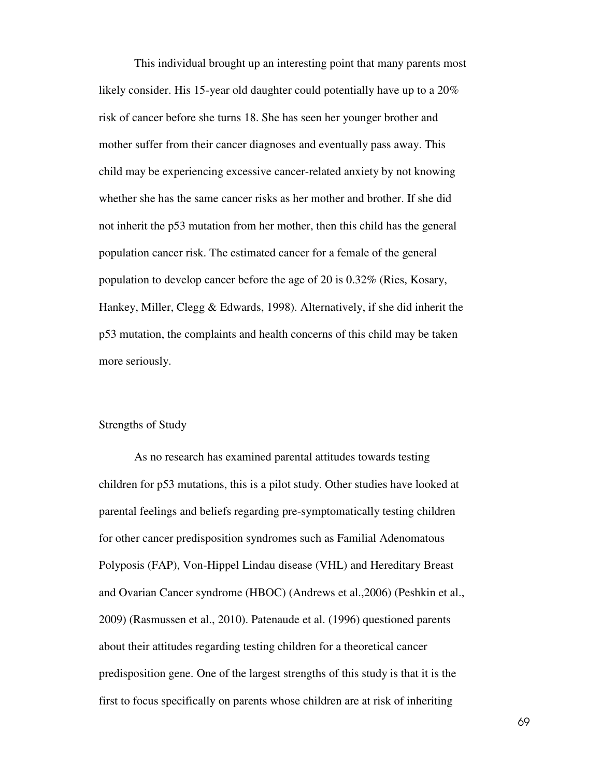This individual brought up an interesting point that many parents most likely consider. His 15-year old daughter could potentially have up to a 20% risk of cancer before she turns 18. She has seen her younger brother and mother suffer from their cancer diagnoses and eventually pass away. This child may be experiencing excessive cancer-related anxiety by not knowing whether she has the same cancer risks as her mother and brother. If she did not inherit the p53 mutation from her mother, then this child has the general population cancer risk. The estimated cancer for a female of the general population to develop cancer before the age of 20 is 0.32% (Ries, Kosary, Hankey, Miller, Clegg & Edwards, 1998). Alternatively, if she did inherit the p53 mutation, the complaints and health concerns of this child may be taken more seriously.

## Strengths of Study

 As no research has examined parental attitudes towards testing children for p53 mutations, this is a pilot study. Other studies have looked at parental feelings and beliefs regarding pre-symptomatically testing children for other cancer predisposition syndromes such as Familial Adenomatous Polyposis (FAP), Von-Hippel Lindau disease (VHL) and Hereditary Breast and Ovarian Cancer syndrome (HBOC) (Andrews et al.,2006) (Peshkin et al., 2009) (Rasmussen et al., 2010). Patenaude et al. (1996) questioned parents about their attitudes regarding testing children for a theoretical cancer predisposition gene. One of the largest strengths of this study is that it is the first to focus specifically on parents whose children are at risk of inheriting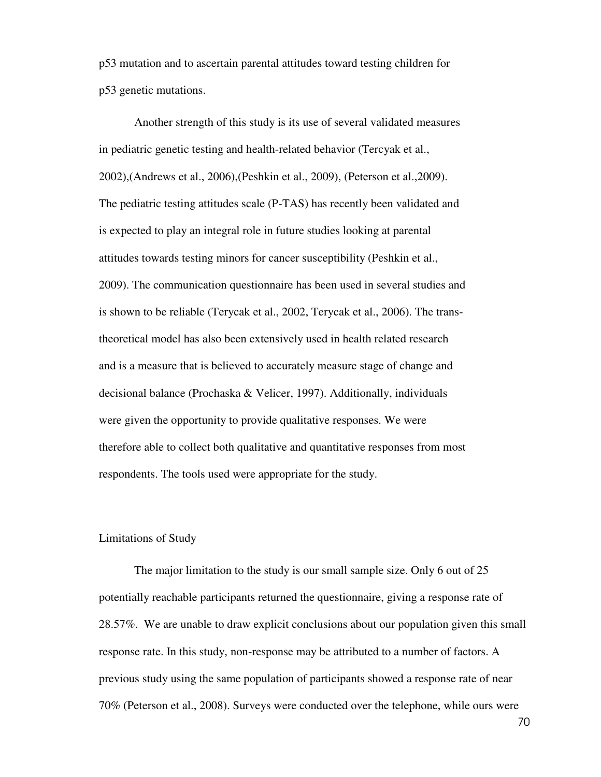p53 mutation and to ascertain parental attitudes toward testing children for p53 genetic mutations.

 Another strength of this study is its use of several validated measures in pediatric genetic testing and health-related behavior (Tercyak et al., 2002),(Andrews et al., 2006),(Peshkin et al., 2009), (Peterson et al.,2009). The pediatric testing attitudes scale (P-TAS) has recently been validated and is expected to play an integral role in future studies looking at parental attitudes towards testing minors for cancer susceptibility (Peshkin et al., 2009). The communication questionnaire has been used in several studies and is shown to be reliable (Terycak et al., 2002, Terycak et al., 2006). The transtheoretical model has also been extensively used in health related research and is a measure that is believed to accurately measure stage of change and decisional balance (Prochaska & Velicer, 1997). Additionally, individuals were given the opportunity to provide qualitative responses. We were therefore able to collect both qualitative and quantitative responses from most respondents. The tools used were appropriate for the study.

#### Limitations of Study

The major limitation to the study is our small sample size. Only 6 out of 25 potentially reachable participants returned the questionnaire, giving a response rate of 28.57%. We are unable to draw explicit conclusions about our population given this small response rate. In this study, non-response may be attributed to a number of factors. A previous study using the same population of participants showed a response rate of near 70% (Peterson et al., 2008). Surveys were conducted over the telephone, while ours were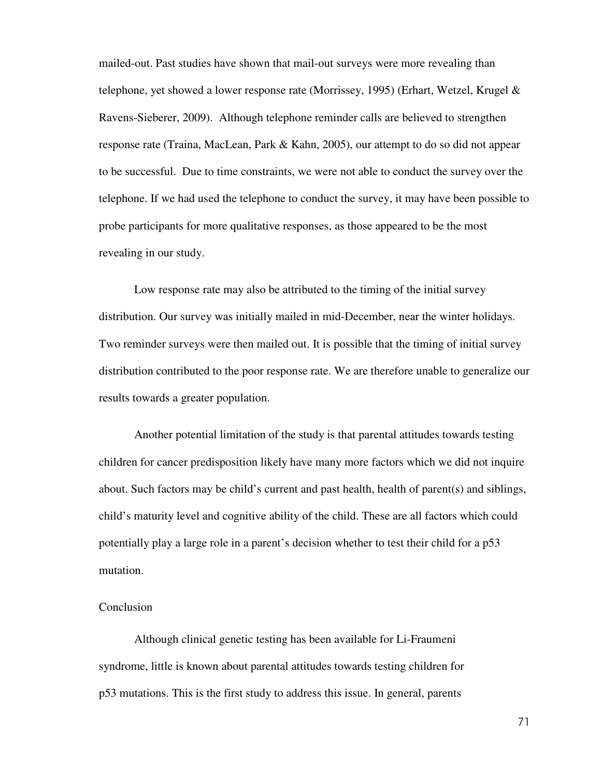mailed-out. Past studies have shown that mail-out surveys were more revealing than telephone, yet showed a lower response rate (Morrissey, 1995) (Erhart, Wetzel, Krugel & Ravens-Sieberer, 2009). Although telephone reminder calls are believed to strengthen response rate (Traina, MacLean, Park & Kahn, 2005), our attempt to do so did not appear to be successful. Due to time constraints, we were not able to conduct the survey over the telephone. If we had used the telephone to conduct the survey, it may have been possible to probe participants for more qualitative responses, as those appeared to be the most revealing in our study.

Low response rate may also be attributed to the timing of the initial survey distribution. Our survey was initially mailed in mid-December, near the winter holidays. Two reminder surveys were then mailed out. It is possible that the timing of initial survey distribution contributed to the poor response rate. We are therefore unable to generalize our results towards a greater population.

Another potential limitation of the study is that parental attitudes towards testing children for cancer predisposition likely have many more factors which we did not inquire about. Such factors may be child's current and past health, health of parent(s) and siblings, child's maturity level and cognitive ability of the child. These are all factors which could potentially play a large role in a parent's decision whether to test their child for a p53 mutation.

#### Conclusion

 Although clinical genetic testing has been available for Li-Fraumeni syndrome, little is known about parental attitudes towards testing children for p53 mutations. This is the first study to address this issue. In general, parents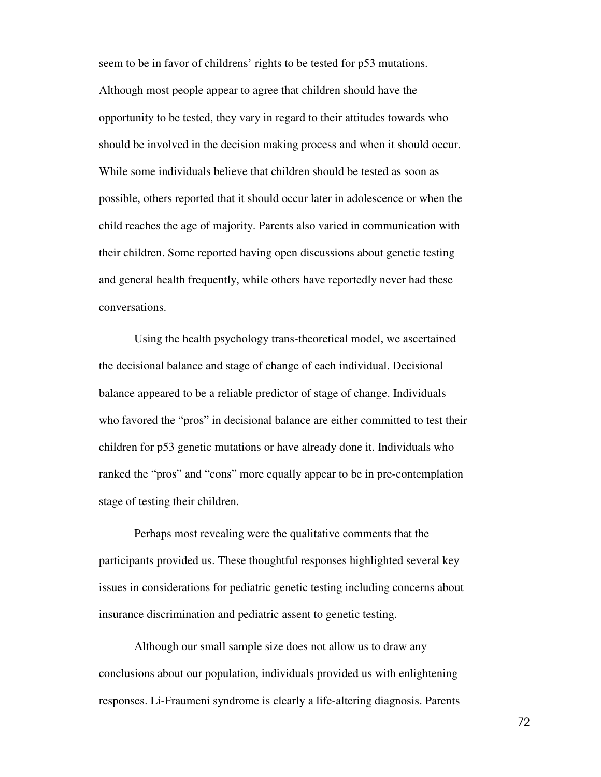seem to be in favor of childrens' rights to be tested for p53 mutations. Although most people appear to agree that children should have the opportunity to be tested, they vary in regard to their attitudes towards who should be involved in the decision making process and when it should occur. While some individuals believe that children should be tested as soon as possible, others reported that it should occur later in adolescence or when the child reaches the age of majority. Parents also varied in communication with their children. Some reported having open discussions about genetic testing and general health frequently, while others have reportedly never had these conversations.

 Using the health psychology trans-theoretical model, we ascertained the decisional balance and stage of change of each individual. Decisional balance appeared to be a reliable predictor of stage of change. Individuals who favored the "pros" in decisional balance are either committed to test their children for p53 genetic mutations or have already done it. Individuals who ranked the "pros" and "cons" more equally appear to be in pre-contemplation stage of testing their children.

 Perhaps most revealing were the qualitative comments that the participants provided us. These thoughtful responses highlighted several key issues in considerations for pediatric genetic testing including concerns about insurance discrimination and pediatric assent to genetic testing.

 Although our small sample size does not allow us to draw any conclusions about our population, individuals provided us with enlightening responses. Li-Fraumeni syndrome is clearly a life-altering diagnosis. Parents

72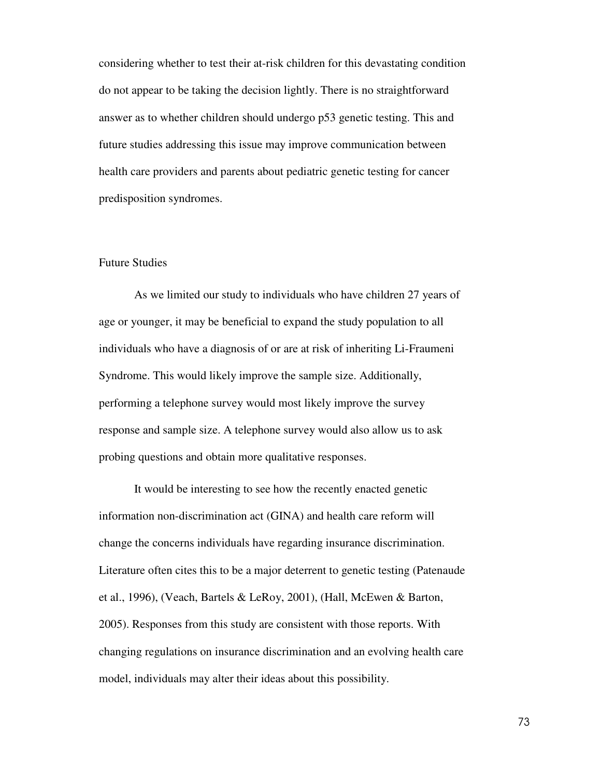considering whether to test their at-risk children for this devastating condition do not appear to be taking the decision lightly. There is no straightforward answer as to whether children should undergo p53 genetic testing. This and future studies addressing this issue may improve communication between health care providers and parents about pediatric genetic testing for cancer predisposition syndromes.

#### Future Studies

 As we limited our study to individuals who have children 27 years of age or younger, it may be beneficial to expand the study population to all individuals who have a diagnosis of or are at risk of inheriting Li-Fraumeni Syndrome. This would likely improve the sample size. Additionally, performing a telephone survey would most likely improve the survey response and sample size. A telephone survey would also allow us to ask probing questions and obtain more qualitative responses.

 It would be interesting to see how the recently enacted genetic information non-discrimination act (GINA) and health care reform will change the concerns individuals have regarding insurance discrimination. Literature often cites this to be a major deterrent to genetic testing (Patenaude et al., 1996), (Veach, Bartels & LeRoy, 2001), (Hall, McEwen & Barton, 2005). Responses from this study are consistent with those reports. With changing regulations on insurance discrimination and an evolving health care model, individuals may alter their ideas about this possibility.

73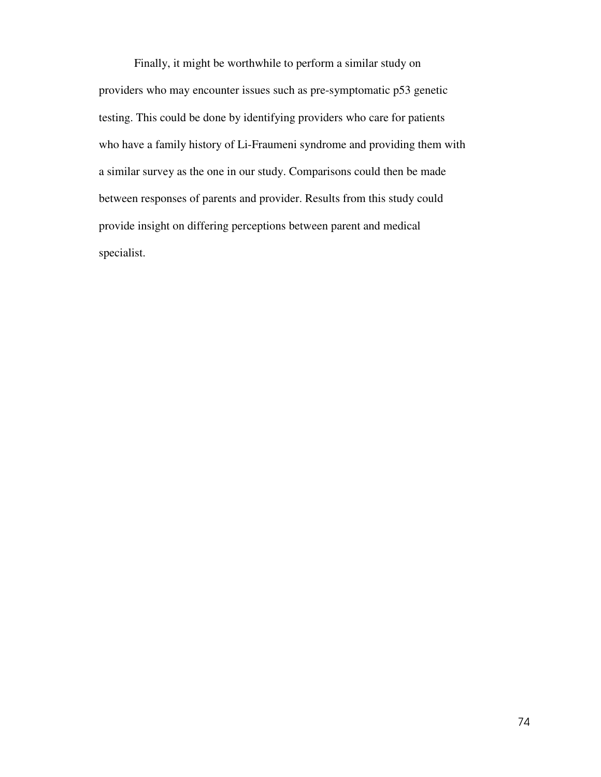Finally, it might be worthwhile to perform a similar study on providers who may encounter issues such as pre-symptomatic p53 genetic testing. This could be done by identifying providers who care for patients who have a family history of Li-Fraumeni syndrome and providing them with a similar survey as the one in our study. Comparisons could then be made between responses of parents and provider. Results from this study could provide insight on differing perceptions between parent and medical specialist.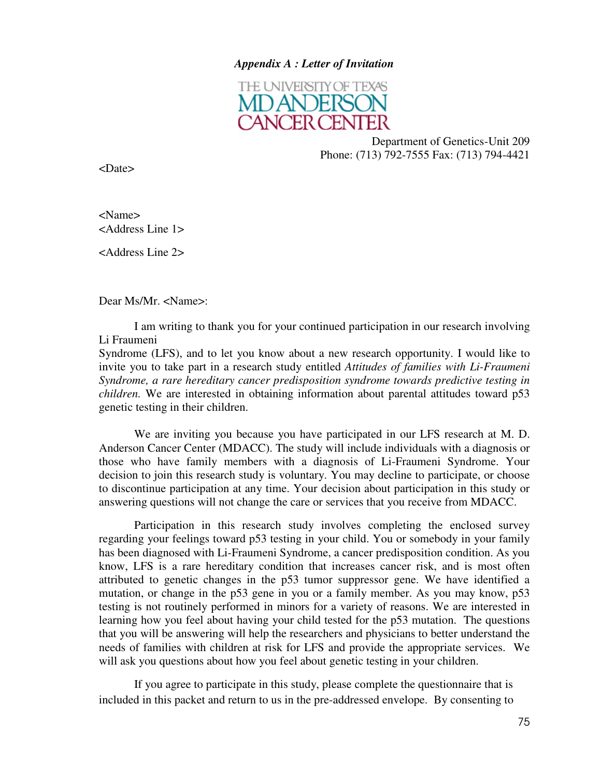### *Appendix A : Letter of Invitation*



Department of Genetics-Unit 209 Phone: (713) 792-7555 Fax: (713) 794-4421

<Date>

<Name> <Address Line 1>

<Address Line 2>

Dear Ms/Mr. <Name>:

I am writing to thank you for your continued participation in our research involving Li Fraumeni

Syndrome (LFS), and to let you know about a new research opportunity. I would like to invite you to take part in a research study entitled *Attitudes of families with Li-Fraumeni Syndrome, a rare hereditary cancer predisposition syndrome towards predictive testing in children.* We are interested in obtaining information about parental attitudes toward p53 genetic testing in their children.

We are inviting you because you have participated in our LFS research at M. D. Anderson Cancer Center (MDACC). The study will include individuals with a diagnosis or those who have family members with a diagnosis of Li-Fraumeni Syndrome. Your decision to join this research study is voluntary. You may decline to participate, or choose to discontinue participation at any time. Your decision about participation in this study or answering questions will not change the care or services that you receive from MDACC.

Participation in this research study involves completing the enclosed survey regarding your feelings toward p53 testing in your child. You or somebody in your family has been diagnosed with Li-Fraumeni Syndrome, a cancer predisposition condition. As you know, LFS is a rare hereditary condition that increases cancer risk, and is most often attributed to genetic changes in the p53 tumor suppressor gene. We have identified a mutation, or change in the p53 gene in you or a family member. As you may know, p53 testing is not routinely performed in minors for a variety of reasons. We are interested in learning how you feel about having your child tested for the p53 mutation. The questions that you will be answering will help the researchers and physicians to better understand the needs of families with children at risk for LFS and provide the appropriate services. We will ask you questions about how you feel about genetic testing in your children.

If you agree to participate in this study, please complete the questionnaire that is included in this packet and return to us in the pre-addressed envelope. By consenting to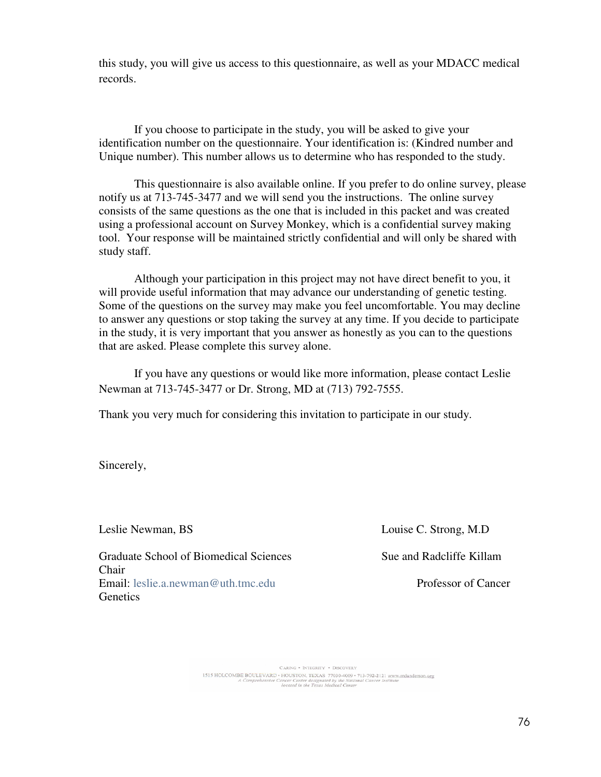this study, you will give us access to this questionnaire, as well as your MDACC medical records.

If you choose to participate in the study, you will be asked to give your identification number on the questionnaire. Your identification is: (Kindred number and Unique number). This number allows us to determine who has responded to the study.

This questionnaire is also available online. If you prefer to do online survey, please notify us at 713-745-3477 and we will send you the instructions. The online survey consists of the same questions as the one that is included in this packet and was created using a professional account on Survey Monkey, which is a confidential survey making tool. Your response will be maintained strictly confidential and will only be shared with study staff.

Although your participation in this project may not have direct benefit to you, it will provide useful information that may advance our understanding of genetic testing. Some of the questions on the survey may make you feel uncomfortable. You may decline to answer any questions or stop taking the survey at any time. If you decide to participate in the study, it is very important that you answer as honestly as you can to the questions that are asked. Please complete this survey alone.

If you have any questions or would like more information, please contact Leslie Newman at 713-745-3477 or Dr. Strong, MD at (713) 792-7555.

Thank you very much for considering this invitation to participate in our study.

Sincerely,

Graduate School of Biomedical Sciences Sue and Radcliffe Killam Chair Email: leslie.a.newman@uth.tmc.edu Professor of Cancer **Genetics** 

Leslie Newman, BS Louise C. Strong, M.D

CARING . INTEGRITY . DISCOVERY SARING \* INTEGRAL \* \* DISCUPER POLICIONAL TO A COMPRE BOULEVARD \* CONTRACT \* \* DISCUPER POST 13-792-2121 www.mdanderson.org<br>A Comprehensive Cancer Center designated by the National Cancer Institute<br>located in the Texas Med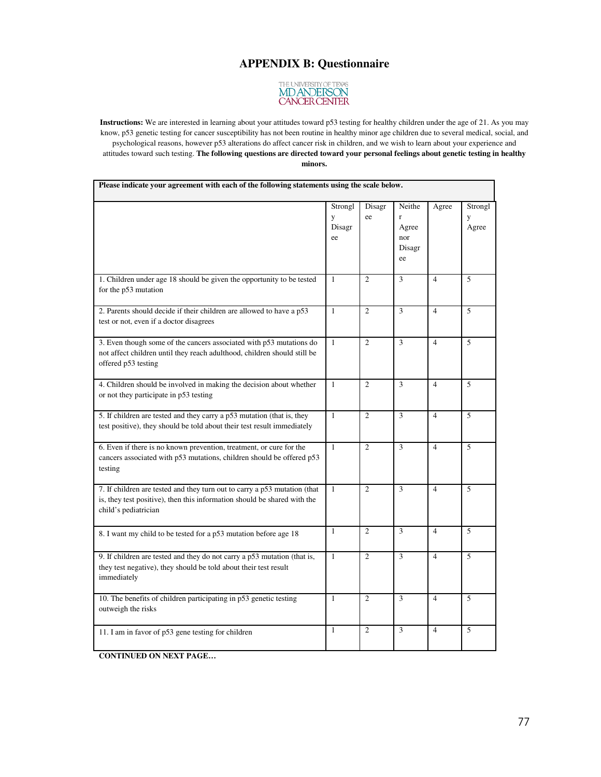# **APPENDIX B: Questionnaire**



**Instructions:** We are interested in learning about your attitudes toward p53 testing for healthy children under the age of 21. As you may know, p53 genetic testing for cancer susceptibility has not been routine in healthy minor age children due to several medical, social, and psychological reasons, however p53 alterations do affect cancer risk in children, and we wish to learn about your experience and attitudes toward such testing. **The following questions are directed toward your personal feelings about genetic testing in healthy minors.** 

| Please indicate your agreement with each of the following statements using the scale below.                                                                                   |                              |                |                                             |                |                       |  |
|-------------------------------------------------------------------------------------------------------------------------------------------------------------------------------|------------------------------|----------------|---------------------------------------------|----------------|-----------------------|--|
|                                                                                                                                                                               | Strongl<br>y<br>Disagr<br>ee | Disagr<br>ee   | Neithe<br>r<br>Agree<br>nor<br>Disagr<br>ee | Agree          | Strongl<br>y<br>Agree |  |
| 1. Children under age 18 should be given the opportunity to be tested<br>for the p53 mutation                                                                                 | $\mathbf{1}$                 | $\overline{c}$ | 3                                           | $\overline{4}$ | 5                     |  |
| 2. Parents should decide if their children are allowed to have a p53<br>test or not, even if a doctor disagrees                                                               | $\mathbf{1}$                 | $\overline{c}$ | 3                                           | $\overline{4}$ | 5                     |  |
| 3. Even though some of the cancers associated with p53 mutations do<br>not affect children until they reach adulthood, children should still be<br>offered p53 testing        | $\mathbf{1}$                 | $\overline{c}$ | 3                                           | $\overline{4}$ | 5                     |  |
| 4. Children should be involved in making the decision about whether<br>or not they participate in p53 testing                                                                 | $\mathbf{1}$                 | $\overline{2}$ | 3                                           | $\overline{4}$ | 5                     |  |
| 5. If children are tested and they carry a p53 mutation (that is, they<br>test positive), they should be told about their test result immediately                             | $\mathbf{1}$                 | $\overline{2}$ | 3                                           | $\overline{4}$ | 5                     |  |
| 6. Even if there is no known prevention, treatment, or cure for the<br>cancers associated with p53 mutations, children should be offered p53<br>testing                       | $\mathbf{1}$                 | $\overline{2}$ | 3                                           | $\overline{4}$ | 5                     |  |
| 7. If children are tested and they turn out to carry a p53 mutation (that<br>is, they test positive), then this information should be shared with the<br>child's pediatrician | $\mathbf{1}$                 | $\overline{2}$ | 3                                           | $\overline{4}$ | 5                     |  |
| 8. I want my child to be tested for a p53 mutation before age 18                                                                                                              | $\mathbf{1}$                 | $\overline{2}$ | 3                                           | $\overline{4}$ | 5                     |  |
| 9. If children are tested and they do not carry a p53 mutation (that is,<br>they test negative), they should be told about their test result<br>immediately                   | $\mathbf{1}$                 | $\overline{2}$ | 3                                           | $\overline{4}$ | 5                     |  |
| 10. The benefits of children participating in p53 genetic testing<br>outweigh the risks                                                                                       | $\mathbf{1}$                 | $\overline{c}$ | 3                                           | $\overline{4}$ | 5                     |  |
| 11. I am in favor of p53 gene testing for children                                                                                                                            | $\mathbf{1}$                 | $\overline{2}$ | 3                                           | $\overline{4}$ | 5                     |  |

**CONTINUED ON NEXT PAGE…**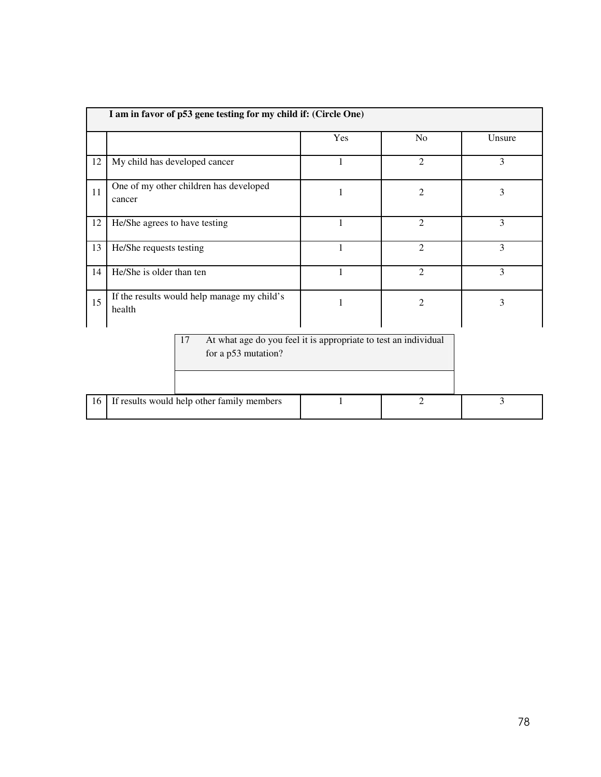|    | I am in favor of p53 gene testing for my child if: (Circle One)                              |                     |                |        |  |  |  |  |
|----|----------------------------------------------------------------------------------------------|---------------------|----------------|--------|--|--|--|--|
|    |                                                                                              | Yes                 | No             | Unsure |  |  |  |  |
| 12 | My child has developed cancer                                                                | 1                   | $\overline{2}$ | 3      |  |  |  |  |
| 11 | One of my other children has developed<br>cancer                                             | $\overline{2}$<br>1 |                | 3      |  |  |  |  |
| 12 | He/She agrees to have testing                                                                | 1                   | $\overline{2}$ | 3      |  |  |  |  |
| 13 | He/She requests testing                                                                      | 1                   | $\overline{2}$ | 3      |  |  |  |  |
| 14 | He/She is older than ten                                                                     | 1                   | $\overline{2}$ | 3      |  |  |  |  |
| 15 | If the results would help manage my child's<br>health                                        |                     | $\overline{2}$ | 3      |  |  |  |  |
|    | 17<br>At what age do you feel it is appropriate to test an individual<br>for a p53 mutation? |                     |                |        |  |  |  |  |
| 16 | If results would help other family members                                                   |                     | $\overline{2}$ | 3      |  |  |  |  |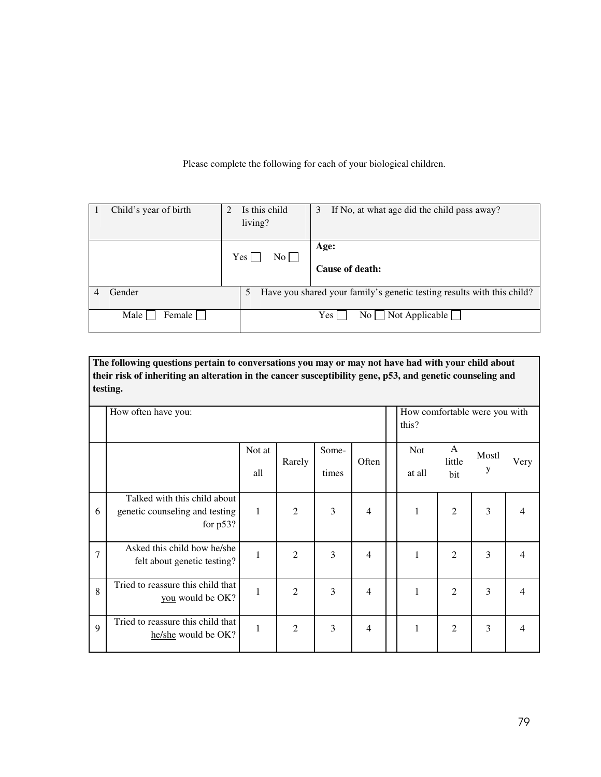Please complete the following for each of your biological children.

| Child's year of birth | Is this child<br>$\mathfrak{D}$<br>living? | 3<br>If No, at what age did the child pass away?                       |
|-----------------------|--------------------------------------------|------------------------------------------------------------------------|
|                       | Yes  <br>No                                | Age:<br>Cause of death:                                                |
| Gender                | 5                                          | Have you shared your family's genetic testing results with this child? |
| Female  <br>Male      |                                            | $No \Box Not Applicable \Box$<br>Yes                                   |

**The following questions pertain to conversations you may or may not have had with your child about their risk of inheriting an alteration in the cancer susceptibility gene, p53, and genetic counseling and testing.** 

|                | How often have you:                                                           |               |                |                |       |  |                      |                    | How comfortable were you with |                |
|----------------|-------------------------------------------------------------------------------|---------------|----------------|----------------|-------|--|----------------------|--------------------|-------------------------------|----------------|
|                |                                                                               | Not at<br>all | Rarely         | Some-<br>times | Often |  | <b>Not</b><br>at all | A<br>little<br>bit | Mostl<br>у                    | Very           |
| 6              | Talked with this child about<br>genetic counseling and testing<br>for $p53$ ? | $\mathbf 1$   | $\overline{2}$ | 3              | 4     |  | $\mathbf{1}$         | $\overline{2}$     | 3                             | 4              |
| $\overline{7}$ | Asked this child how he/she<br>felt about genetic testing?                    | 1             | $\overline{c}$ | 3              | 4     |  | 1                    | $\overline{2}$     | 3                             | $\overline{4}$ |
| 8              | Tried to reassure this child that<br>you would be OK?                         | $\mathbf{1}$  | $\overline{2}$ | 3              | 4     |  | 1                    | $\overline{2}$     | 3                             | $\overline{4}$ |
| $\mathbf Q$    | Tried to reassure this child that<br>he/she would be OK?                      | 1             | $\mathfrak{2}$ | 3              | 4     |  | 1                    | $\overline{2}$     | 3                             | $\overline{4}$ |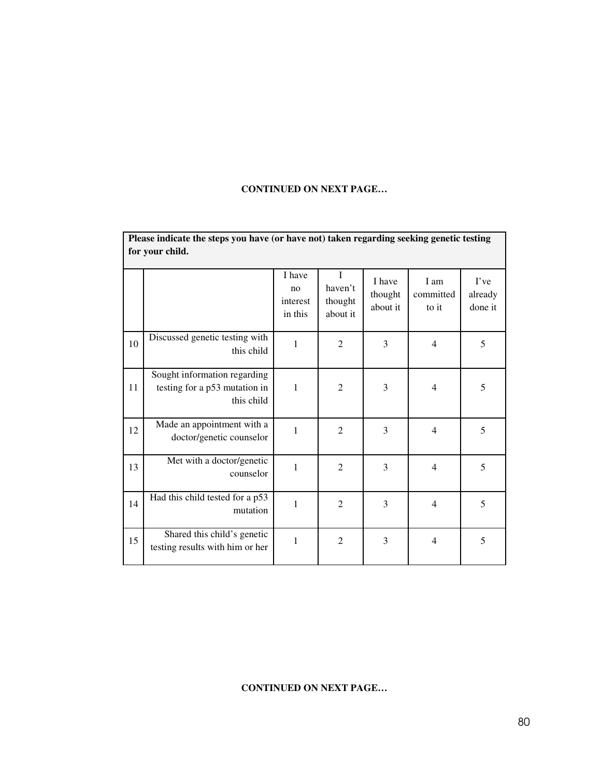## **CONTINUED ON NEXT PAGE…**

|    | Please indicate the steps you have (or have not) taken regarding seeking genetic testing<br>for your child. |                                     |                                     |                               |                            |                            |  |
|----|-------------------------------------------------------------------------------------------------------------|-------------------------------------|-------------------------------------|-------------------------------|----------------------------|----------------------------|--|
|    |                                                                                                             | I have<br>no<br>interest<br>in this | I<br>haven't<br>thought<br>about it | I have<br>thought<br>about it | I am<br>committed<br>to it | I've<br>already<br>done it |  |
| 10 | Discussed genetic testing with<br>this child                                                                | $\mathbf{1}$                        | $\overline{2}$                      | 3                             | $\overline{4}$             | 5                          |  |
| 11 | Sought information regarding<br>testing for a p53 mutation in<br>this child                                 | $\mathbf{1}$                        | $\overline{2}$                      | 3                             | $\overline{4}$             | 5                          |  |
| 12 | Made an appointment with a<br>doctor/genetic counselor                                                      | $\mathbf{1}$                        | $\overline{2}$                      | 3                             | $\overline{4}$             | 5                          |  |
| 13 | Met with a doctor/genetic<br>counselor                                                                      | $\mathbf{1}$                        | $\overline{2}$                      | $\overline{3}$                | $\overline{4}$             | 5                          |  |
| 14 | Had this child tested for a p53<br>mutation                                                                 | $\mathbf{1}$                        | $\overline{2}$                      | 3                             | $\overline{4}$             | 5                          |  |
| 15 | Shared this child's genetic<br>testing results with him or her                                              | $\mathbf{1}$                        | $\mathfrak{2}$                      | 3                             | $\overline{4}$             | 5                          |  |

### **CONTINUED ON NEXT PAGE…**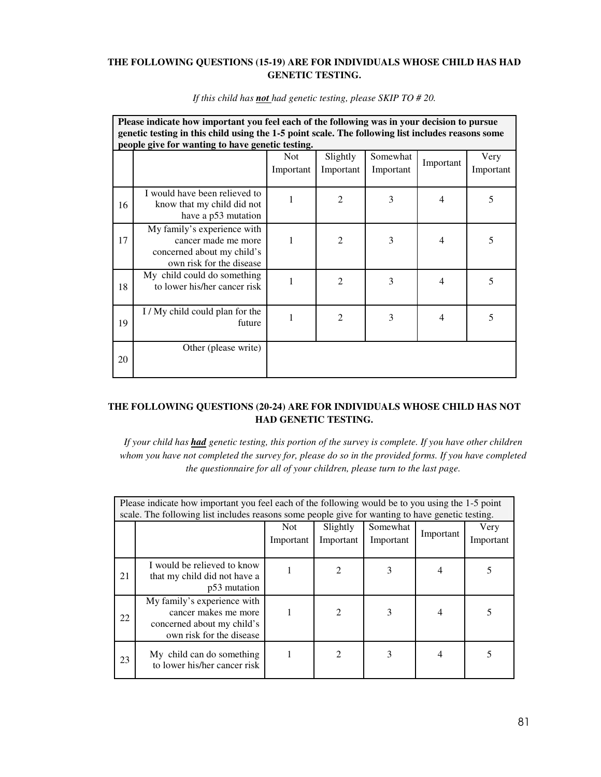### **THE FOLLOWING QUESTIONS (15-19) ARE FOR INDIVIDUALS WHOSE CHILD HAS HAD GENETIC TESTING.**

|    | Please indicate how important you feel each of the following was in your decision to pursue<br>genetic testing in this child using the 1-5 point scale. The following list includes reasons some<br>people give for wanting to have genetic testing. |                         |                       |                       |                |                   |  |  |
|----|------------------------------------------------------------------------------------------------------------------------------------------------------------------------------------------------------------------------------------------------------|-------------------------|-----------------------|-----------------------|----------------|-------------------|--|--|
|    |                                                                                                                                                                                                                                                      | <b>Not</b><br>Important | Slightly<br>Important | Somewhat<br>Important | Important      | Very<br>Important |  |  |
| 16 | I would have been relieved to<br>know that my child did not<br>have a p53 mutation                                                                                                                                                                   |                         | 2                     | 3                     | $\overline{4}$ | 5                 |  |  |
| 17 | My family's experience with<br>cancer made me more<br>concerned about my child's<br>own risk for the disease                                                                                                                                         |                         | $\overline{2}$        | 3                     | $\overline{4}$ | 5                 |  |  |
| 18 | My child could do something<br>to lower his/her cancer risk                                                                                                                                                                                          |                         | $\overline{2}$        | 3                     | $\overline{4}$ | 5                 |  |  |
| 19 | I / My child could plan for the<br>future                                                                                                                                                                                                            |                         | $\overline{2}$        | 3                     | $\overline{4}$ | 5                 |  |  |
| 20 | Other (please write)                                                                                                                                                                                                                                 |                         |                       |                       |                |                   |  |  |

*If this child has not had genetic testing, please SKIP TO # 20.* 

### **THE FOLLOWING QUESTIONS (20-24) ARE FOR INDIVIDUALS WHOSE CHILD HAS NOT HAD GENETIC TESTING.**

*If your child has had genetic testing, this portion of the survey is complete. If you have other children whom you have not completed the survey for, please do so in the provided forms. If you have completed the questionnaire for all of your children, please turn to the last page.* 

|    | Please indicate how important you feel each of the following would be to you using the 1-5 point<br>scale. The following list includes reasons some people give for wanting to have genetic testing. |                   |                       |                       |                |                   |  |  |
|----|------------------------------------------------------------------------------------------------------------------------------------------------------------------------------------------------------|-------------------|-----------------------|-----------------------|----------------|-------------------|--|--|
|    |                                                                                                                                                                                                      | Not.<br>Important | Slightly<br>Important | Somewhat<br>Important | Important      | Very<br>Important |  |  |
| 21 | I would be relieved to know<br>that my child did not have a<br>p53 mutation                                                                                                                          |                   |                       | 3                     |                |                   |  |  |
| 22 | My family's experience with<br>cancer makes me more<br>concerned about my child's<br>own risk for the disease                                                                                        |                   | $\mathfrak{D}$        | 3                     | $\overline{4}$ | 5                 |  |  |
| 23 | My child can do something<br>to lower his/her cancer risk                                                                                                                                            |                   | $\mathcal{D}$         | 3                     | $\overline{4}$ |                   |  |  |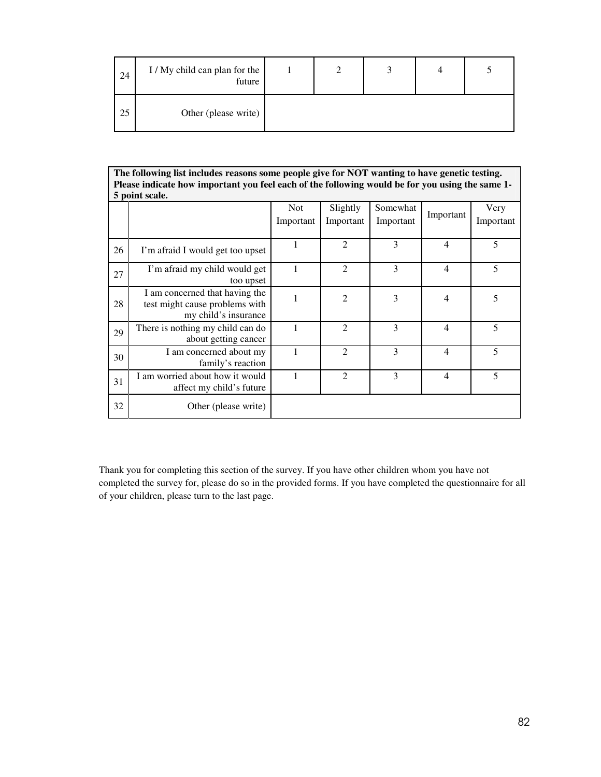| 24 | I / My child can plan for the<br>future |  |  |  |
|----|-----------------------------------------|--|--|--|
| 25 | Other (please write)                    |  |  |  |

|    | The following list includes reasons some people give for NOT wanting to have genetic testing.<br>Please indicate how important you feel each of the following would be for you using the same 1-<br>5 point scale. |                         |                       |                       |                |                   |  |  |
|----|--------------------------------------------------------------------------------------------------------------------------------------------------------------------------------------------------------------------|-------------------------|-----------------------|-----------------------|----------------|-------------------|--|--|
|    |                                                                                                                                                                                                                    | <b>Not</b><br>Important | Slightly<br>Important | Somewhat<br>Important | Important      | Very<br>Important |  |  |
| 26 | I'm afraid I would get too upset                                                                                                                                                                                   | 1                       | $\overline{2}$        | 3                     | $\overline{4}$ | 5                 |  |  |
| 27 | I'm afraid my child would get<br>too upset                                                                                                                                                                         | 1                       | $\overline{2}$        | 3                     | 4              | 5                 |  |  |
| 28 | I am concerned that having the<br>test might cause problems with<br>my child's insurance                                                                                                                           | 1                       | $\mathfrak{D}$        | 3                     | $\overline{4}$ | 5                 |  |  |
| 29 | There is nothing my child can do<br>about getting cancer                                                                                                                                                           | 1                       | $\overline{2}$        | 3                     | $\overline{4}$ | 5                 |  |  |
| 30 | I am concerned about my<br>family's reaction                                                                                                                                                                       | 1                       | $\mathfrak{D}$        | 3                     | $\overline{4}$ | 5                 |  |  |
| 31 | I am worried about how it would<br>affect my child's future                                                                                                                                                        | 1                       | $\mathfrak{D}$        | 3                     | 4              | 5                 |  |  |
| 32 | Other (please write)                                                                                                                                                                                               |                         |                       |                       |                |                   |  |  |

Thank you for completing this section of the survey. If you have other children whom you have not completed the survey for, please do so in the provided forms. If you have completed the questionnaire for all of your children, please turn to the last page.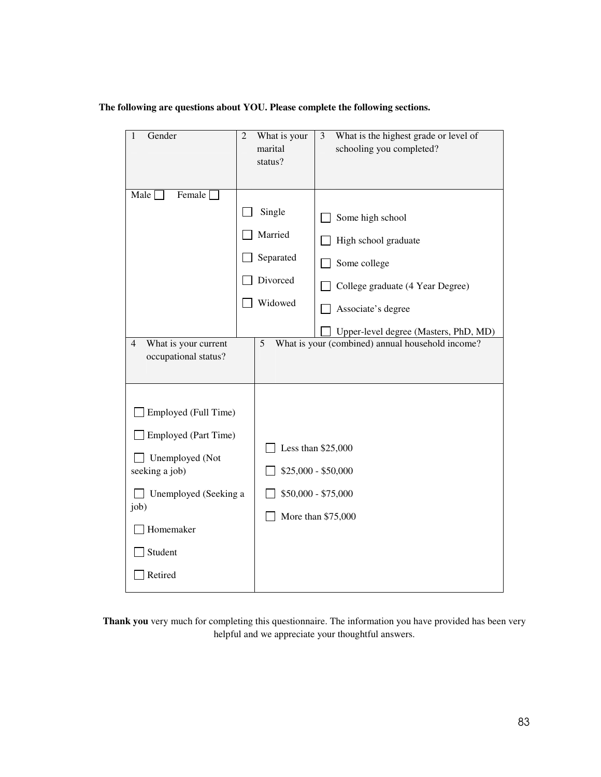# **The following are questions about YOU. Please complete the following sections.**

| Gender<br>1                            | $\overline{2}$ | What is your        | 3 | What is the highest grade or level of            |
|----------------------------------------|----------------|---------------------|---|--------------------------------------------------|
|                                        |                | marital             |   | schooling you completed?                         |
|                                        |                | status?             |   |                                                  |
|                                        |                |                     |   |                                                  |
| Male [<br>Female [                     |                |                     |   |                                                  |
|                                        |                | Single              |   | Some high school                                 |
|                                        |                | Married             |   | High school graduate                             |
|                                        |                | Separated           |   | Some college                                     |
|                                        |                | Divorced            |   | College graduate (4 Year Degree)                 |
|                                        |                | Widowed             |   | Associate's degree                               |
|                                        |                |                     |   | Upper-level degree (Masters, PhD, MD)            |
| What is your current<br>$\overline{4}$ |                | 5                   |   | What is your (combined) annual household income? |
| occupational status?                   |                |                     |   |                                                  |
|                                        |                |                     |   |                                                  |
|                                        |                |                     |   |                                                  |
| Employed (Full Time)                   |                |                     |   |                                                  |
| Employed (Part Time)                   |                |                     |   |                                                  |
|                                        |                | Less than \$25,000  |   |                                                  |
| Unemployed (Not<br>seeking a job)      |                | \$25,000 - \$50,000 |   |                                                  |
|                                        |                |                     |   |                                                  |
| Unemployed (Seeking a                  |                | \$50,000 - \$75,000 |   |                                                  |
| job)                                   |                | More than \$75,000  |   |                                                  |
| Homemaker                              |                |                     |   |                                                  |
| Student                                |                |                     |   |                                                  |
| Retired                                |                |                     |   |                                                  |

**Thank you** very much for completing this questionnaire. The information you have provided has been very helpful and we appreciate your thoughtful answers.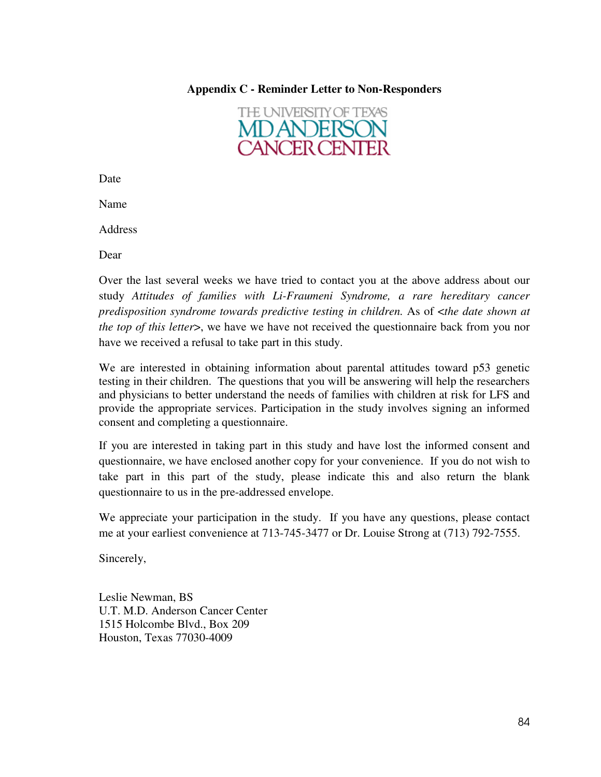# **Appendix C - Reminder Letter to Non-Responders**



Date

Name

**Address** 

Dear

Over the last several weeks we have tried to contact you at the above address about our study *Attitudes of families with Li-Fraumeni Syndrome, a rare hereditary cancer predisposition syndrome towards predictive testing in children.* As of <*the date shown at the top of this letter*, we have we have not received the questionnaire back from you nor have we received a refusal to take part in this study.

We are interested in obtaining information about parental attitudes toward p53 genetic testing in their children. The questions that you will be answering will help the researchers and physicians to better understand the needs of families with children at risk for LFS and provide the appropriate services. Participation in the study involves signing an informed consent and completing a questionnaire.

If you are interested in taking part in this study and have lost the informed consent and questionnaire, we have enclosed another copy for your convenience. If you do not wish to take part in this part of the study, please indicate this and also return the blank questionnaire to us in the pre-addressed envelope.

We appreciate your participation in the study. If you have any questions, please contact me at your earliest convenience at 713-745-3477 or Dr. Louise Strong at (713) 792-7555.

Sincerely,

Leslie Newman, BS U.T. M.D. Anderson Cancer Center 1515 Holcombe Blvd., Box 209 Houston, Texas 77030-4009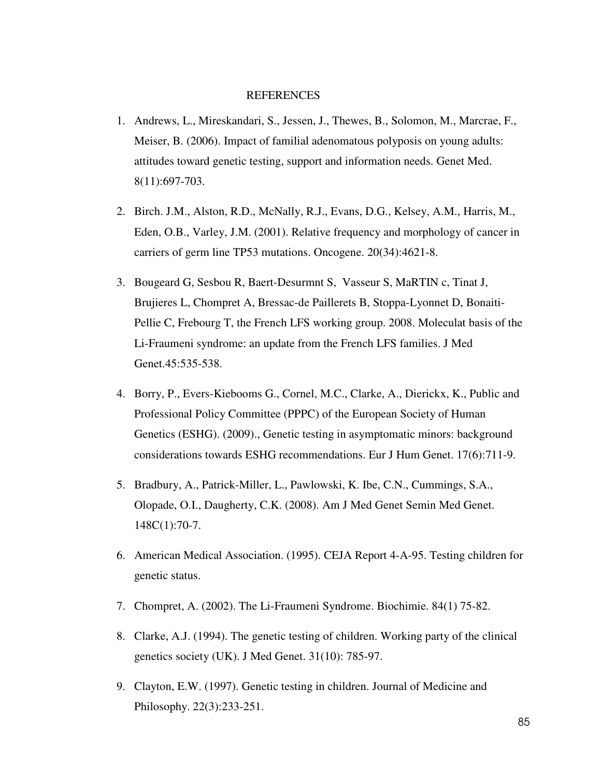#### REFERENCES

- 1. Andrews, L., Mireskandari, S., Jessen, J., Thewes, B., Solomon, M., Marcrae, F., Meiser, B. (2006). Impact of familial adenomatous polyposis on young adults: attitudes toward genetic testing, support and information needs. Genet Med. 8(11):697-703.
- 2. Birch. J.M., Alston, R.D., McNally, R.J., Evans, D.G., Kelsey, A.M., Harris, M., Eden, O.B., Varley, J.M. (2001). Relative frequency and morphology of cancer in carriers of germ line TP53 mutations. Oncogene. 20(34):4621-8.
- 3. Bougeard G, Sesbou R, Baert-Desurmnt S, Vasseur S, MaRTIN c, Tinat J, Brujieres L, Chompret A, Bressac-de Paillerets B, Stoppa-Lyonnet D, Bonaiti-Pellie C, Frebourg T, the French LFS working group. 2008. Moleculat basis of the Li-Fraumeni syndrome: an update from the French LFS families. J Med Genet.45:535-538.
- 4. Borry, P., Evers-Kiebooms G., Cornel, M.C., Clarke, A., Dierickx, K., Public and Professional Policy Committee (PPPC) of the European Society of Human Genetics (ESHG). (2009)., Genetic testing in asymptomatic minors: background considerations towards ESHG recommendations. Eur J Hum Genet. 17(6):711-9.
- 5. Bradbury, A., Patrick-Miller, L., Pawlowski, K. Ibe, C.N., Cummings, S.A., Olopade, O.I., Daugherty, C.K. (2008). Am J Med Genet Semin Med Genet. 148C(1):70-7.
- 6. American Medical Association. (1995). CEJA Report 4-A-95. Testing children for genetic status.
- 7. Chompret, A. (2002). The Li-Fraumeni Syndrome. Biochimie. 84(1) 75-82.
- 8. Clarke, A.J. (1994). The genetic testing of children. Working party of the clinical genetics society (UK). J Med Genet. 31(10): 785-97.
- 9. Clayton, E.W. (1997). Genetic testing in children. Journal of Medicine and Philosophy. 22(3):233-251.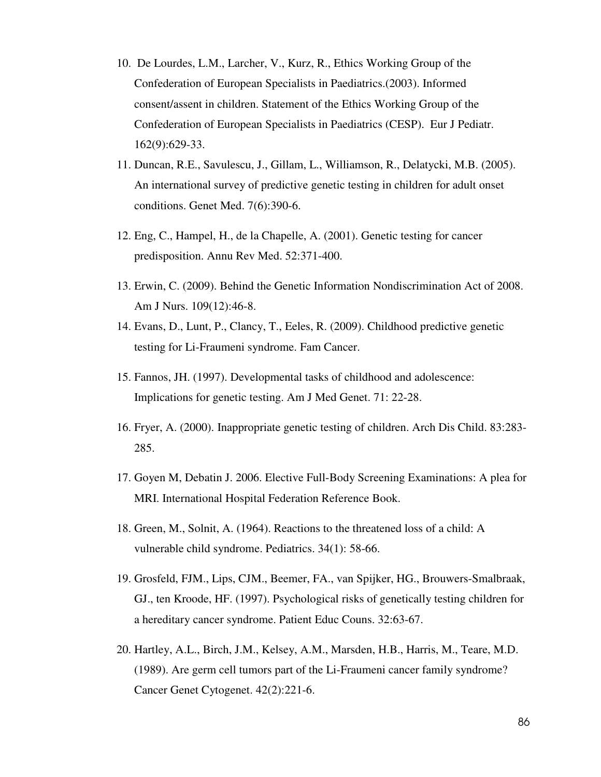- 10. De Lourdes, L.M., Larcher, V., Kurz, R., Ethics Working Group of the Confederation of European Specialists in Paediatrics.(2003). Informed consent/assent in children. Statement of the Ethics Working Group of the Confederation of European Specialists in Paediatrics (CESP). Eur J Pediatr. 162(9):629-33.
- 11. Duncan, R.E., Savulescu, J., Gillam, L., Williamson, R., Delatycki, M.B. (2005). An international survey of predictive genetic testing in children for adult onset conditions. Genet Med. 7(6):390-6.
- 12. Eng, C., Hampel, H., de la Chapelle, A. (2001). Genetic testing for cancer predisposition. Annu Rev Med. 52:371-400.
- 13. Erwin, C. (2009). Behind the Genetic Information Nondiscrimination Act of 2008. Am J Nurs. 109(12):46-8.
- 14. Evans, D., Lunt, P., Clancy, T., Eeles, R. (2009). Childhood predictive genetic testing for Li-Fraumeni syndrome. Fam Cancer.
- 15. Fannos, JH. (1997). Developmental tasks of childhood and adolescence: Implications for genetic testing. Am J Med Genet. 71: 22-28.
- 16. Fryer, A. (2000). Inappropriate genetic testing of children. Arch Dis Child. 83:283- 285.
- 17. Goyen M, Debatin J. 2006. Elective Full-Body Screening Examinations: A plea for MRI. International Hospital Federation Reference Book.
- 18. Green, M., Solnit, A. (1964). Reactions to the threatened loss of a child: A vulnerable child syndrome. Pediatrics. 34(1): 58-66.
- 19. Grosfeld, FJM., Lips, CJM., Beemer, FA., van Spijker, HG., Brouwers-Smalbraak, GJ., ten Kroode, HF. (1997). Psychological risks of genetically testing children for a hereditary cancer syndrome. Patient Educ Couns. 32:63-67.
- 20. Hartley, A.L., Birch, J.M., Kelsey, A.M., Marsden, H.B., Harris, M., Teare, M.D. (1989). Are germ cell tumors part of the Li-Fraumeni cancer family syndrome? Cancer Genet Cytogenet. 42(2):221-6.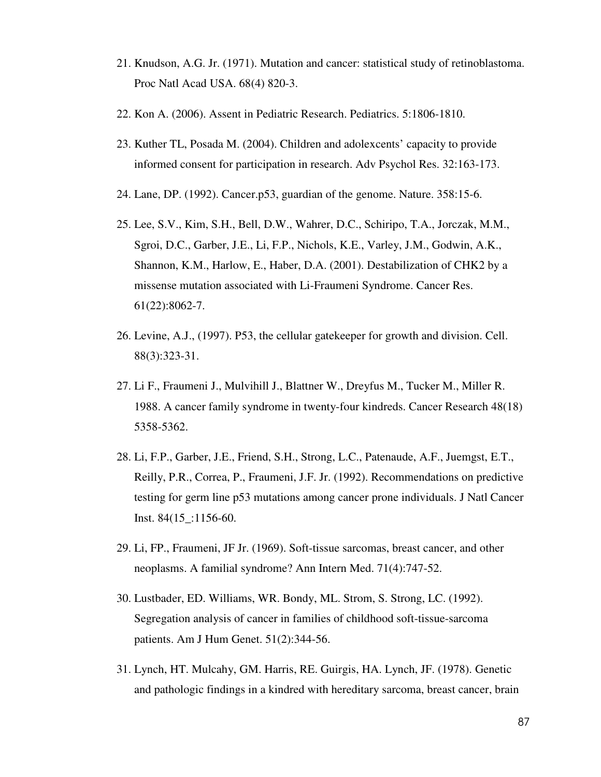- 21. Knudson, A.G. Jr. (1971). Mutation and cancer: statistical study of retinoblastoma. Proc Natl Acad USA. 68(4) 820-3.
- 22. Kon A. (2006). Assent in Pediatric Research. Pediatrics. 5:1806-1810.
- 23. Kuther TL, Posada M. (2004). Children and adolexcents' capacity to provide informed consent for participation in research. Adv Psychol Res. 32:163-173.
- 24. Lane, DP. (1992). Cancer.p53, guardian of the genome. Nature. 358:15-6.
- 25. Lee, S.V., Kim, S.H., Bell, D.W., Wahrer, D.C., Schiripo, T.A., Jorczak, M.M., Sgroi, D.C., Garber, J.E., Li, F.P., Nichols, K.E., Varley, J.M., Godwin, A.K., Shannon, K.M., Harlow, E., Haber, D.A. (2001). Destabilization of CHK2 by a missense mutation associated with Li-Fraumeni Syndrome. Cancer Res. 61(22):8062-7.
- 26. Levine, A.J., (1997). P53, the cellular gatekeeper for growth and division. Cell. 88(3):323-31.
- 27. Li F., Fraumeni J., Mulvihill J., Blattner W., Dreyfus M., Tucker M., Miller R. 1988. A cancer family syndrome in twenty-four kindreds. Cancer Research 48(18) 5358-5362.
- 28. Li, F.P., Garber, J.E., Friend, S.H., Strong, L.C., Patenaude, A.F., Juemgst, E.T., Reilly, P.R., Correa, P., Fraumeni, J.F. Jr. (1992). Recommendations on predictive testing for germ line p53 mutations among cancer prone individuals. J Natl Cancer Inst. 84(15\_:1156-60.
- 29. Li, FP., Fraumeni, JF Jr. (1969). Soft-tissue sarcomas, breast cancer, and other neoplasms. A familial syndrome? Ann Intern Med. 71(4):747-52.
- 30. Lustbader, ED. Williams, WR. Bondy, ML. Strom, S. Strong, LC. (1992). Segregation analysis of cancer in families of childhood soft-tissue-sarcoma patients. Am J Hum Genet. 51(2):344-56.
- 31. Lynch, HT. Mulcahy, GM. Harris, RE. Guirgis, HA. Lynch, JF. (1978). Genetic and pathologic findings in a kindred with hereditary sarcoma, breast cancer, brain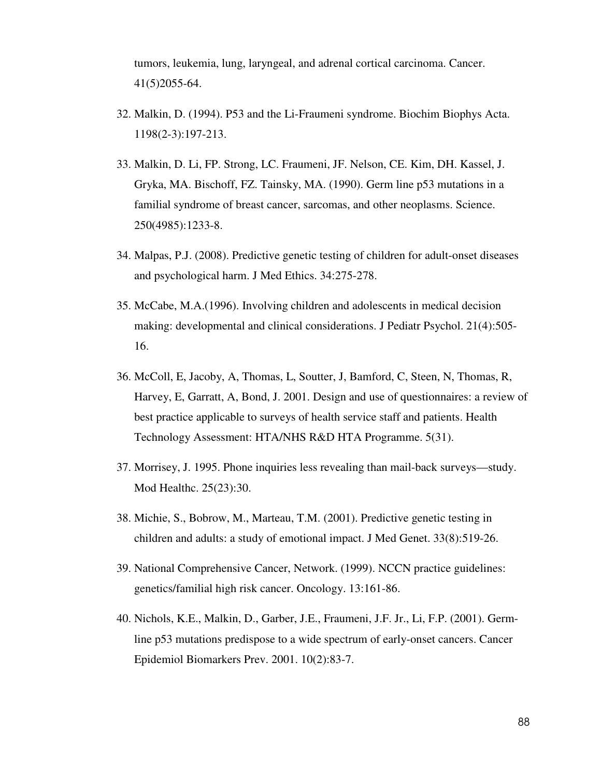tumors, leukemia, lung, laryngeal, and adrenal cortical carcinoma. Cancer. 41(5)2055-64.

- 32. Malkin, D. (1994). P53 and the Li-Fraumeni syndrome. Biochim Biophys Acta. 1198(2-3):197-213.
- 33. Malkin, D. Li, FP. Strong, LC. Fraumeni, JF. Nelson, CE. Kim, DH. Kassel, J. Gryka, MA. Bischoff, FZ. Tainsky, MA. (1990). Germ line p53 mutations in a familial syndrome of breast cancer, sarcomas, and other neoplasms. Science. 250(4985):1233-8.
- 34. Malpas, P.J. (2008). Predictive genetic testing of children for adult-onset diseases and psychological harm. J Med Ethics. 34:275-278.
- 35. McCabe, M.A.(1996). Involving children and adolescents in medical decision making: developmental and clinical considerations. J Pediatr Psychol. 21(4):505- 16.
- 36. McColl, E, Jacoby, A, Thomas, L, Soutter, J, Bamford, C, Steen, N, Thomas, R, Harvey, E, Garratt, A, Bond, J. 2001. Design and use of questionnaires: a review of best practice applicable to surveys of health service staff and patients. Health Technology Assessment: HTA/NHS R&D HTA Programme. 5(31).
- 37. Morrisey, J. 1995. Phone inquiries less revealing than mail-back surveys—study. Mod Healthc. 25(23):30.
- 38. Michie, S., Bobrow, M., Marteau, T.M. (2001). Predictive genetic testing in children and adults: a study of emotional impact. J Med Genet. 33(8):519-26.
- 39. National Comprehensive Cancer, Network. (1999). NCCN practice guidelines: genetics/familial high risk cancer. Oncology. 13:161-86.
- 40. Nichols, K.E., Malkin, D., Garber, J.E., Fraumeni, J.F. Jr., Li, F.P. (2001). Germline p53 mutations predispose to a wide spectrum of early-onset cancers. Cancer Epidemiol Biomarkers Prev. 2001. 10(2):83-7.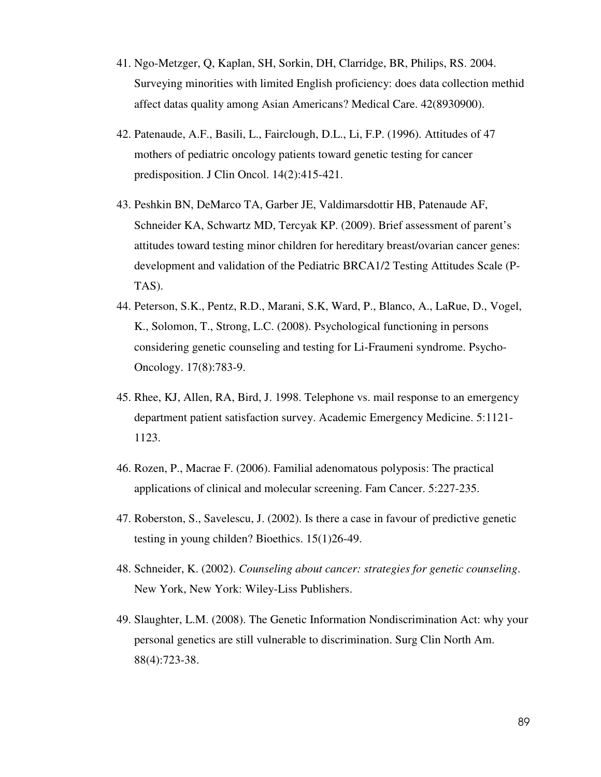- 41. Ngo-Metzger, Q, Kaplan, SH, Sorkin, DH, Clarridge, BR, Philips, RS. 2004. Surveying minorities with limited English proficiency: does data collection methid affect datas quality among Asian Americans? Medical Care. 42(8930900).
- 42. Patenaude, A.F., Basili, L., Fairclough, D.L., Li, F.P. (1996). Attitudes of 47 mothers of pediatric oncology patients toward genetic testing for cancer predisposition. J Clin Oncol. 14(2):415-421.
- 43. Peshkin BN, DeMarco TA, Garber JE, Valdimarsdottir HB, Patenaude AF, Schneider KA, Schwartz MD, Tercyak KP. (2009). Brief assessment of parent's attitudes toward testing minor children for hereditary breast/ovarian cancer genes: development and validation of the Pediatric BRCA1/2 Testing Attitudes Scale (P-TAS).
- 44. Peterson, S.K., Pentz, R.D., Marani, S.K, Ward, P., Blanco, A., LaRue, D., Vogel, K., Solomon, T., Strong, L.C. (2008). Psychological functioning in persons considering genetic counseling and testing for Li-Fraumeni syndrome. Psycho-Oncology. 17(8):783-9.
- 45. Rhee, KJ, Allen, RA, Bird, J. 1998. Telephone vs. mail response to an emergency department patient satisfaction survey. Academic Emergency Medicine. 5:1121- 1123.
- 46. Rozen, P., Macrae F. (2006). Familial adenomatous polyposis: The practical applications of clinical and molecular screening. Fam Cancer. 5:227-235.
- 47. Roberston, S., Savelescu, J. (2002). Is there a case in favour of predictive genetic testing in young childen? Bioethics. 15(1)26-49.
- 48. Schneider, K. (2002). *Counseling about cancer: strategies for genetic counseling*. New York, New York: Wiley-Liss Publishers.
- 49. Slaughter, L.M. (2008). The Genetic Information Nondiscrimination Act: why your personal genetics are still vulnerable to discrimination. Surg Clin North Am. 88(4):723-38.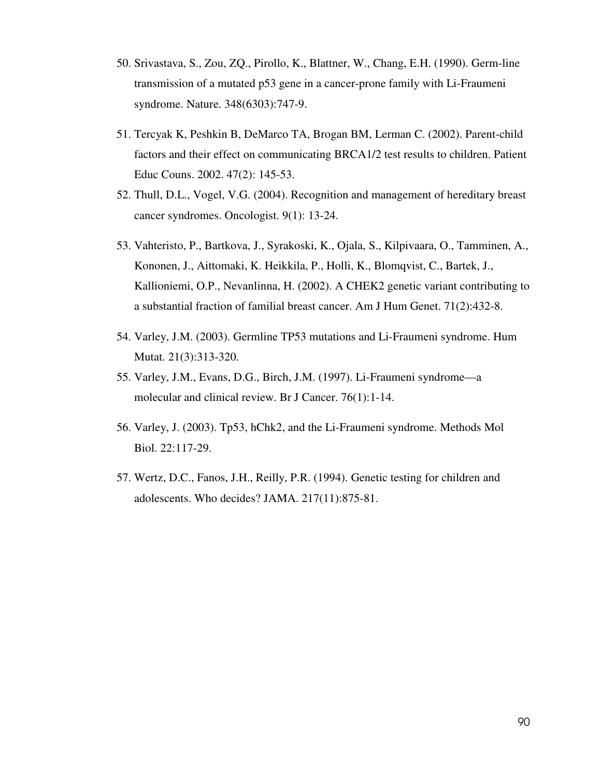- 50. Srivastava, S., Zou, ZQ., Pirollo, K., Blattner, W., Chang, E.H. (1990). Germ-line transmission of a mutated p53 gene in a cancer-prone family with Li-Fraumeni syndrome. Nature. 348(6303):747-9.
- 51. Tercyak K, Peshkin B, DeMarco TA, Brogan BM, Lerman C. (2002). Parent-child factors and their effect on communicating BRCA1/2 test results to children. Patient Educ Couns. 2002. 47(2): 145-53.
- 52. Thull, D.L., Vogel, V.G. (2004). Recognition and management of hereditary breast cancer syndromes. Oncologist. 9(1): 13-24.
- 53. Vahteristo, P., Bartkova, J., Syrakoski, K., Ojala, S., Kilpivaara, O., Tamminen, A., Kononen, J., Aittomaki, K. Heikkila, P., Holli, K., Blomqvist, C., Bartek, J., Kallioniemi, O.P., Nevanlinna, H. (2002). A CHEK2 genetic variant contributing to a substantial fraction of familial breast cancer. Am J Hum Genet. 71(2):432-8.
- 54. Varley, J.M. (2003). Germline TP53 mutations and Li-Fraumeni syndrome. Hum Mutat. 21(3):313-320.
- 55. Varley, J.M., Evans, D.G., Birch, J.M. (1997). Li-Fraumeni syndrome—a molecular and clinical review. Br J Cancer. 76(1):1-14.
- 56. Varley, J. (2003). Tp53, hChk2, and the Li-Fraumeni syndrome. Methods Mol Biol. 22:117-29.
- 57. Wertz, D.C., Fanos, J.H., Reilly, P.R. (1994). Genetic testing for children and adolescents. Who decides? JAMA. 217(11):875-81.